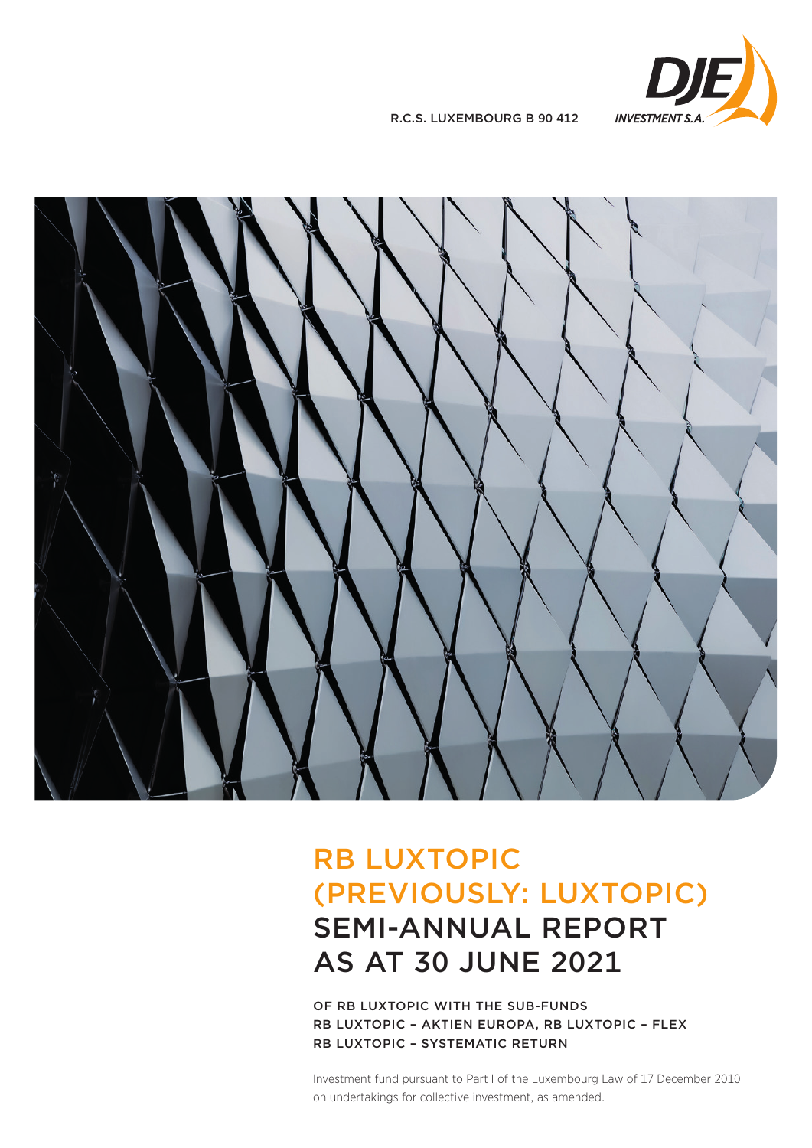

R.C.S. LUXEMBOURG B 90 412



# RB LUXTOPIC (PREVIOUSLY: LUXTOPIC) SEMI-ANNUAL REPORT AS AT 30 JUNE 2021

OF RB LUXTOPIC WITH THE SUB-FUNDS RB LUXTOPIC – AKTIEN EUROPA, RB LUXTOPIC – FLEX RB LUXTOPIC – SYSTEMATIC RETURN

Investment fund pursuant to Part I of the Luxembourg Law of 17 December 2010 on undertakings for collective investment, as amended.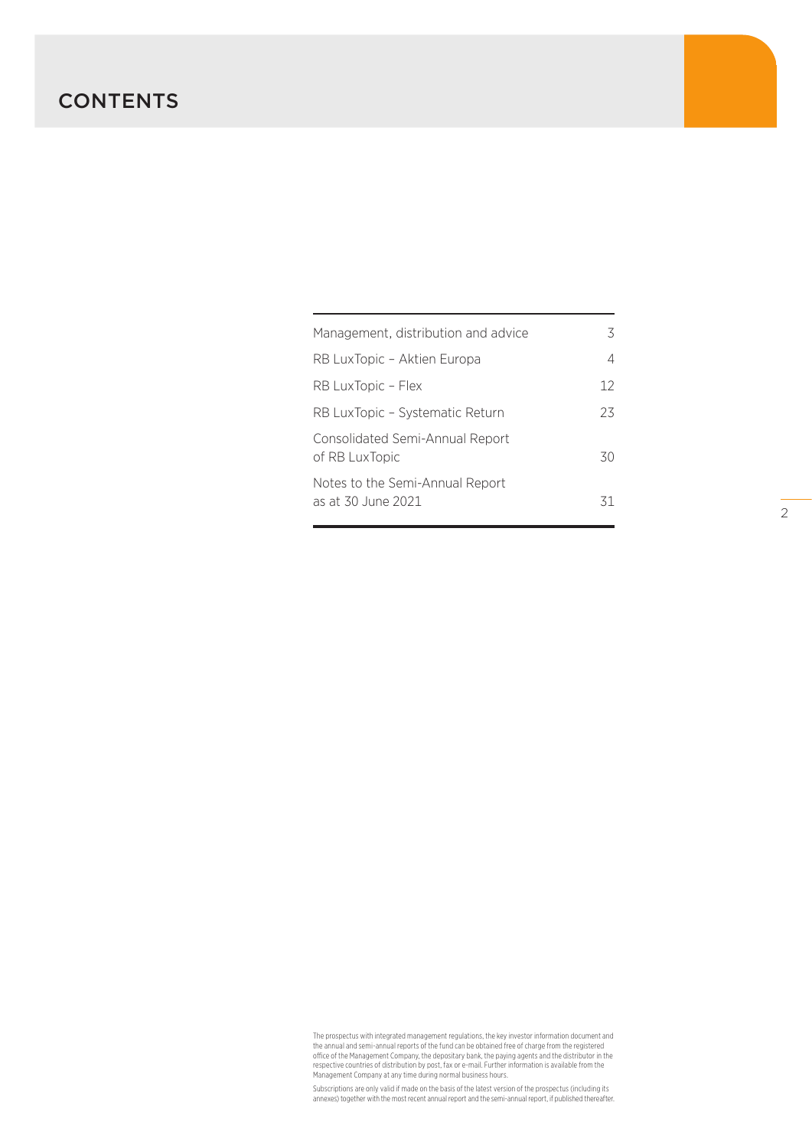# **CONTENTS**

| Management, distribution and advice                   | 3  |
|-------------------------------------------------------|----|
| RB LuxTopic – Aktien Europa                           | 4  |
| RB LuxTopic – Flex                                    | 12 |
| RB LuxTopic - Systematic Return                       | 23 |
| Consolidated Semi-Annual Report<br>of RB LuxTopic     | 30 |
| Notes to the Semi-Annual Report<br>as at 30 June 2021 | 31 |

The prospectus with integrated management regulations, the key investor information document and<br>the annual and semi-annual reports of the fund can be obtained free of charge from the registered<br>office of the Management Co

Subscriptions are only valid if made on the basis of the latest version of the prospectus (including its annexes) together with the most recent annual report and the semi-annual report, if published thereafter.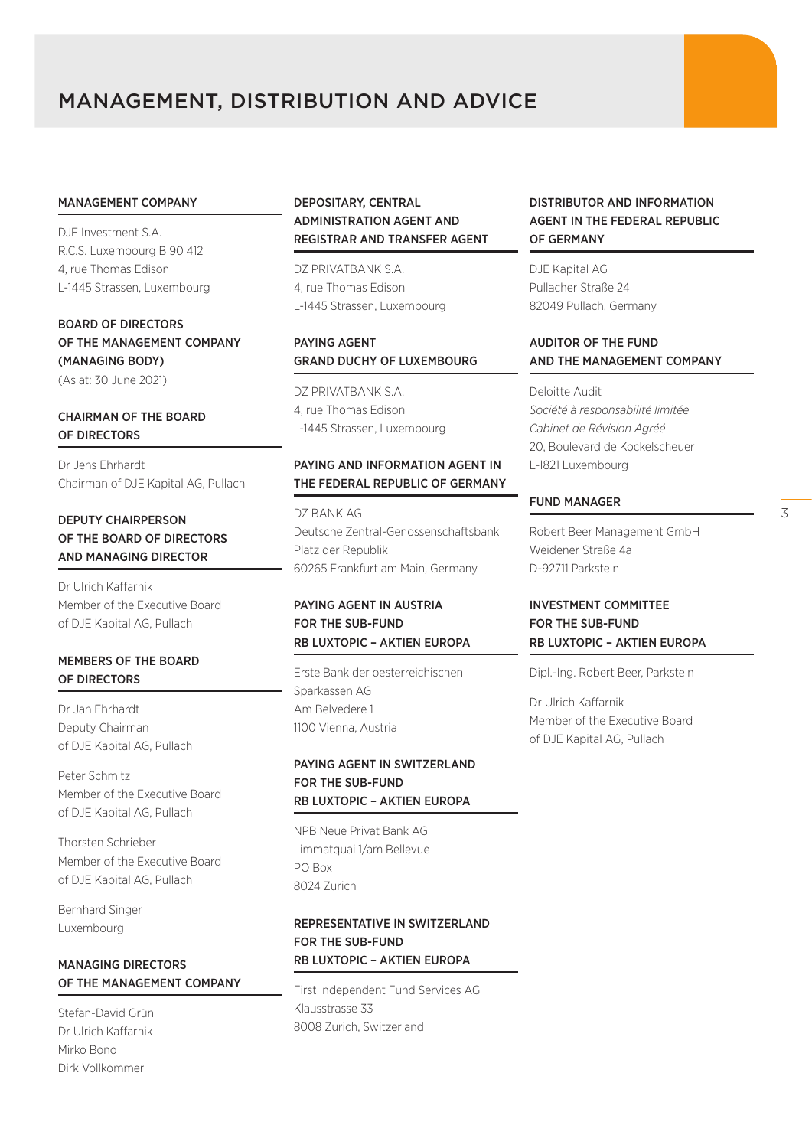# MANAGEMENT, DISTRIBUTION AND ADVICE

#### MANAGEMENT COMPANY

DJE Investment S.A. R.C.S. Luxembourg B 90 412 4, rue Thomas Edison L-1445 Strassen, Luxembourg

BOARD OF DIRECTORS OF THE MANAGEMENT COMPANY (MANAGING BODY) (As at: 30 June 2021)

# CHAIRMAN OF THE BOARD OF DIRECTORS

Dr Jens Ehrhardt Chairman of DJE Kapital AG, Pullach

# DEPUTY CHAIRPERSON OF THE BOARD OF DIRECTORS AND MANAGING DIRECTOR

Dr Ulrich Kaffarnik Member of the Executive Board of DJE Kapital AG, Pullach

# MEMBERS OF THE BOARD OF DIRECTORS

Dr Jan Ehrhardt Deputy Chairman of DJE Kapital AG, Pullach

Peter Schmitz Member of the Executive Board of DJE Kapital AG, Pullach

Thorsten Schrieber Member of the Executive Board of DJE Kapital AG, Pullach

Bernhard Singer Luxembourg

# MANAGING DIRECTORS OF THE MANAGEMENT COMPANY

Stefan-David Grün Dr Ulrich Kaffarnik Mirko Bono Dirk Vollkommer

# DEPOSITARY, CENTRAL ADMINISTRATION AGENT AND REGISTRAR AND TRANSFER AGENT

DZ PRIVATBANK S.A. 4, rue Thomas Edison L-1445 Strassen, Luxembourg

# PAYING AGENT GRAND DUCHY OF LUXEMBOURG

DZ PRIVATBANK S.A. 4, rue Thomas Edison L-1445 Strassen, Luxembourg

# PAYING AND INFORMATION AGENT IN THE FEDERAL REPUBLIC OF GERMANY

DZ BANK AG Deutsche Zentral-Genossenschaftsbank Platz der Republik 60265 Frankfurt am Main, Germany

# PAYING AGENT IN AUSTRIA FOR THE SUB-FUND RB LUXTOPIC – AKTIEN EUROPA

Erste Bank der oesterreichischen Sparkassen AG Am Belvedere 1 1100 Vienna, Austria

# PAYING AGENT IN SWITZERLAND FOR THE SUB-FUND RB LUXTOPIC – AKTIEN EUROPA

NPB Neue Privat Bank AG Limmatquai 1/am Bellevue PO Box 8024 Zurich

# REPRESENTATIVE IN SWITZERLAND FOR THE SUB-FUND RB LUXTOPIC – AKTIEN EUROPA

First Independent Fund Services AG Klausstrasse 33 8008 Zurich, Switzerland

# DISTRIBUTOR AND INFORMATION AGENT IN THE FEDERAL REPUBLIC OF GERMANY

DJE Kapital AG Pullacher Straße 24 82049 Pullach, Germany

# AUDITOR OF THE FUND AND THE MANAGEMENT COMPANY

Deloitte Audit *Société à responsabilité limitée Cabinet de Révision Agréé* 20, Boulevard de Kockelscheuer L-1821 Luxembourg

#### FUND MANAGER

Robert Beer Management GmbH Weidener Straße 4a D-92711 Parkstein

# INVESTMENT COMMITTEE FOR THE SUB-FUND RB LUXTOPIC – AKTIEN EUROPA

Dipl.-Ing. Robert Beer, Parkstein

Dr Ulrich Kaffarnik Member of the Executive Board of DJE Kapital AG, Pullach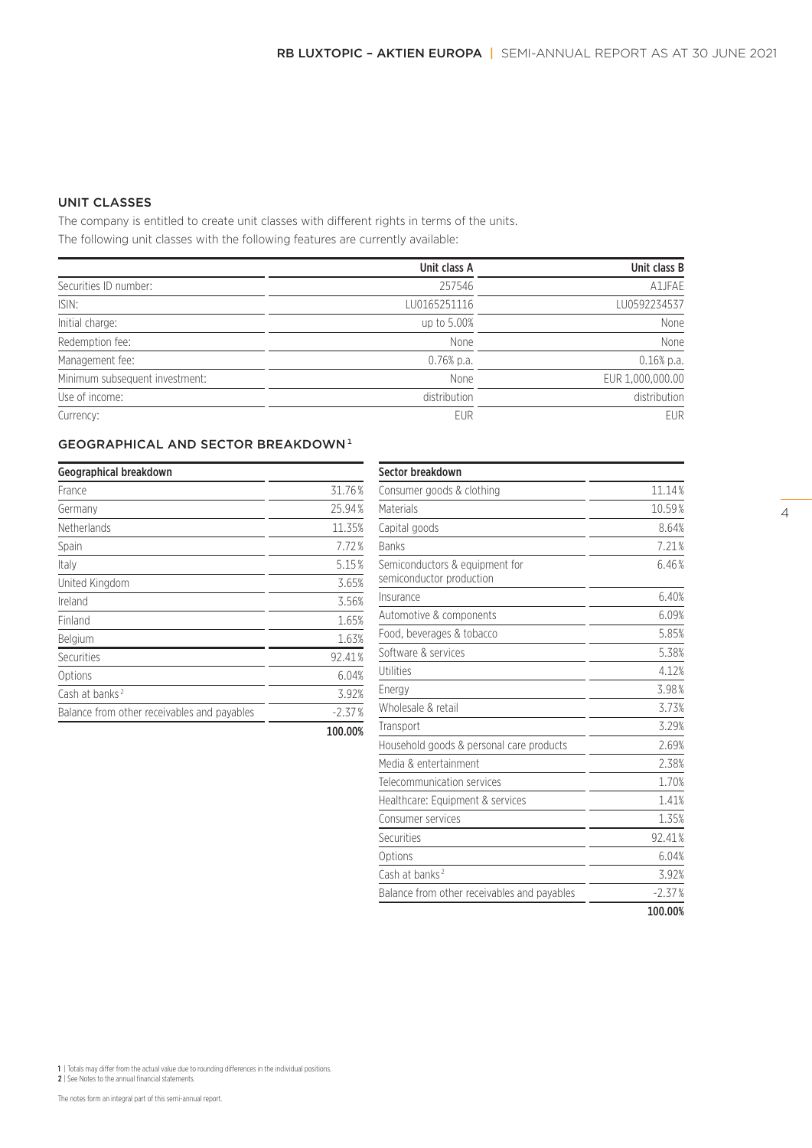# UNIT CLASSES

The company is entitled to create unit classes with different rights in terms of the units. The following unit classes with the following features are currently available:

|                                | Unit class A | Unit class B     |
|--------------------------------|--------------|------------------|
| Securities ID number:          | 257546       | A1JFAE           |
| ISIN:                          | LU0165251116 | LU0592234537     |
| Initial charge:                | up to 5.00%  | None             |
| Redemption fee:                | <b>None</b>  | None             |
| Management fee:                | $0.76%$ p.a. | $0.16%$ p.a.     |
| Minimum subsequent investment: | None         | EUR 1,000,000.00 |
| Use of income:                 | distribution | distribution     |
| Currency:                      | <b>EUR</b>   | <b>EUR</b>       |

# GEOGRAPHICAL AND SECTOR BREAKDOWN<sup>1</sup>

| Geographical breakdown                      |          |
|---------------------------------------------|----------|
| France                                      | 31.76%   |
| Germany                                     | 25.94%   |
| <b>Netherlands</b>                          | 11.35%   |
| Spain                                       | 7.72%    |
| Italy                                       | 5.15%    |
| United Kingdom                              | 3.65%    |
| Ireland                                     | 3.56%    |
| Finland                                     | 1.65%    |
| Belgium                                     | 1.63%    |
| Securities                                  | 92.41%   |
| Options                                     | 6.04%    |
| Cash at banks <sup>2</sup>                  | 3.92%    |
| Balance from other receivables and payables | $-2.37%$ |
|                                             | 100.00%  |

| Sector breakdown                                           |          |
|------------------------------------------------------------|----------|
| Consumer goods & clothing                                  | 11.14%   |
| Materials                                                  | 10.59%   |
| Capital goods                                              | 8.64%    |
| <b>Banks</b>                                               | 7.21%    |
| Semiconductors & equipment for<br>semiconductor production | 6.46%    |
| Insurance                                                  | 6.40%    |
| Automotive & components                                    | 6.09%    |
| Food, beverages & tobacco                                  | 5.85%    |
| Software & services                                        | 5.38%    |
| Utilities                                                  | 4.12%    |
| Energy                                                     | 3.98%    |
| Wholesale & retail                                         | 3.73%    |
| Transport                                                  | 3.29%    |
| Household goods & personal care products                   | 2.69%    |
| Media & entertainment                                      | 2.38%    |
| Telecommunication services                                 | 1.70%    |
| Healthcare: Equipment & services                           | 1.41%    |
| Consumer services                                          | 1.35%    |
| Securities                                                 | 92.41%   |
| Options                                                    | 6.04%    |
| Cash at banks <sup>2</sup>                                 | 3.92%    |
| Balance from other receivables and payables                | $-2.37%$ |
|                                                            | 100.00%  |

1 | Totals may differ from the actual value due to rounding differences in the individual positions. 2 | See Notes to the annual financial statements.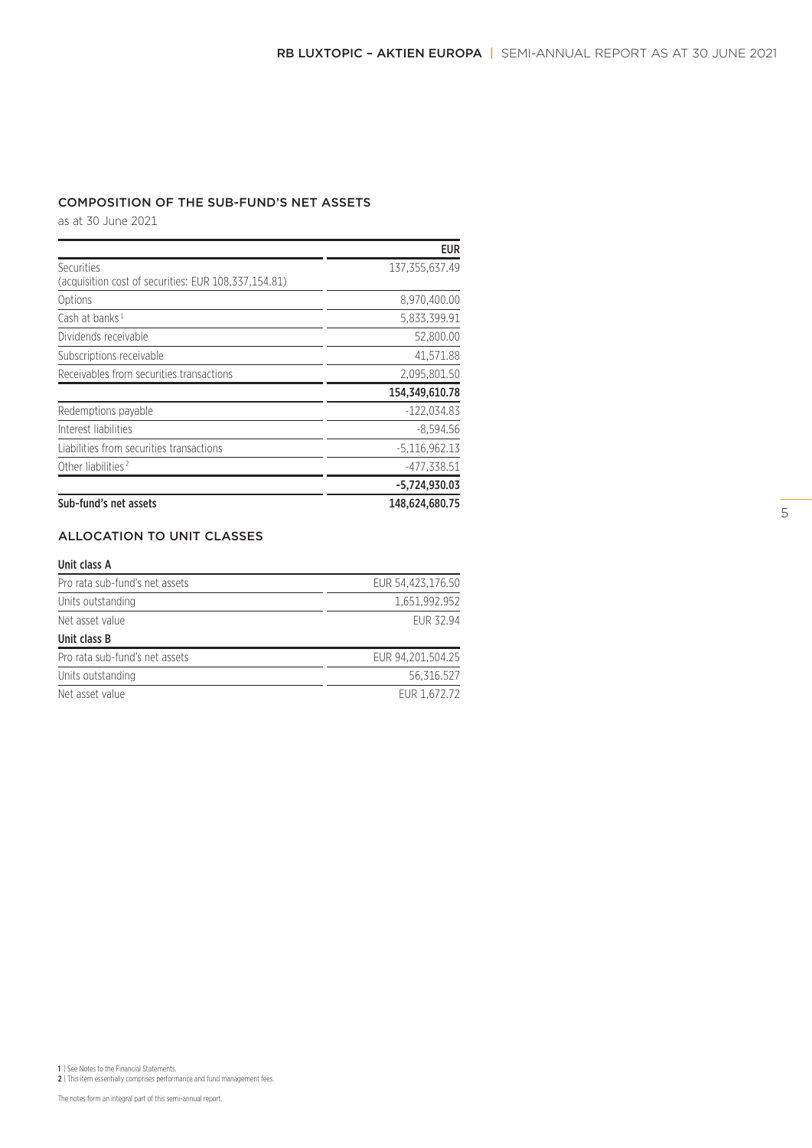# COMPOSITION OF THE SUB-FUND'S NET ASSETS

as at 30 June 2021

|                                                      | <b>EUR</b>      |
|------------------------------------------------------|-----------------|
| Securities                                           | 137,355,637.49  |
| (acquisition cost of securities: EUR 108,337,154.81) |                 |
| Options                                              | 8,970,400.00    |
| Cash at banks $1$                                    | 5,833,399.91    |
| Dividends receivable                                 | 52,800.00       |
| Subscriptions receivable                             | 41.571.88       |
| Receivables from securities transactions             | 2,095,801.50    |
|                                                      | 154,349,610.78  |
| Redemptions payable                                  | $-122.034.83$   |
| Interest liabilities                                 | $-8,594.56$     |
| Liabilities from securities transactions             | $-5,116,962.13$ |
| Other liabilities <sup>2</sup>                       | $-477,338.51$   |
|                                                      | $-5,724,930.03$ |
| Sub-fund's net assets                                | 148.624.680.75  |

# ALLOCATION TO UNIT CLASSES

#### Unit class A

| Pro rata sub-fund's net assets | EUR 54.423.176.50 |
|--------------------------------|-------------------|
| Units outstanding              | 1.651.992.952     |
| Net asset value                | <b>FUR 32.94</b>  |
| Unit class B                   |                   |
| Pro rata sub-fund's net assets | EUR 94.201.504.25 |
| Units outstanding              | 56.316.527        |
| Net asset value                | EUR 1,672.72      |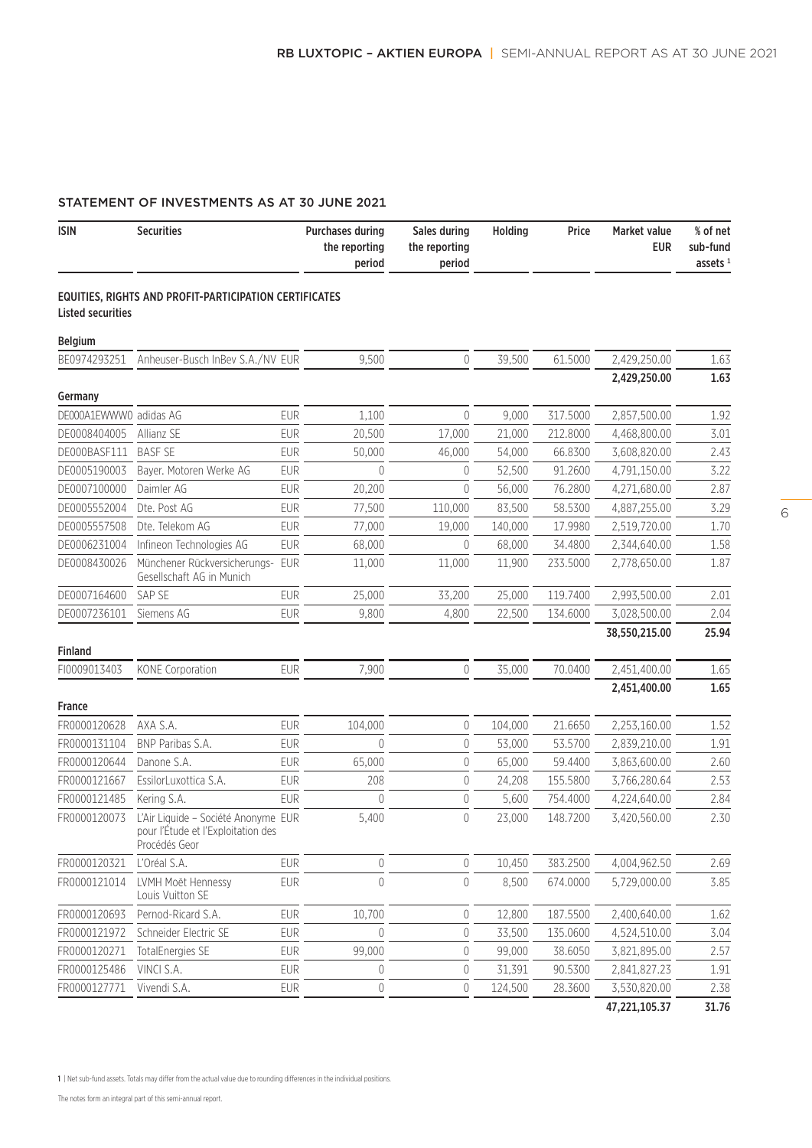# STATEMENT OF INVESTMENTS AS AT 30 JUNE 2021

| <b>ISIN</b>              | <b>Securities</b>                                                                          | <b>Purchases during</b><br>the reporting<br>period | Sales during<br>the reporting<br>period | Holding | Price    | Market value<br><b>EUR</b> | % of net<br>sub-fund<br>assets $1$ |
|--------------------------|--------------------------------------------------------------------------------------------|----------------------------------------------------|-----------------------------------------|---------|----------|----------------------------|------------------------------------|
| <b>Listed securities</b> | EQUITIES, RIGHTS AND PROFIT-PARTICIPATION CERTIFICATES                                     |                                                    |                                         |         |          |                            |                                    |
| <b>Belgium</b>           |                                                                                            |                                                    |                                         |         |          |                            |                                    |
| BE0974293251             | Anheuser-Busch InBev S.A./NV EUR                                                           | 9,500                                              | 0                                       | 39,500  | 61.5000  | 2,429,250.00               | 1.63                               |
|                          |                                                                                            |                                                    |                                         |         |          | 2,429,250.00               | 1.63                               |
| Germany                  |                                                                                            |                                                    |                                         |         |          |                            |                                    |
| DE000A1EWWW0 adidas AG   |                                                                                            | <b>EUR</b><br>1,100                                | $\overline{0}$                          | 9,000   | 317.5000 | 2,857,500.00               | 1.92                               |
| DE0008404005             | Allianz SE                                                                                 | <b>EUR</b><br>20,500                               | 17,000                                  | 21,000  | 212.8000 | 4,468,800.00               | 3.01                               |
| DE000BASF111             | <b>BASF SE</b>                                                                             | <b>EUR</b><br>50,000                               | 46,000                                  | 54,000  | 66.8300  | 3,608,820.00               | 2.43                               |
| DE0005190003             | Bayer. Motoren Werke AG                                                                    | <b>EUR</b><br>$\Omega$                             | $\theta$                                | 52,500  | 91.2600  | 4,791,150.00               | 3.22                               |
| DE0007100000             | Daimler AG                                                                                 | <b>EUR</b><br>20,200                               | $\overline{0}$                          | 56,000  | 76.2800  | 4,271,680.00               | 2.87                               |
| DE0005552004             | Dte. Post AG                                                                               | <b>EUR</b><br>77,500                               | 110,000                                 | 83,500  | 58.5300  | 4,887,255.00               | 3.29                               |
| DE0005557508             | Dte. Telekom AG                                                                            | <b>EUR</b><br>77,000                               | 19,000                                  | 140,000 | 17.9980  | 2,519,720.00               | 1.70                               |
| DE0006231004             | Infineon Technologies AG                                                                   | <b>EUR</b><br>68,000                               | 0                                       | 68,000  | 34.4800  | 2,344,640.00               | 1.58                               |
| DE0008430026             | Münchener Rückversicherungs-<br>Gesellschaft AG in Munich                                  | EUR<br>11,000                                      | 11,000                                  | 11,900  | 233.5000 | 2,778,650.00               | 1.87                               |
| DE0007164600             | SAP SE                                                                                     | <b>EUR</b><br>25,000                               | 33,200                                  | 25,000  | 119.7400 | 2,993,500.00               | 2.01                               |
| DE0007236101             | Siemens AG                                                                                 | <b>EUR</b><br>9,800                                | 4,800                                   | 22,500  | 134.6000 | 3,028,500.00               | 2.04                               |
| <b>Finland</b>           |                                                                                            |                                                    |                                         |         |          | 38,550,215.00              | 25.94                              |
| FI0009013403             | <b>KONE Corporation</b>                                                                    | 7,900<br><b>EUR</b>                                | $\overline{0}$                          | 35,000  | 70.0400  | 2,451,400.00               | 1.65                               |
|                          |                                                                                            |                                                    |                                         |         |          | 2,451,400.00               | 1.65                               |
| <b>France</b>            |                                                                                            |                                                    |                                         |         |          |                            |                                    |
| FR0000120628             | AXA S.A.                                                                                   | <b>EUR</b><br>104,000                              | $\mathbf 0$                             | 104,000 | 21.6650  | 2,253,160.00               | 1.52                               |
| FR0000131104             | BNP Paribas S.A.                                                                           | <b>EUR</b><br>$\bigcap$                            | $\mathbf{0}$                            | 53,000  | 53.5700  | 2,839,210.00               | 1.91                               |
| FR0000120644             | Danone S.A.                                                                                | <b>EUR</b><br>65,000                               | $\mathbf{0}$                            | 65,000  | 59.4400  | 3,863,600.00               | 2.60                               |
| FR0000121667             | EssilorLuxottica S.A.                                                                      | <b>EUR</b><br>208                                  | $\theta$                                | 24,208  | 155.5800 | 3,766,280.64               | 2.53                               |
| FR0000121485             | Kering S.A.                                                                                | <b>EUR</b><br>$\Omega$                             | $\mathbf{0}$                            | 5,600   | 754.4000 | 4,224,640.00               | 2.84                               |
| FR0000120073             | L'Air Liquide - Société Anonyme EUR<br>pour l'Étude et l'Exploitation des<br>Procédés Geor | 5,400                                              | $\mathbf 0$                             | 23,000  | 148.7200 | 3,420,560.00               | 2.30                               |
| FR0000120321             | L'Oréal S.A.                                                                               | <b>EUR</b><br>$\mathbf 0$                          | $\mathbb O$                             | 10,450  | 383.2500 | 4,004,962.50               | 2.69                               |
| FR0000121014             | LVMH Moët Hennessy<br>Louis Vuitton SE                                                     | <b>EUR</b><br>$\overline{0}$                       | $\sqrt{0}$                              | 8,500   | 674.0000 | 5,729,000.00               | 3.85                               |
| FR0000120693             | Pernod-Ricard S.A.                                                                         | <b>EUR</b><br>10,700                               | $\theta$                                | 12,800  | 187.5500 | 2,400,640.00               | 1.62                               |
| FR0000121972             | Schneider Electric SE                                                                      | <b>EUR</b><br>$\theta$                             | $\mathbf 0$                             | 33,500  | 135.0600 | 4,524,510.00               | 3.04                               |
| FR0000120271             | TotalEnergies SE                                                                           | <b>EUR</b><br>99,000                               | $\theta$                                | 99,000  | 38.6050  | 3,821,895.00               | 2.57                               |
| FR0000125486             | VINCI S.A.                                                                                 | $\mathbf 0$<br><b>EUR</b>                          | 0                                       | 31,391  | 90.5300  | 2,841,827.23               | 1.91                               |
| FR0000127771             | Vivendi S.A.                                                                               | <b>EUR</b><br>0                                    | $\overline{0}$                          | 124,500 | 28.3600  | 3,530,820.00               | 2.38                               |
|                          |                                                                                            |                                                    |                                         |         |          | 47,221,105.37              | 31.76                              |

1 | Net sub-fund assets. Totals may differ from the actual value due to rounding differences in the individual positions.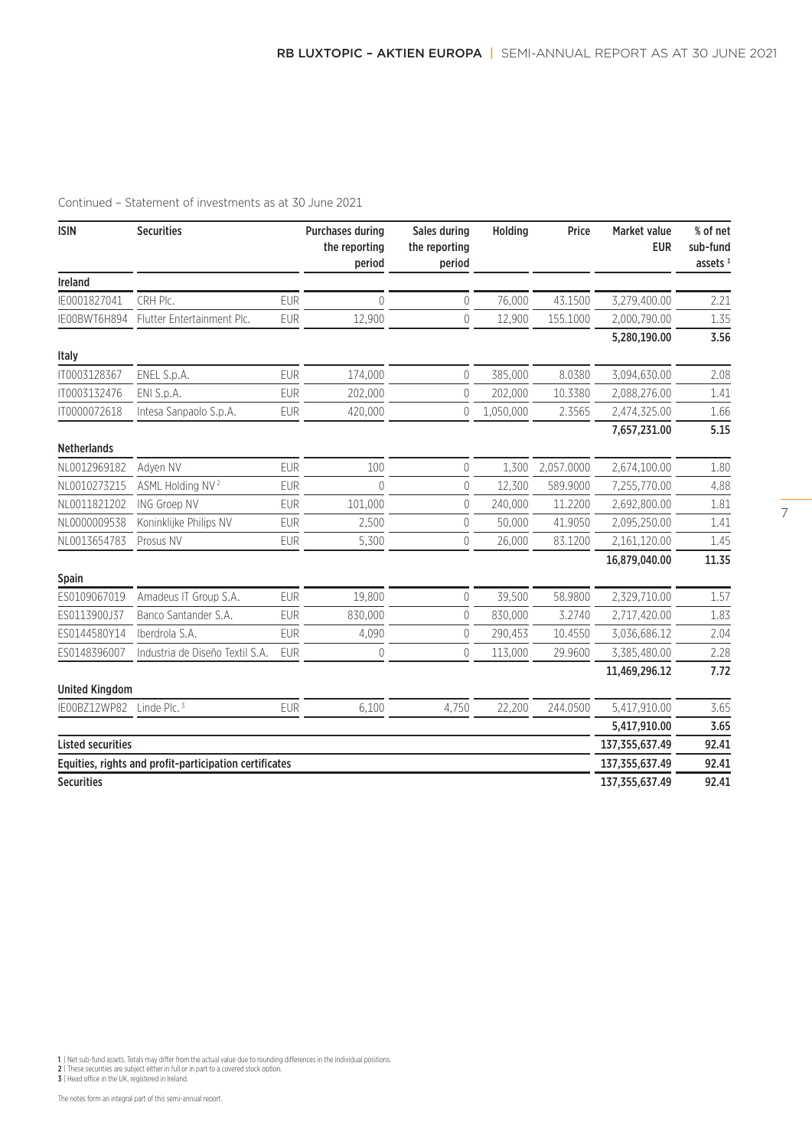| <b>ISIN</b>              | <b>Securities</b>                                      |            | <b>Purchases during</b><br>the reporting<br>period | Sales during<br>the reporting<br>period | Holding   | Price      | Market value<br><b>EUR</b> | % of net<br>sub-fund<br>assets $1$ |
|--------------------------|--------------------------------------------------------|------------|----------------------------------------------------|-----------------------------------------|-----------|------------|----------------------------|------------------------------------|
| Ireland                  |                                                        |            |                                                    |                                         |           |            |                            |                                    |
| IE0001827041             | CRH PIc.                                               | <b>EUR</b> | $\theta$                                           | 0                                       | 76,000    | 43.1500    | 3,279,400.00               | 2.21                               |
| IE00BWT6H894             | Flutter Entertainment Plc.                             | <b>EUR</b> | 12,900                                             | $\overline{0}$                          | 12,900    | 155.1000   | 2,000,790.00               | 1.35                               |
|                          |                                                        |            |                                                    |                                         |           |            | 5,280,190.00               | 3.56                               |
| <b>Italy</b>             |                                                        |            |                                                    |                                         |           |            |                            |                                    |
| IT0003128367             | ENEL S.p.A.                                            | <b>EUR</b> | 174,000                                            | $\overline{0}$                          | 385,000   | 8.0380     | 3,094,630.00               | 2.08                               |
| IT0003132476             | ENI S.p.A.                                             | <b>EUR</b> | 202,000                                            | $\theta$                                | 202,000   | 10.3380    | 2,088,276.00               | 1.41                               |
| IT0000072618             | Intesa Sanpaolo S.p.A.                                 | <b>EUR</b> | 420,000                                            | $\overline{0}$                          | 1,050,000 | 2.3565     | 2,474,325.00               | 1.66                               |
|                          |                                                        |            |                                                    |                                         |           |            | 7,657,231.00               | 5.15                               |
| <b>Netherlands</b>       |                                                        |            |                                                    |                                         |           |            |                            |                                    |
| NL0012969182             | Adyen NV                                               | <b>EUR</b> | 100                                                | $\overline{0}$                          | 1,300     | 2,057.0000 | 2,674,100.00               | 1.80                               |
| NL0010273215             | ASML Holding NV <sup>2</sup>                           | <b>EUR</b> | $\Omega$                                           | 0                                       | 12,300    | 589.9000   | 7,255,770.00               | 4.88                               |
| NL0011821202             | ING Groep NV                                           | <b>EUR</b> | 101,000                                            | $\theta$                                | 240,000   | 11.2200    | 2,692,800.00               | 1.81                               |
| NL0000009538             | Koninklijke Philips NV                                 | <b>EUR</b> | 2,500                                              | $\theta$                                | 50,000    | 41.9050    | 2,095,250.00               | 1.41                               |
| NL0013654783             | Prosus NV                                              | <b>EUR</b> | 5,300                                              | $\theta$                                | 26,000    | 83.1200    | 2,161,120.00               | 1.45                               |
|                          |                                                        |            |                                                    |                                         |           |            | 16.879.040.00              | 11.35                              |
| Spain                    |                                                        |            |                                                    |                                         |           |            |                            |                                    |
| ES0109067019             | Amadeus IT Group S.A.                                  | <b>FUR</b> | 19,800                                             | $\theta$                                | 39,500    | 58.9800    | 2,329,710.00               | 1.57                               |
| ES0113900J37             | Banco Santander S.A.                                   | <b>EUR</b> | 830,000                                            | $\mathbf 0$                             | 830,000   | 3.2740     | 2,717,420.00               | 1.83                               |
| ES0144580Y14             | Iberdrola S.A.                                         | <b>EUR</b> | 4,090                                              | $\overline{0}$                          | 290.453   | 10.4550    | 3,036,686.12               | 2.04                               |
| ES0148396007             | Industria de Diseño Textil S.A.                        | <b>EUR</b> | 0                                                  | $\mathbf 0$                             | 113,000   | 29.9600    | 3,385,480.00               | 2.28                               |
| <b>United Kingdom</b>    |                                                        |            |                                                    |                                         |           |            | 11,469,296.12              | 7.72                               |
| IE00BZ12WP82             | Linde Plc. $3$                                         | <b>EUR</b> | 6,100                                              | 4,750                                   | 22,200    | 244.0500   | 5,417,910.00               | 3.65                               |
|                          |                                                        |            |                                                    |                                         |           |            | 5,417,910.00               | 3.65                               |
| <b>Listed securities</b> |                                                        |            |                                                    |                                         |           |            | 137, 355, 637. 49          | 92.41                              |
|                          | Equities, rights and profit-participation certificates |            |                                                    |                                         |           |            | 137, 355, 637. 49          | 92.41                              |
| <b>Securities</b>        |                                                        |            |                                                    |                                         |           |            | 137,355,637.49             | 92.41                              |

1 | Net sub-fund assets. Totals may differ from the actual value due to rounding differences in the individual positions.<br>2 | These securities are subject either in full or in part to a covered stock option.<br>3 | Head offic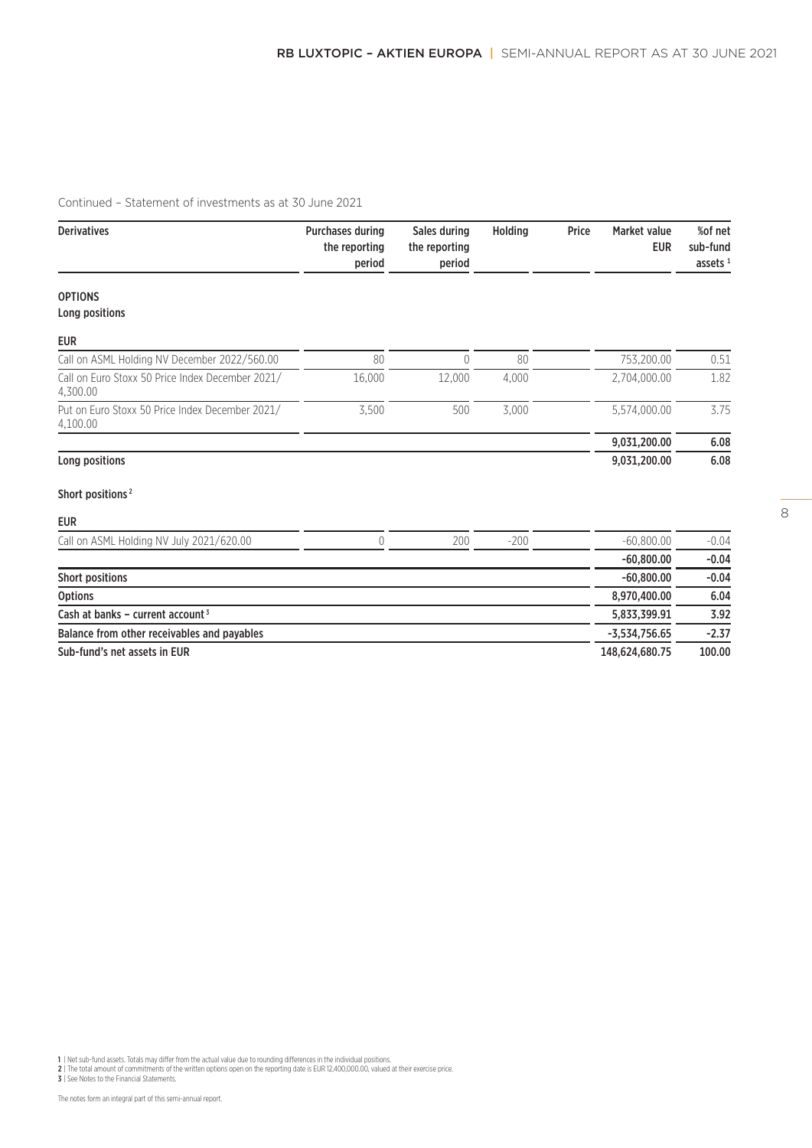| <b>Derivatives</b>                                           | <b>Purchases during</b><br>the reporting<br>period | Sales during<br>the reporting<br>period | Holding | Price | <b>Market value</b><br><b>EUR</b> | %of net<br>sub-fund<br>assets $1$ |
|--------------------------------------------------------------|----------------------------------------------------|-----------------------------------------|---------|-------|-----------------------------------|-----------------------------------|
| <b>OPTIONS</b>                                               |                                                    |                                         |         |       |                                   |                                   |
| Long positions                                               |                                                    |                                         |         |       |                                   |                                   |
| <b>EUR</b>                                                   |                                                    |                                         |         |       |                                   |                                   |
| Call on ASML Holding NV December 2022/560.00                 | 80                                                 | 0                                       | 80      |       | 753,200.00                        | 0.51                              |
| Call on Euro Stoxx 50 Price Index December 2021/<br>4,300.00 | 16,000                                             | 12,000                                  | 4,000   |       | 2.704.000.00                      | 1.82                              |
| Put on Euro Stoxx 50 Price Index December 2021/<br>4,100.00  | 3,500                                              | 500                                     | 3,000   |       | 5,574,000.00                      | 3.75                              |
|                                                              |                                                    |                                         |         |       | 9,031,200.00                      | 6.08                              |
| Long positions                                               |                                                    |                                         |         |       | 9,031,200.00                      | 6.08                              |
| Short positions <sup>2</sup>                                 |                                                    |                                         |         |       |                                   |                                   |
| <b>EUR</b>                                                   |                                                    |                                         |         |       |                                   |                                   |
| Call on ASML Holding NV July 2021/620.00                     | $\theta$                                           | 200                                     | $-200$  |       | $-60,800.00$                      | $-0.04$                           |
|                                                              |                                                    |                                         |         |       | $-60,800,00$                      | $-0.04$                           |
| <b>Short positions</b>                                       |                                                    |                                         |         |       | $-60,800.00$                      | $-0.04$                           |
| <b>Options</b>                                               |                                                    |                                         |         |       | 8,970,400.00                      | 6.04                              |
| Cash at banks - current account $3$                          |                                                    |                                         |         |       | 5,833,399.91                      | 3.92                              |
| Balance from other receivables and payables                  |                                                    |                                         |         |       | $-3,534,756.65$                   | $-2.37$                           |

Sub-fund's net assets in EUR 148,624,680.75 100.00

1 | Net sub-fund assets. Totals may differ from the actual value due to rounding differences in the individual positions.<br>2 | The total amount of commitments of the written options open on the reporting date is EUR 12,400,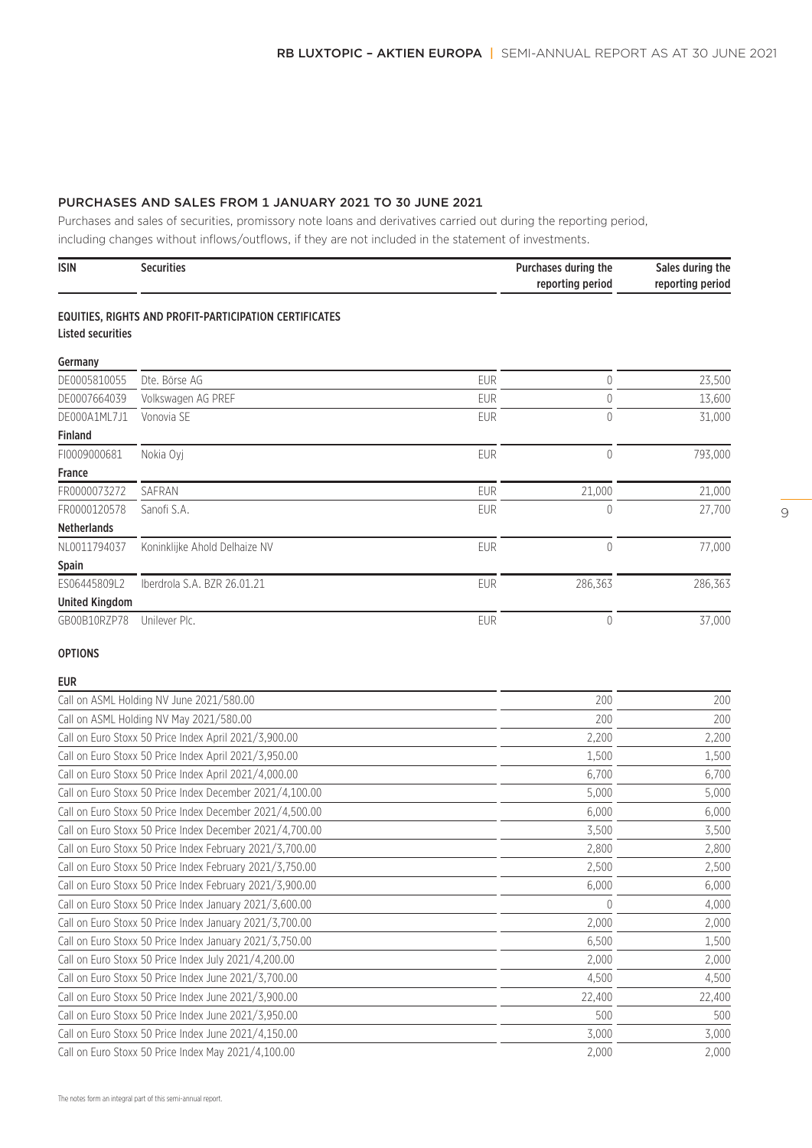# PURCHASES AND SALES FROM 1 JANUARY 2021 TO 30 JUNE 2021

Purchases and sales of securities, promissory note loans and derivatives carried out during the reporting period, including changes without inflows/outflows, if they are not included in the statement of investments.

| <b>ISIN</b> | <b>Securities</b> | Purchases during the | Sales during the |
|-------------|-------------------|----------------------|------------------|
|             |                   | reporting period     | reporting period |

#### EQUITIES, RIGHTS AND PROFIT-PARTICIPATION CERTIFICATES Listed securities

| Germany               |                               |            |         |         |
|-----------------------|-------------------------------|------------|---------|---------|
| DE0005810055          | Dte. Börse AG                 | <b>EUR</b> |         | 23,500  |
| DE0007664039          | Volkswagen AG PREF            | <b>EUR</b> |         | 13,600  |
| DE000A1ML7J1          | Vonovia SE                    | <b>EUR</b> | 0       | 31,000  |
| <b>Finland</b>        |                               |            |         |         |
| FI0009000681          | Nokia Ovi                     | <b>EUR</b> |         | 793,000 |
| <b>France</b>         |                               |            |         |         |
| FR0000073272          | SAFRAN                        | <b>EUR</b> | 21,000  | 21,000  |
| FR0000120578          | Sanofi S.A.                   | <b>EUR</b> |         | 27,700  |
| <b>Netherlands</b>    |                               |            |         |         |
| NL0011794037          | Koninklijke Ahold Delhaize NV | <b>EUR</b> |         | 77,000  |
| <b>Spain</b>          |                               |            |         |         |
| ES06445809L2          | Iberdrola S.A. BZR 26.01.21   | <b>EUR</b> | 286,363 | 286,363 |
| <b>United Kingdom</b> |                               |            |         |         |
| GB00B10RZP78          | Unilever Plc.                 | <b>EUR</b> |         | 37,000  |

#### OPTIONS

# EUR

| 200    | 200    |
|--------|--------|
| 200    | 200    |
| 2,200  | 2,200  |
| 1,500  | 1,500  |
| 6,700  | 6,700  |
| 5,000  | 5,000  |
| 6,000  | 6,000  |
| 3,500  | 3,500  |
| 2,800  | 2,800  |
| 2,500  | 2,500  |
| 6,000  | 6,000  |
| 0      | 4,000  |
| 2,000  | 2,000  |
| 6,500  | 1,500  |
| 2,000  | 2,000  |
| 4,500  | 4,500  |
| 22,400 | 22,400 |
| 500    | 500    |
| 3,000  | 3,000  |
| 2,000  | 2,000  |
|        |        |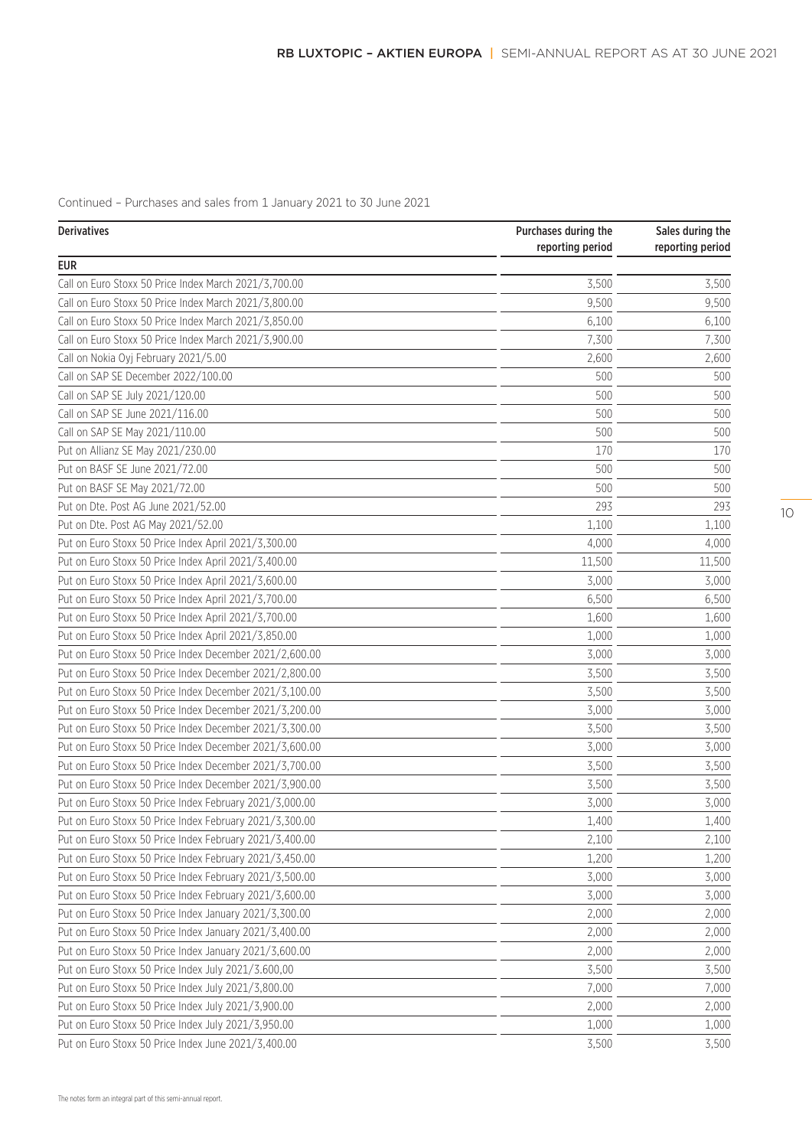Continued – Purchases and sales from 1 January 2021 to 30 June 2021

| <b>Derivatives</b>                                      | Purchases during the<br>reporting period | Sales during the<br>reporting period |
|---------------------------------------------------------|------------------------------------------|--------------------------------------|
| <b>EUR</b>                                              |                                          |                                      |
| Call on Euro Stoxx 50 Price Index March 2021/3,700.00   | 3,500                                    | 3,500                                |
| Call on Euro Stoxx 50 Price Index March 2021/3,800.00   | 9,500                                    | 9,500                                |
| Call on Euro Stoxx 50 Price Index March 2021/3,850.00   | 6,100                                    | 6,100                                |
| Call on Euro Stoxx 50 Price Index March 2021/3,900.00   | 7,300                                    | 7,300                                |
| Call on Nokia Oyj February 2021/5.00                    | 2,600                                    | 2,600                                |
| Call on SAP SE December 2022/100.00                     | 500                                      | 500                                  |
| Call on SAP SE July 2021/120.00                         | 500                                      | 500                                  |
| Call on SAP SE June 2021/116.00                         | 500                                      | 500                                  |
| Call on SAP SE May 2021/110.00                          | 500                                      | 500                                  |
| Put on Allianz SE May 2021/230.00                       | 170                                      | 170                                  |
| Put on BASF SE June 2021/72.00                          | 500                                      | 500                                  |
| Put on BASF SE May 2021/72.00                           | 500                                      | 500                                  |
| Put on Dte. Post AG June 2021/52.00                     | 293                                      | 293                                  |
| Put on Dte. Post AG May 2021/52.00                      | 1,100                                    | 1,100                                |
| Put on Euro Stoxx 50 Price Index April 2021/3,300.00    | 4,000                                    | 4,000                                |
| Put on Euro Stoxx 50 Price Index April 2021/3,400.00    | 11,500                                   | 11,500                               |
| Put on Euro Stoxx 50 Price Index April 2021/3,600.00    | 3,000                                    | 3,000                                |
| Put on Euro Stoxx 50 Price Index April 2021/3,700.00    | 6,500                                    | 6,500                                |
| Put on Euro Stoxx 50 Price Index April 2021/3,700.00    | 1,600                                    | 1,600                                |
| Put on Euro Stoxx 50 Price Index April 2021/3,850.00    | 1,000                                    | 1,000                                |
| Put on Euro Stoxx 50 Price Index December 2021/2,600.00 | 3,000                                    | 3,000                                |
| Put on Euro Stoxx 50 Price Index December 2021/2,800.00 | 3,500                                    | 3,500                                |
| Put on Euro Stoxx 50 Price Index December 2021/3,100.00 | 3,500                                    | 3,500                                |
| Put on Euro Stoxx 50 Price Index December 2021/3,200.00 | 3,000                                    | 3,000                                |
| Put on Euro Stoxx 50 Price Index December 2021/3,300.00 | 3,500                                    | 3,500                                |
| Put on Euro Stoxx 50 Price Index December 2021/3,600.00 | 3,000                                    | 3,000                                |
| Put on Euro Stoxx 50 Price Index December 2021/3,700.00 | 3,500                                    | 3,500                                |
| Put on Euro Stoxx 50 Price Index December 2021/3,900.00 | 3,500                                    | 3,500                                |
| Put on Euro Stoxx 50 Price Index February 2021/3,000.00 | 3,000                                    | 3,000                                |
| Put on Euro Stoxx 50 Price Index February 2021/3,300.00 | 1,400                                    | 1,400                                |
| Put on Euro Stoxx 50 Price Index February 2021/3,400.00 | 2,100                                    | 2,100                                |
| Put on Euro Stoxx 50 Price Index February 2021/3,450.00 | 1,200                                    | 1,200                                |
| Put on Euro Stoxx 50 Price Index February 2021/3,500.00 | 3,000                                    | 3,000                                |
| Put on Euro Stoxx 50 Price Index February 2021/3,600.00 | 3,000                                    | 3,000                                |
| Put on Euro Stoxx 50 Price Index January 2021/3,300.00  | 2,000                                    | 2,000                                |
| Put on Euro Stoxx 50 Price Index January 2021/3,400.00  | 2,000                                    | 2,000                                |
| Put on Euro Stoxx 50 Price Index January 2021/3,600.00  | 2,000                                    | 2,000                                |
| Put on Euro Stoxx 50 Price Index July 2021/3.600,00     | 3,500                                    | 3,500                                |
| Put on Euro Stoxx 50 Price Index July 2021/3,800.00     | 7,000                                    | 7,000                                |
| Put on Euro Stoxx 50 Price Index July 2021/3,900.00     | 2,000                                    | 2,000                                |
| Put on Euro Stoxx 50 Price Index July 2021/3,950.00     | 1,000                                    | 1,000                                |
| Put on Euro Stoxx 50 Price Index June 2021/3,400.00     | 3,500                                    | 3,500                                |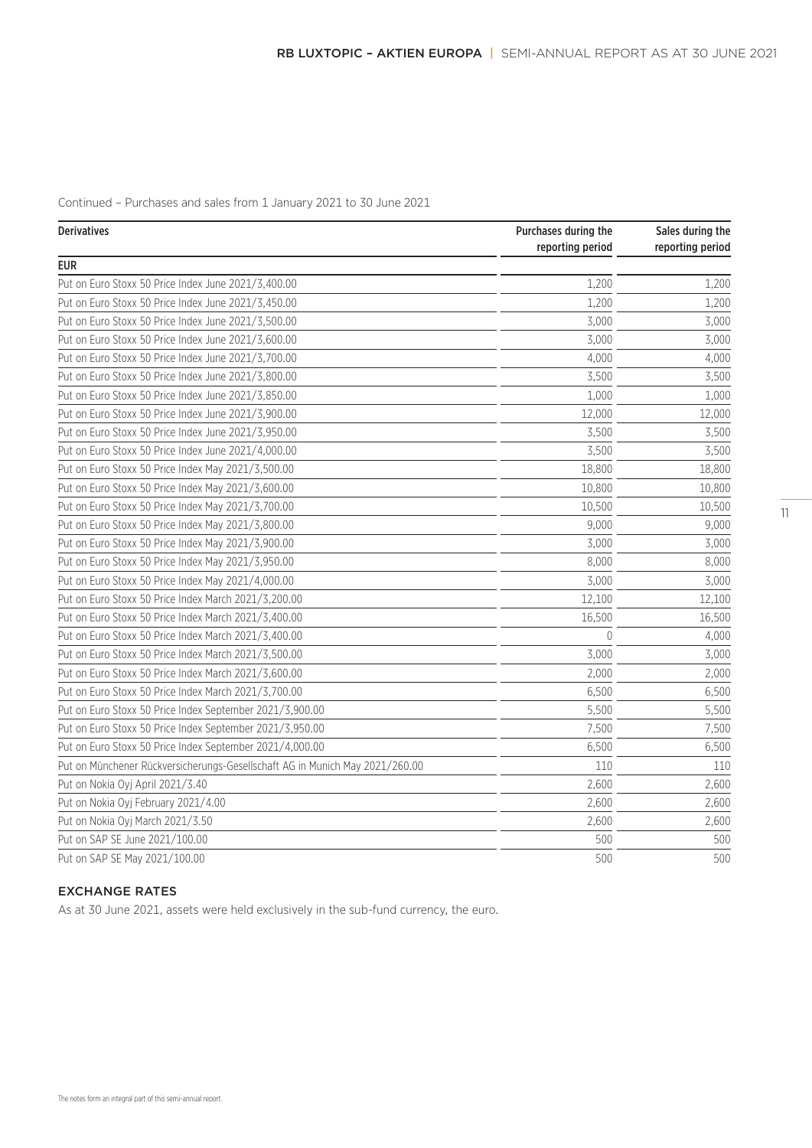Continued – Purchases and sales from 1 January 2021 to 30 June 2021

| <b>Derivatives</b>                                                           | Purchases during the<br>reporting period | Sales during the |  |
|------------------------------------------------------------------------------|------------------------------------------|------------------|--|
| <b>EUR</b>                                                                   |                                          | reporting period |  |
| Put on Euro Stoxx 50 Price Index June 2021/3,400.00                          | 1,200                                    | 1,200            |  |
| Put on Euro Stoxx 50 Price Index June 2021/3,450.00                          | 1,200                                    | 1,200            |  |
| Put on Euro Stoxx 50 Price Index June 2021/3,500.00                          | 3,000                                    | 3,000            |  |
| Put on Euro Stoxx 50 Price Index June 2021/3,600.00                          | 3,000                                    | 3,000            |  |
| Put on Euro Stoxx 50 Price Index June 2021/3,700.00                          | 4,000                                    | 4,000            |  |
| Put on Euro Stoxx 50 Price Index June 2021/3,800.00                          | 3,500                                    | 3,500            |  |
| Put on Euro Stoxx 50 Price Index June 2021/3,850.00                          | 1,000                                    | 1,000            |  |
| Put on Euro Stoxx 50 Price Index June 2021/3,900.00                          | 12,000                                   | 12,000           |  |
| Put on Euro Stoxx 50 Price Index June 2021/3,950.00                          | 3,500                                    | 3,500            |  |
| Put on Euro Stoxx 50 Price Index June 2021/4,000.00                          | 3,500                                    | 3,500            |  |
| Put on Euro Stoxx 50 Price Index May 2021/3,500.00                           | 18,800                                   | 18,800           |  |
| Put on Euro Stoxx 50 Price Index May 2021/3,600.00                           | 10,800                                   | 10,800           |  |
| Put on Euro Stoxx 50 Price Index May 2021/3,700.00                           | 10,500                                   | 10,500           |  |
| Put on Euro Stoxx 50 Price Index May 2021/3,800.00                           | 9,000                                    | 9,000            |  |
| Put on Euro Stoxx 50 Price Index May 2021/3,900.00                           | 3,000                                    | 3,000            |  |
| Put on Euro Stoxx 50 Price Index May 2021/3,950.00                           | 8,000                                    | 8,000            |  |
| Put on Euro Stoxx 50 Price Index May 2021/4,000.00                           | 3,000                                    | 3,000            |  |
| Put on Euro Stoxx 50 Price Index March 2021/3,200.00                         | 12,100                                   | 12,100           |  |
| Put on Euro Stoxx 50 Price Index March 2021/3,400.00                         | 16,500                                   | 16,500           |  |
| Put on Euro Stoxx 50 Price Index March 2021/3,400.00                         | $\theta$                                 | 4,000            |  |
| Put on Euro Stoxx 50 Price Index March 2021/3,500.00                         | 3,000                                    | 3,000            |  |
| Put on Euro Stoxx 50 Price Index March 2021/3,600.00                         | 2,000                                    | 2,000            |  |
| Put on Euro Stoxx 50 Price Index March 2021/3,700.00                         | 6,500                                    | 6,500            |  |
| Put on Euro Stoxx 50 Price Index September 2021/3,900.00                     | 5,500                                    | 5,500            |  |
| Put on Euro Stoxx 50 Price Index September 2021/3,950.00                     | 7,500                                    | 7,500            |  |
| Put on Euro Stoxx 50 Price Index September 2021/4,000.00                     | 6,500                                    | 6,500            |  |
| Put on Münchener Rückversicherungs-Gesellschaft AG in Munich May 2021/260.00 | 110                                      | 110              |  |
| Put on Nokia Oyj April 2021/3.40                                             | 2,600                                    | 2,600            |  |
| Put on Nokia Oyj February 2021/4.00                                          | 2,600                                    | 2,600            |  |
| Put on Nokia Oyj March 2021/3.50                                             | 2,600                                    | 2,600            |  |
| Put on SAP SE June 2021/100.00                                               | 500                                      | 500              |  |
| Put on SAP SE May 2021/100.00                                                | 500                                      | 500              |  |

# EXCHANGE RATES

As at 30 June 2021, assets were held exclusively in the sub-fund currency, the euro.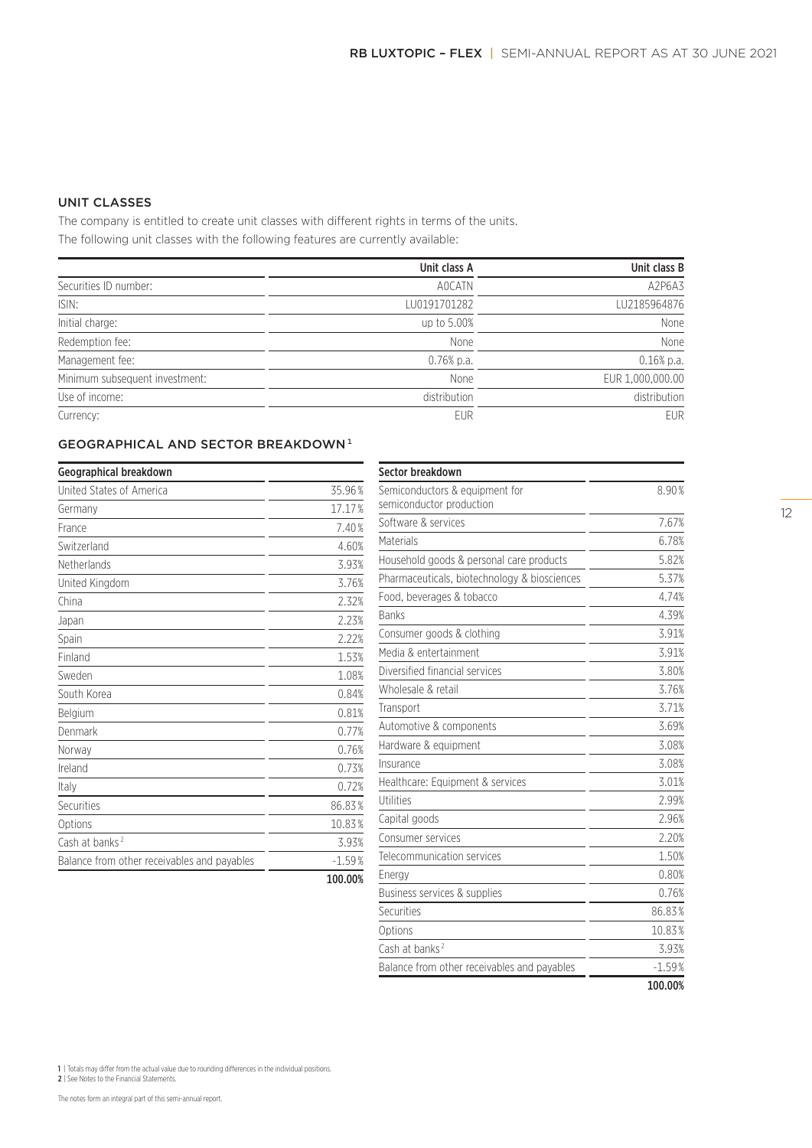Securities 86.83<sup>%</sup> Options 10.83 % Cash at banks<sup>2</sup> 3.93% Balance from other receivables and payables  $\overline{\phantom{0}}$  -1.59%

100.00%

# UNIT CLASSES

The company is entitled to create unit classes with different rights in terms of the units. The following unit classes with the following features are currently available:

|                                | Unit class A | Unit class B     |
|--------------------------------|--------------|------------------|
| Securities ID number:          | A0CATN       | A2P6A3           |
| ISIN:                          | LU0191701282 | LU2185964876     |
| Initial charge:                | up to 5.00%  | None             |
| Redemption fee:                | None         | None             |
| Management fee:                | $0.76%$ p.a. | $0.16%$ p.a.     |
| Minimum subsequent investment: | None         | EUR 1,000,000.00 |
| Use of income:                 | distribution | distribution     |
| Currency:                      | <b>EUR</b>   | <b>EUR</b>       |

# **GEOGRAPHICAL AND SECTOR BREAKDOWN**<sup>1</sup>

| Geographical breakdown                      |          | Sector breakdown                             |       |
|---------------------------------------------|----------|----------------------------------------------|-------|
| United States of America                    | 35.96%   | Semiconductors & equipment for               | 8.90% |
| Germany                                     | 17.17%   | semiconductor production                     |       |
| France                                      | 7.40%    | Software & services                          | 7.67% |
| Switzerland                                 | 4.60%    | Materials                                    | 6.78% |
| Netherlands                                 | 3.93%    | Household goods & personal care products     | 5.82% |
| United Kingdom                              | 3.76%    | Pharmaceuticals, biotechnology & biosciences | 5.37% |
| China                                       | 2.32%    | Food, beverages & tobacco                    | 4.74% |
| Japan                                       | 2.23%    | <b>Banks</b>                                 | 4.39% |
| Spain                                       | 2.22%    | Consumer goods & clothing                    | 3.91% |
| Finland                                     | 1.53%    | Media & entertainment                        | 3.91% |
| Sweden                                      | 1.08%    | Diversified financial services               | 3.80% |
| South Korea                                 | 0.84%    | Wholesale & retail                           | 3.76% |
| Belgium                                     | 0.81%    | Transport                                    | 3.71% |
| Denmark                                     | 0.77%    | Automotive & components                      | 3.69% |
| Norway                                      | 0.76%    | Hardware & equipment                         | 3.08% |
| Ireland                                     | 0.73%    | Insurance                                    | 3.08% |
| Italy                                       | 0.72%    | Healthcare: Equipment & services             | 3.01% |
| Securities                                  | 86.83%   | <b>Utilities</b>                             | 2.99% |
| Options                                     | 10.83%   | Capital goods                                | 2.96% |
| Cash at banks <sup>2</sup>                  | 3.93%    | Consumer services                            | 2.20% |
| Balance from other receivables and payables | $-1.59%$ | Telecommunication services                   | 1.50% |
|                                             | 100.00%  | Energy                                       | 0.80% |
|                                             |          | Business services & supplies                 | 0.76% |

1 | Totals may differ from the actual value due to rounding differences in the individual positions. 2 | See Notes to the Financial Statements.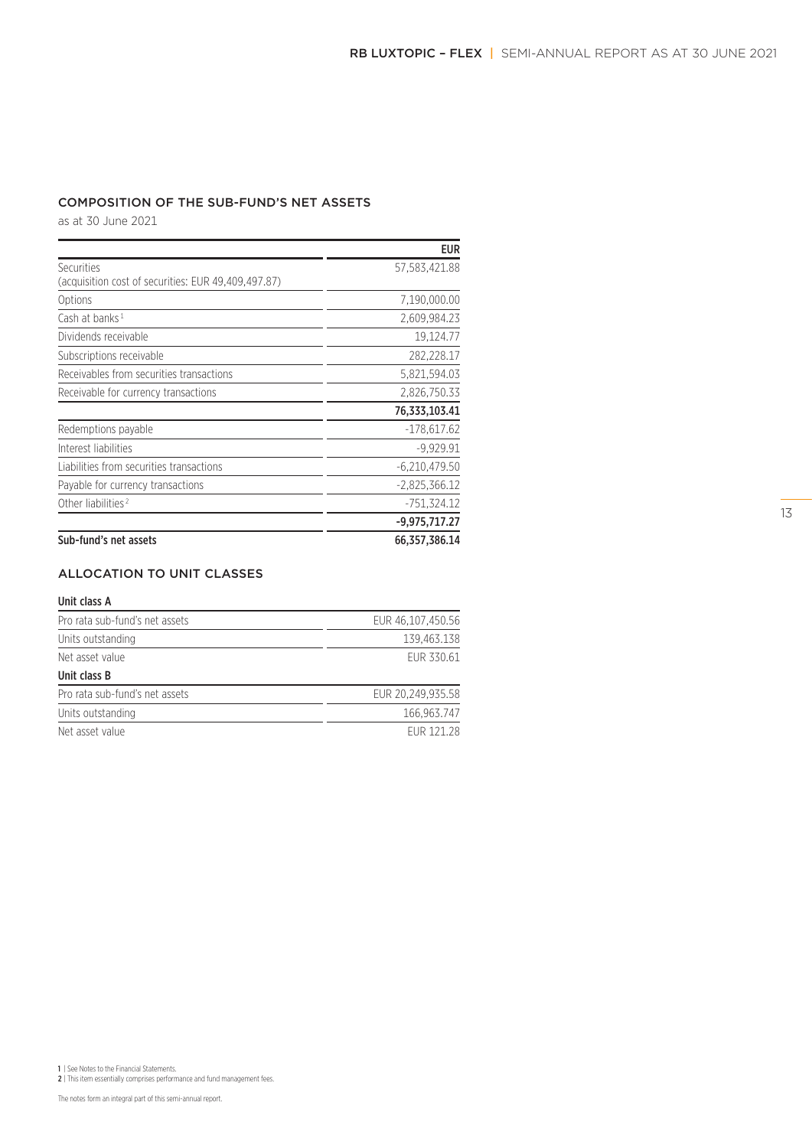# COMPOSITION OF THE SUB-FUND'S NET ASSETS

as at 30 June 2021

|                                                                   | <b>EUR</b>      |
|-------------------------------------------------------------------|-----------------|
| Securities<br>(acquisition cost of securities: EUR 49,409,497.87) | 57,583,421.88   |
| Options                                                           | 7,190,000.00    |
| Cash at banks <sup>1</sup>                                        | 2,609,984.23    |
| Dividends receivable                                              | 19,124.77       |
| Subscriptions receivable                                          | 282,228.17      |
| Receivables from securities transactions                          | 5,821,594.03    |
| Receivable for currency transactions                              | 2,826,750.33    |
|                                                                   | 76,333,103.41   |
| Redemptions payable                                               | $-178,617.62$   |
| Interest liabilities                                              | $-9.929.91$     |
| Liabilities from securities transactions                          | $-6,210,479.50$ |
| Payable for currency transactions                                 | $-2,825,366.12$ |
| Other liabilities <sup>2</sup>                                    | $-751,324.12$   |
|                                                                   | $-9,975,717.27$ |
| Sub-fund's net assets                                             | 66,357,386.14   |

# ALLOCATION TO UNIT CLASSES

#### Unit class A

| Pro rata sub-fund's net assets | EUR 46.107.450.56 |
|--------------------------------|-------------------|
| Units outstanding              | 139.463.138       |
| Net asset value                | FUR 330.61        |
| Unit class B                   |                   |
| Pro rata sub-fund's net assets | EUR 20.249.935.58 |
| Units outstanding              | 166,963.747       |

| $0.1120$ <i>decordinality</i> | 10010001111 |
|-------------------------------|-------------|
| Net asset value               | EUR 121.28  |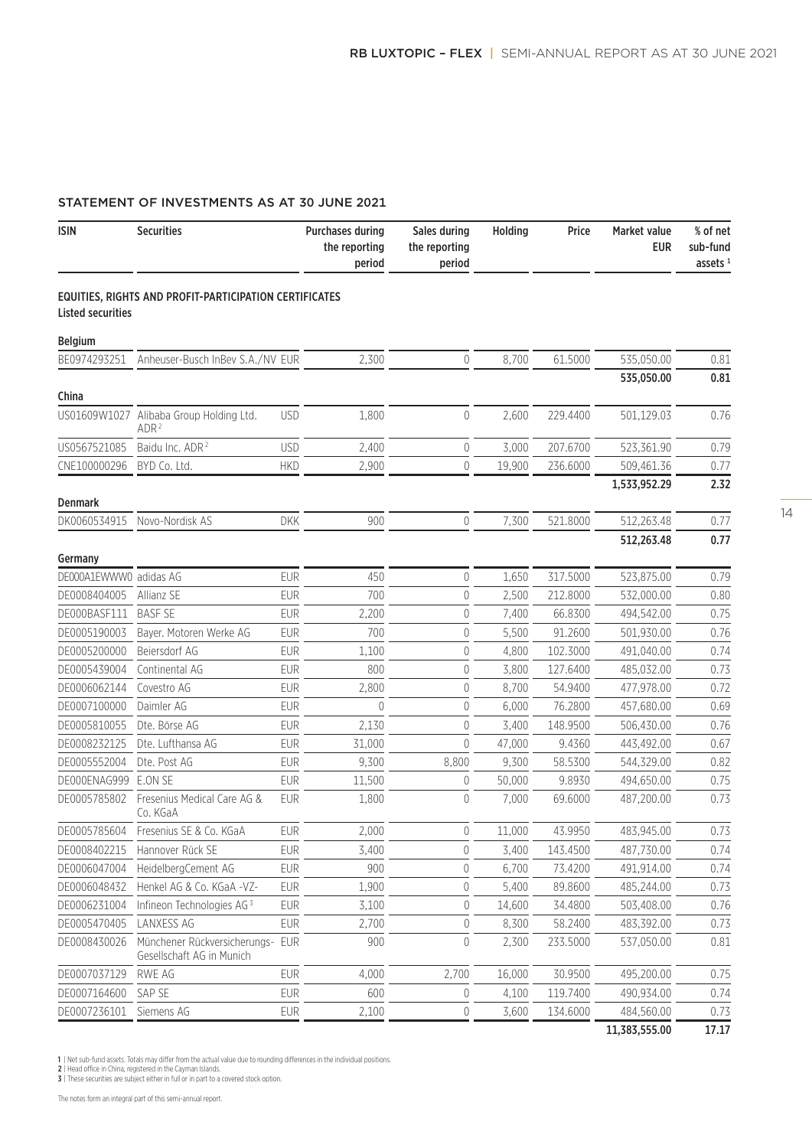# STATEMENT OF INVESTMENTS AS AT 30 JUNE 2021

| <b>ISIN</b>              | <b>Securities</b>                                             | <b>Purchases during</b><br>the reporting | period   | Sales during<br>the reporting<br>period | Holding | Price    | Market value<br><b>EUR</b> | % of net<br>sub-fund<br>assets $1$ |
|--------------------------|---------------------------------------------------------------|------------------------------------------|----------|-----------------------------------------|---------|----------|----------------------------|------------------------------------|
| <b>Listed securities</b> | EQUITIES, RIGHTS AND PROFIT-PARTICIPATION CERTIFICATES        |                                          |          |                                         |         |          |                            |                                    |
| <b>Belgium</b>           |                                                               |                                          |          |                                         |         |          |                            |                                    |
| BE0974293251             | Anheuser-Busch InBev S.A./NV EUR                              |                                          | 2,300    | 0                                       | 8,700   | 61.5000  | 535,050.00                 | 0.81                               |
|                          |                                                               |                                          |          |                                         |         |          | 535,050.00                 | 0.81                               |
| China                    |                                                               |                                          |          |                                         |         |          |                            |                                    |
| US01609W1027             | Alibaba Group Holding Ltd.<br>ADR <sup>2</sup>                | <b>USD</b>                               | 1,800    | $\overline{0}$                          | 2,600   | 229.4400 | 501,129.03                 | 0.76                               |
| US0567521085             | Baidu Inc. ADR <sup>2</sup>                                   | <b>USD</b>                               | 2,400    | 0                                       | 3,000   | 207.6700 | 523,361.90                 | 0.79                               |
| CNE100000296             | BYD Co. Ltd.                                                  | <b>HKD</b>                               | 2,900    | 0                                       | 19,900  | 236.6000 | 509,461.36                 | 0.77                               |
|                          |                                                               |                                          |          |                                         |         |          | 1,533,952.29               | 2.32                               |
| <b>Denmark</b>           |                                                               |                                          |          |                                         |         |          |                            |                                    |
| DK0060534915             | Novo-Nordisk AS                                               | <b>DKK</b>                               | 900      | $\overline{0}$                          | 7,300   | 521.8000 | 512,263.48                 | 0.77                               |
|                          |                                                               |                                          |          |                                         |         |          | 512,263.48                 | 0.77                               |
| Germany                  |                                                               |                                          |          |                                         |         |          |                            |                                    |
| DE000A1EWWW0 adidas AG   |                                                               | <b>EUR</b>                               | 450      | 0                                       | 1,650   | 317.5000 | 523,875.00                 | 0.79                               |
| DE0008404005             | Allianz SE                                                    | <b>EUR</b>                               | 700      | 0                                       | 2,500   | 212.8000 | 532,000.00                 | 0.80                               |
| DE000BASF111             | <b>BASF SE</b>                                                | <b>EUR</b>                               | 2,200    | $\mathbf 0$                             | 7,400   | 66.8300  | 494,542.00                 | 0.75                               |
| DE0005190003             | Bayer. Motoren Werke AG                                       | <b>EUR</b>                               | 700      | 0                                       | 5,500   | 91.2600  | 501,930.00                 | 0.76                               |
| DE0005200000             | Beiersdorf AG                                                 | <b>EUR</b>                               | 1,100    | 0                                       | 4,800   | 102.3000 | 491,040.00                 | 0.74                               |
| DE0005439004             | Continental AG                                                | <b>EUR</b>                               | 800      | $\overline{0}$                          | 3,800   | 127.6400 | 485,032.00                 | 0.73                               |
| DE0006062144             | Covestro AG                                                   | <b>EUR</b>                               | 2,800    | 0                                       | 8,700   | 54.9400  | 477,978.00                 | 0.72                               |
| DE0007100000             | Daimler AG                                                    | <b>EUR</b>                               | $\theta$ | 0                                       | 6,000   | 76.2800  | 457,680.00                 | 0.69                               |
| DE0005810055             | Dte. Börse AG                                                 | <b>EUR</b>                               | 2,130    | 0                                       | 3,400   | 148.9500 | 506,430.00                 | 0.76                               |
| DE0008232125             | Dte. Lufthansa AG                                             | <b>EUR</b>                               | 31,000   | $\overline{0}$                          | 47,000  | 9.4360   | 443,492.00                 | 0.67                               |
| DE0005552004             | Dte. Post AG                                                  | <b>EUR</b>                               | 9,300    | 8,800                                   | 9,300   | 58.5300  | 544,329.00                 | 0.82                               |
| DE000ENAG999             | E.ON SE                                                       | <b>EUR</b>                               | 11,500   | 0                                       | 50,000  | 9.8930   | 494,650.00                 | 0.75                               |
| DE0005785802             | Fresenius Medical Care AG &<br>Co. KGaA                       | <b>EUR</b>                               | 1,800    | 0                                       | 7,000   | 69.6000  | 487,200.00                 | 0.73                               |
| DE0005785604             | Fresenius SE & Co. KGaA                                       | <b>EUR</b>                               | 2,000    | 0                                       | 11,000  | 43.9950  | 483,945.00                 | 0.73                               |
| DE0008402215             | Hannover Rück SE                                              | <b>EUR</b>                               | 3,400    | 0                                       | 3,400   | 143.4500 | 487,730.00                 | 0.74                               |
| DE0006047004             | HeidelbergCement AG                                           | <b>EUR</b>                               | 900      | 0                                       | 6,700   | 73.4200  | 491,914.00                 | 0.74                               |
| DE0006048432             | Henkel AG & Co. KGaA -VZ-                                     | <b>EUR</b>                               | 1,900    | 0                                       | 5,400   | 89.8600  | 485,244.00                 | 0.73                               |
| DE0006231004             | Infineon Technologies AG <sup>3</sup>                         | <b>EUR</b>                               | 3,100    | 0                                       | 14,600  | 34.4800  | 503,408.00                 | 0.76                               |
| DE0005470405             | LANXESS AG                                                    | <b>EUR</b>                               | 2,700    | 0                                       | 8,300   | 58.2400  | 483,392.00                 | 0.73                               |
| DE0008430026             | Münchener Rückversicherungs- EUR<br>Gesellschaft AG in Munich |                                          | 900      | 0                                       | 2,300   | 233.5000 | 537,050.00                 | 0.81                               |
| DE0007037129             | RWE AG                                                        | <b>EUR</b>                               | 4,000    | 2,700                                   | 16,000  | 30.9500  | 495,200.00                 | 0.75                               |
| DE0007164600             | SAP SE                                                        | <b>EUR</b>                               | 600      | 0                                       | 4,100   | 119.7400 | 490,934.00                 | 0.74                               |
| DE0007236101             | Siemens AG                                                    | <b>EUR</b>                               | 2,100    | 0                                       | 3,600   | 134.6000 | 484,560.00                 | 0.73                               |

11,383,555.00 17.17

1 | Net sub-fund assets. Totals may differ from the actual value due to rounding differences in the individual positions.<br>2 | Head office in China, registered in the Cayman Islands.<br>3 | These securities are subject either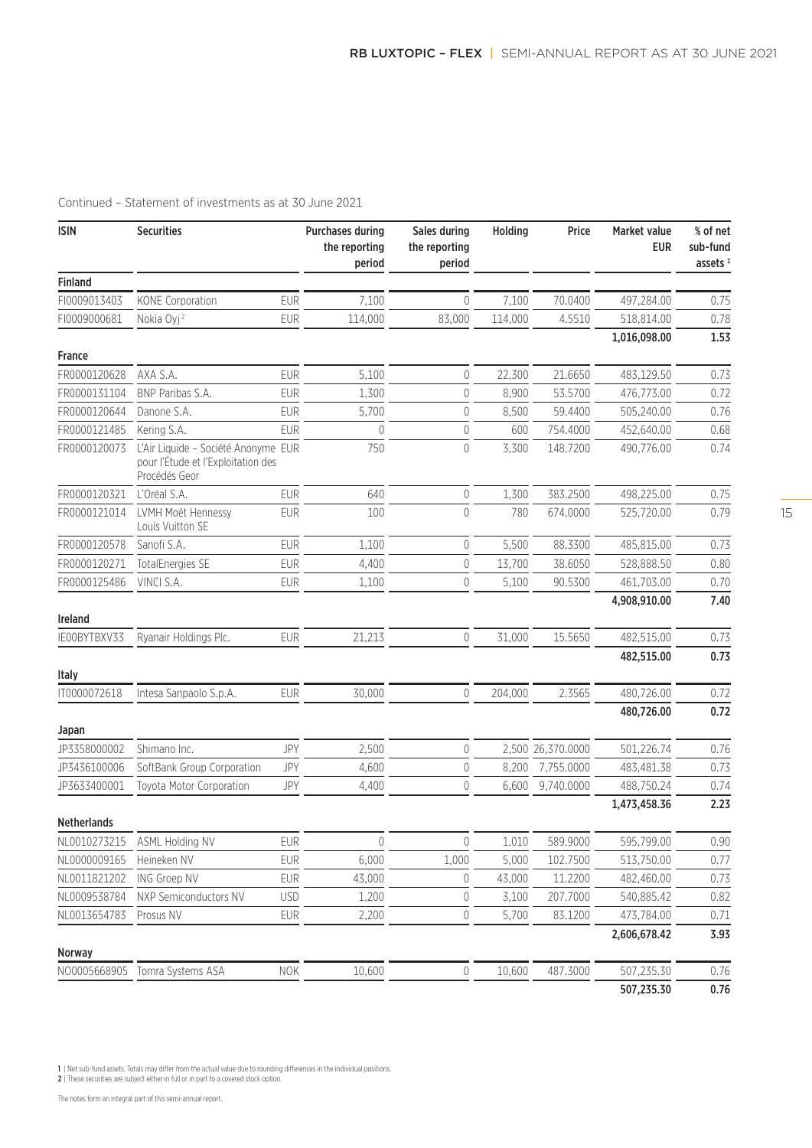| <b>ISIN</b>             | <b>Securities</b>                                                                          |            | <b>Purchases during</b><br>the reporting<br>period | Sales during<br>the reporting<br>period | Holding | Price       | Market value<br><b>EUR</b> | % of net<br>sub-fund<br>assets $1$ |
|-------------------------|--------------------------------------------------------------------------------------------|------------|----------------------------------------------------|-----------------------------------------|---------|-------------|----------------------------|------------------------------------|
| <b>Finland</b>          |                                                                                            |            |                                                    |                                         |         |             |                            |                                    |
| FI0009013403            | KONE Corporation                                                                           | <b>EUR</b> | 7,100                                              | 0                                       | 7,100   | 70.0400     | 497,284.00                 | 0.75                               |
| FI0009000681            | Nokia Oyj <sup>2</sup>                                                                     | <b>EUR</b> | 114,000                                            | 83,000                                  | 114,000 | 4.5510      | 518,814.00                 | 0.78                               |
|                         |                                                                                            |            |                                                    |                                         |         |             | 1,016,098.00               | 1.53                               |
| <b>France</b>           |                                                                                            |            |                                                    |                                         |         |             |                            |                                    |
| FR0000120628            | AXA S.A.                                                                                   | <b>EUR</b> | 5,100                                              | 0                                       | 22,300  | 21.6650     | 483,129.50                 | 0.73                               |
| FR0000131104            | BNP Paribas S.A.                                                                           | <b>EUR</b> | 1,300                                              | $\overline{0}$                          | 8,900   | 53.5700     | 476,773.00                 | 0.72                               |
| FR0000120644            | Danone S.A.                                                                                | <b>EUR</b> | 5,700                                              | $\mathbf 0$                             | 8,500   | 59.4400     | 505,240.00                 | 0.76                               |
| FR0000121485            | Kering S.A.                                                                                | <b>EUR</b> | 0                                                  | $\mathbf 0$                             | 600     | 754.4000    | 452,640.00                 | 0.68                               |
| FR0000120073            | L'Air Liquide - Société Anonyme EUR<br>pour l'Étude et l'Exploitation des<br>Procédés Geor |            | 750                                                | $\mathbf{0}$                            | 3,300   | 148.7200    | 490,776.00                 | 0.74                               |
| FR0000120321            | L'Oréal S.A.                                                                               | <b>EUR</b> | 640                                                | $\mathbf 0$                             | 1,300   | 383.2500    | 498,225.00                 | 0.75                               |
| FR0000121014            | LVMH Moët Hennessy<br>Louis Vuitton SE                                                     | <b>EUR</b> | 100                                                | $\theta$                                | 780     | 674.0000    | 525,720.00                 | 0.79                               |
| FR0000120578            | Sanofi S.A.                                                                                | <b>EUR</b> | 1,100                                              | $\mathbf 0$                             | 5,500   | 88.3300     | 485,815.00                 | 0.73                               |
| FR0000120271            | TotalEnergies SE                                                                           | <b>EUR</b> | 4,400                                              | $\mathbf 0$                             | 13,700  | 38.6050     | 528,888.50                 | 0.80                               |
| FR0000125486            | VINCI S.A.                                                                                 | <b>EUR</b> | 1,100                                              | $\mathbf 0$                             | 5,100   | 90.5300     | 461,703.00                 | 0.70                               |
|                         |                                                                                            |            |                                                    |                                         |         |             | 4,908,910.00               | 7.40                               |
| Ireland<br>IE00BYTBXV33 | Ryanair Holdings Plc.                                                                      | <b>EUR</b> | 21,213                                             | $\mathbf 0$                             | 31,000  | 15.5650     | 482,515.00                 | 0.73                               |
|                         |                                                                                            |            |                                                    |                                         |         |             | 482,515.00                 | 0.73                               |
| Italy                   |                                                                                            |            |                                                    |                                         |         |             |                            |                                    |
| IT0000072618            | Intesa Sanpaolo S.p.A.                                                                     | <b>EUR</b> | 30,000                                             | $\theta$                                | 204,000 | 2.3565      | 480,726.00                 | 0.72                               |
|                         |                                                                                            |            |                                                    |                                         |         |             | 480,726.00                 | 0.72                               |
| Japan                   |                                                                                            |            |                                                    |                                         |         |             |                            |                                    |
| JP3358000002            | Shimano Inc.                                                                               | JPY        | 2,500                                              | $\theta$                                | 2,500   | 26,370.0000 | 501,226.74                 | 0.76                               |
| JP3436100006            | SoftBank Group Corporation                                                                 | JPY        | 4,600                                              | $\mathbf 0$                             | 8,200   | 7,755.0000  | 483,481.38                 | 0.73                               |
| JP3633400001            | Toyota Motor Corporation                                                                   | JPY        | 4,400                                              | $\overline{0}$                          | 6,600   | 9,740.0000  | 488,750.24                 | 0.74                               |
| <b>Netherlands</b>      |                                                                                            |            |                                                    |                                         |         |             | 1,473,458.36               | 2.23                               |
| NL0010273215            | <b>ASML Holding NV</b>                                                                     | <b>EUR</b> | $\theta$                                           | $\mathbf 0$                             | 1,010   | 589.9000    | 595,799.00                 | 0.90                               |
| NL0000009165            | Heineken NV                                                                                | <b>EUR</b> | 6,000                                              | 1,000                                   | 5,000   | 102.7500    | 513,750.00                 | 0.77                               |
| NL0011821202            | ING Groep NV                                                                               | <b>EUR</b> | 43,000                                             | 0                                       | 43,000  | 11.2200     | 482,460.00                 | 0.73                               |
| NL0009538784            | NXP Semiconductors NV                                                                      | <b>USD</b> | 1,200                                              | 0                                       | 3,100   | 207.7000    | 540,885.42                 | 0.82                               |
| NL0013654783            | Prosus NV                                                                                  | <b>EUR</b> | 2,200                                              | $\mathbf 0$                             | 5,700   | 83.1200     | 473,784.00                 | 0.71                               |
|                         |                                                                                            |            |                                                    |                                         |         |             | 2,606,678.42               | 3.93                               |
| Norway                  |                                                                                            |            |                                                    |                                         |         |             |                            |                                    |
| NO0005668905            | Tomra Systems ASA                                                                          | <b>NOK</b> | 10,600                                             | $\mathbf 0$                             | 10,600  | 487.3000    | 507,235.30                 | 0.76                               |
|                         |                                                                                            |            |                                                    |                                         |         |             | 507,235.30                 | 0.76                               |

1 | Net sub-fund assets. Totals may differ from the actual value due to rounding differences in the individual positions. 2 | These securities are subject either in full or in part to a covered stock option.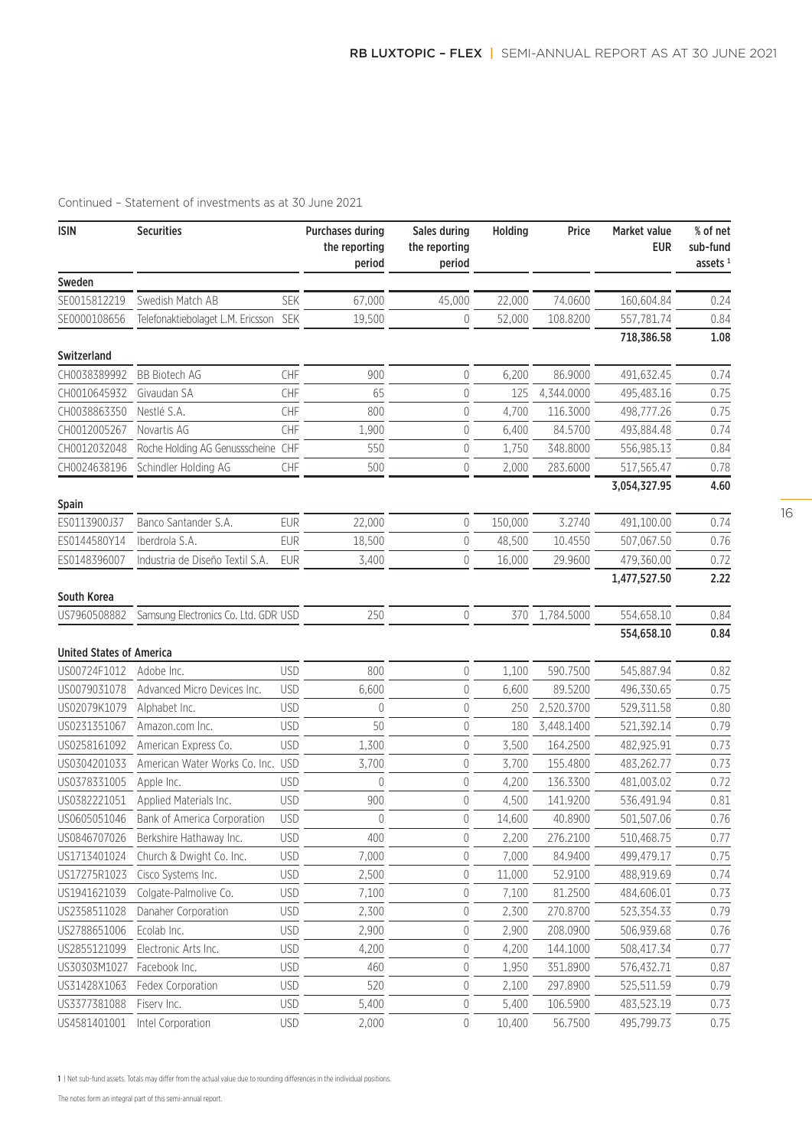| <b>ISIN</b>                     | <b>Securities</b>                    |            | <b>Purchases during</b><br>the reporting<br>period | Sales during<br>the reporting<br>period | Holding | Price      | <b>Market value</b><br><b>EUR</b> | % of net<br>sub-fund<br>assets $1$ |
|---------------------------------|--------------------------------------|------------|----------------------------------------------------|-----------------------------------------|---------|------------|-----------------------------------|------------------------------------|
| Sweden                          |                                      |            |                                                    |                                         |         |            |                                   |                                    |
| SE0015812219                    | Swedish Match AB                     | SEK        | 67,000                                             | 45,000                                  | 22,000  | 74.0600    | 160,604.84                        | 0.24                               |
| SE0000108656                    | Telefonaktiebolaget L.M. Ericsson    | <b>SEK</b> | 19,500                                             | 0                                       | 52,000  | 108.8200   | 557,781.74                        | 0.84                               |
|                                 |                                      |            |                                                    |                                         |         |            | 718,386.58                        | 1.08                               |
| <b>Switzerland</b>              |                                      |            |                                                    |                                         |         |            |                                   |                                    |
| CH0038389992                    | <b>BB Biotech AG</b>                 | CHF        | 900                                                | 0                                       | 6,200   | 86.9000    | 491,632.45                        | 0.74                               |
| CH0010645932                    | Givaudan SA                          | CHF        | 65                                                 | 0                                       | 125     | 4,344.0000 | 495,483.16                        | 0.75                               |
| CH0038863350                    | Nestlé S.A.                          | CHF        | 800                                                | $\mathbf 0$                             | 4,700   | 116.3000   | 498,777.26                        | 0.75                               |
| CH0012005267                    | Novartis AG                          | CHF        | 1,900                                              | $\mathbf 0$                             | 6,400   | 84.5700    | 493,884.48                        | 0.74                               |
| CH0012032048                    | Roche Holding AG Genussscheine       | <b>CHF</b> | 550                                                | 0                                       | 1,750   | 348.8000   | 556,985.13                        | 0.84                               |
| CH0024638196                    | Schindler Holding AG                 | CHF        | 500                                                | $\overline{0}$                          | 2,000   | 283.6000   | 517,565.47                        | 0.78                               |
| <b>Spain</b>                    |                                      |            |                                                    |                                         |         |            | 3,054,327.95                      | 4.60                               |
| ES0113900J37                    | Banco Santander S.A.                 | <b>EUR</b> | 22,000                                             | 0                                       | 150,000 | 3.2740     | 491,100.00                        | 0.74                               |
| ES0144580Y14                    | Iberdrola S.A.                       | <b>EUR</b> | 18,500                                             | 0                                       | 48,500  | 10.4550    | 507,067.50                        | 0.76                               |
| ES0148396007                    | Industria de Diseño Textil S.A.      | <b>EUR</b> | 3,400                                              | $\mathbf 0$                             | 16,000  | 29.9600    | 479,360.00                        | 0.72                               |
|                                 |                                      |            |                                                    |                                         |         |            | 1,477,527.50                      | 2.22                               |
| South Korea                     |                                      |            |                                                    |                                         |         |            |                                   |                                    |
| US7960508882                    | Samsung Electronics Co. Ltd. GDR USD |            | 250                                                | $\overline{0}$                          | 370     | 1,784.5000 | 554,658.10                        | 0.84                               |
| <b>United States of America</b> |                                      |            |                                                    |                                         |         |            | 554,658.10                        | 0.84                               |
| US00724F1012                    | Adobe Inc.                           | <b>USD</b> | 800                                                | 0                                       | 1,100   | 590.7500   | 545,887.94                        | 0.82                               |
| US0079031078                    | Advanced Micro Devices Inc.          | <b>USD</b> | 6,600                                              | $\mathbf 0$                             | 6,600   | 89.5200    | 496,330.65                        | 0.75                               |
| US02079K1079                    | Alphabet Inc.                        | <b>USD</b> | $\mathbf 0$                                        | 0                                       | 250     | 2,520.3700 | 529,311.58                        | 0.80                               |
| US0231351067                    | Amazon.com Inc.                      | <b>USD</b> | 50                                                 | 0                                       | 180     | 3,448.1400 | 521,392.14                        | 0.79                               |
| US0258161092                    | American Express Co.                 | <b>USD</b> | 1,300                                              | 0                                       | 3,500   | 164.2500   | 482,925.91                        | 0.73                               |
| US0304201033                    | American Water Works Co. Inc.        | <b>USD</b> | 3,700                                              | $\mathbf 0$                             | 3,700   | 155.4800   | 483,262.77                        | 0.73                               |
| US0378331005                    | Apple Inc.                           | <b>USD</b> | 0                                                  | 0                                       | 4,200   | 136.3300   | 481,003.02                        | 0.72                               |
| US0382221051                    | Applied Materials Inc.               | <b>USD</b> | 900                                                | 0                                       | 4,500   | 141.9200   | 536,491.94                        | 0.81                               |
| US0605051046                    | Bank of America Corporation          | <b>USD</b> | 0                                                  | 0                                       | 14,600  | 40.8900    | 501,507.06                        | 0.76                               |
| US0846707026                    | Berkshire Hathaway Inc.              | <b>USD</b> | 400                                                | 0                                       | 2,200   | 276.2100   | 510,468.75                        | 0.77                               |
| US1713401024                    | Church & Dwight Co. Inc.             | <b>USD</b> | 7,000                                              | 0                                       | 7,000   | 84.9400    | 499,479.17                        | 0.75                               |
| US17275R1023                    | Cisco Systems Inc.                   | <b>USD</b> | 2,500                                              | 0                                       | 11,000  | 52.9100    | 488,919.69                        | 0.74                               |
| US1941621039                    | Colgate-Palmolive Co.                | <b>USD</b> | 7,100                                              | 0                                       | 7,100   | 81.2500    | 484,606.01                        | 0.73                               |
| US2358511028                    | Danaher Corporation                  | <b>USD</b> | 2,300                                              | 0                                       | 2,300   | 270.8700   | 523,354.33                        | 0.79                               |
| US2788651006                    | Ecolab Inc.                          | <b>USD</b> | 2,900                                              | 0                                       | 2,900   | 208.0900   | 506,939.68                        | 0.76                               |
| US2855121099                    | Electronic Arts Inc.                 | <b>USD</b> | 4,200                                              | 0                                       | 4,200   | 144.1000   | 508,417.34                        | 0.77                               |
| US30303M1027                    | Facebook Inc.                        | <b>USD</b> | 460                                                | 0                                       | 1,950   | 351.8900   | 576,432.71                        | 0.87                               |
| US31428X1063                    | Fedex Corporation                    | <b>USD</b> | 520                                                | 0                                       | 2,100   | 297.8900   | 525,511.59                        | 0.79                               |
| US3377381088                    | Fiserv Inc.                          | <b>USD</b> | 5,400                                              | 0                                       | 5,400   | 106.5900   | 483,523.19                        | 0.73                               |
| US4581401001                    | Intel Corporation                    | <b>USD</b> | 2,000                                              | 0                                       | 10,400  | 56.7500    | 495,799.73                        | 0.75                               |

1 | Net sub-fund assets. Totals may differ from the actual value due to rounding differences in the individual positions.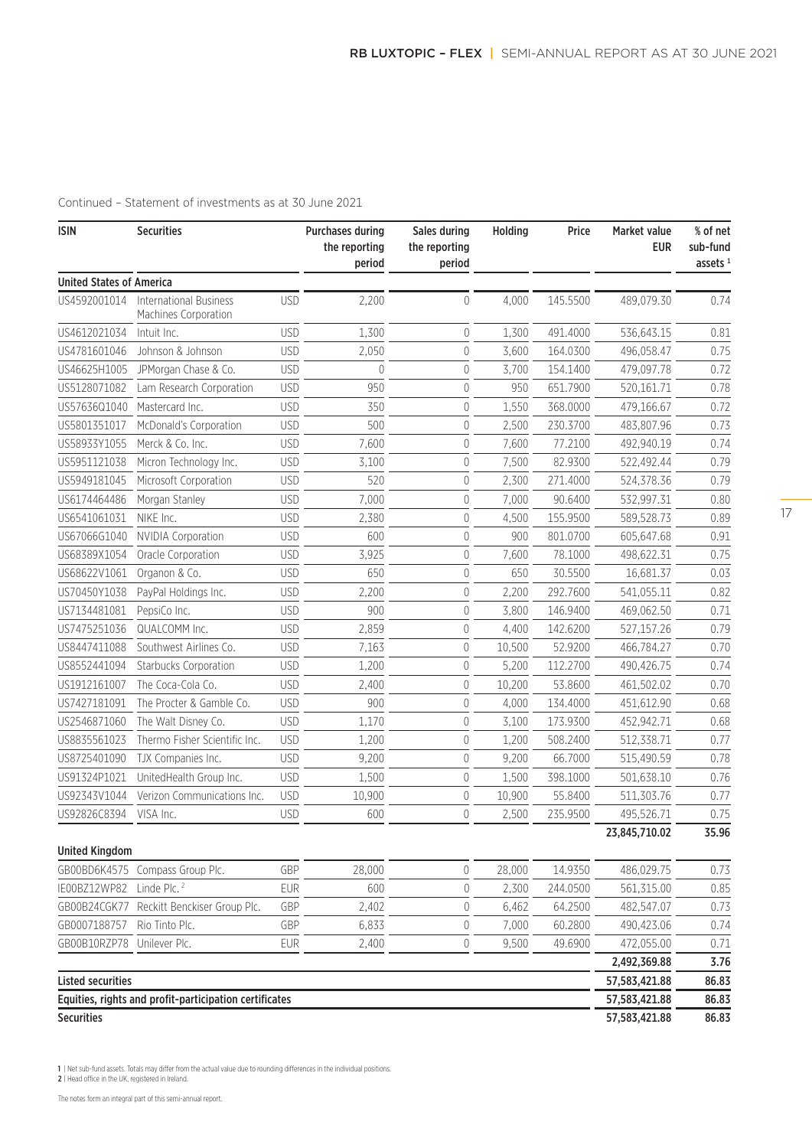| <b>ISIN</b>                     | <b>Securities</b>                                      |            | <b>Purchases during</b><br>the reporting<br>period | Sales during<br>the reporting<br>period | Holding | Price    | Market value<br><b>EUR</b> | % of net<br>sub-fund<br>assets $1$ |
|---------------------------------|--------------------------------------------------------|------------|----------------------------------------------------|-----------------------------------------|---------|----------|----------------------------|------------------------------------|
| <b>United States of America</b> |                                                        |            |                                                    |                                         |         |          |                            |                                    |
| US4592001014                    | <b>International Business</b><br>Machines Corporation  | <b>USD</b> | 2,200                                              | 0                                       | 4,000   | 145.5500 | 489,079.30                 | 0.74                               |
| US4612021034                    | Intuit Inc.                                            | <b>USD</b> | 1,300                                              | 0                                       | 1,300   | 491.4000 | 536,643.15                 | 0.81                               |
| US4781601046                    | Johnson & Johnson                                      | <b>USD</b> | 2,050                                              | 0                                       | 3,600   | 164.0300 | 496,058.47                 | 0.75                               |
| US46625H1005                    | JPMorgan Chase & Co.                                   | <b>USD</b> | $\theta$                                           | 0                                       | 3,700   | 154.1400 | 479,097.78                 | 0.72                               |
| US5128071082                    | Lam Research Corporation                               | <b>USD</b> | 950                                                | $\overline{0}$                          | 950     | 651.7900 | 520,161.71                 | 0.78                               |
| US57636Q1040                    | Mastercard Inc.                                        | <b>USD</b> | 350                                                | $\theta$                                | 1,550   | 368.0000 | 479,166.67                 | 0.72                               |
| US5801351017                    | McDonald's Corporation                                 | <b>USD</b> | 500                                                | $\theta$                                | 2,500   | 230.3700 | 483,807.96                 | 0.73                               |
| US58933Y1055                    | Merck & Co. Inc.                                       | <b>USD</b> | 7,600                                              | $\theta$                                | 7,600   | 77.2100  | 492,940.19                 | 0.74                               |
| US5951121038                    | Micron Technology Inc.                                 | <b>USD</b> | 3,100                                              | $\overline{0}$                          | 7,500   | 82.9300  | 522,492.44                 | 0.79                               |
| US5949181045                    | Microsoft Corporation                                  | <b>USD</b> | 520                                                | $\overline{0}$                          | 2,300   | 271.4000 | 524,378.36                 | 0.79                               |
| US6174464486                    | Morgan Stanley                                         | <b>USD</b> | 7,000                                              | 0                                       | 7,000   | 90.6400  | 532,997.31                 | 0.80                               |
| US6541061031                    | NIKE Inc.                                              | <b>USD</b> | 2,380                                              | $\overline{0}$                          | 4,500   | 155.9500 | 589,528.73                 | 0.89                               |
| US67066G1040                    | <b>NVIDIA Corporation</b>                              | <b>USD</b> | 600                                                | $\theta$                                | 900     | 801.0700 | 605,647.68                 | 0.91                               |
| US68389X1054                    | Oracle Corporation                                     | <b>USD</b> | 3,925                                              | 0                                       | 7,600   | 78.1000  | 498,622.31                 | 0.75                               |
| US68622V1061                    | Organon & Co.                                          | <b>USD</b> | 650                                                | $\theta$                                | 650     | 30.5500  | 16,681.37                  | 0.03                               |
| US70450Y1038                    | PayPal Holdings Inc.                                   | <b>USD</b> | 2,200                                              | $\mathbf{0}$                            | 2,200   | 292.7600 | 541,055.11                 | 0.82                               |
| US7134481081                    | PepsiCo Inc.                                           | <b>USD</b> | 900                                                | $\mathbf{0}$                            | 3,800   | 146.9400 | 469,062.50                 | 0.71                               |
| US7475251036                    | QUALCOMM Inc.                                          | <b>USD</b> | 2,859                                              | 0                                       | 4,400   | 142.6200 | 527,157.26                 | 0.79                               |
| US8447411088                    | Southwest Airlines Co.                                 | <b>USD</b> | 7,163                                              | $\overline{0}$                          | 10,500  | 52.9200  | 466,784.27                 | 0.70                               |
| US8552441094                    | Starbucks Corporation                                  | <b>USD</b> | 1,200                                              | $\overline{0}$                          | 5,200   | 112.2700 | 490,426.75                 | 0.74                               |
| US1912161007                    | The Coca-Cola Co.                                      | <b>USD</b> | 2,400                                              | $\theta$                                | 10,200  | 53.8600  | 461,502.02                 | 0.70                               |
| US7427181091                    | The Procter & Gamble Co.                               | <b>USD</b> | 900                                                | $\theta$                                | 4,000   | 134.4000 | 451,612.90                 | 0.68                               |
| US2546871060                    | The Walt Disney Co.                                    | <b>USD</b> | 1,170                                              | $\theta$                                | 3,100   | 173.9300 | 452,942.71                 | 0.68                               |
| US8835561023                    | Thermo Fisher Scientific Inc.                          | <b>USD</b> | 1,200                                              | $\overline{0}$                          | 1,200   | 508.2400 | 512,338.71                 | 0.77                               |
| US8725401090                    | TJX Companies Inc.                                     | <b>USD</b> | 9,200                                              | 0                                       | 9,200   | 66.7000  | 515,490.59                 | 0.78                               |
| US91324P1021                    | UnitedHealth Group Inc.                                | <b>USD</b> | 1,500                                              | $\overline{0}$                          | 1,500   | 398.1000 | 501,638.10                 | 0.76                               |
| US92343V1044                    | Verizon Communications Inc.                            | <b>USD</b> | 10,900                                             | $\overline{0}$                          | 10,900  | 55.8400  | 511,303.76                 | 0.77                               |
| US92826C8394                    | VISA Inc.                                              | <b>USD</b> | 600                                                | $\Omega$                                | 2,500   | 235.9500 | 495,526.71                 | 0.75                               |
| <b>United Kingdom</b>           |                                                        |            |                                                    |                                         |         |          | 23,845,710.02              | 35.96                              |
| GB00BD6K4575                    | Compass Group Plc.                                     | GBP        | 28,000                                             | $\mathbf 0$                             | 28,000  | 14.9350  | 486,029.75                 | 0.73                               |
| IE00BZ12WP82                    | Linde Plc. <sup>2</sup>                                | <b>EUR</b> | 600                                                | $\mathbf 0$                             | 2,300   | 244.0500 | 561,315.00                 | 0.85                               |
| GB00B24CGK77                    | Reckitt Benckiser Group Plc.                           | GBP        | 2,402                                              | 0                                       | 6,462   | 64.2500  | 482,547.07                 | 0.73                               |
| GB0007188757                    | Rio Tinto Plc.                                         | GBP        | 6,833                                              | 0                                       | 7,000   | 60.2800  | 490,423.06                 | 0.74                               |
| GB00B10RZP78                    | Unilever Plc.                                          | <b>EUR</b> | 2,400                                              | 0                                       | 9,500   | 49.6900  | 472,055.00                 | 0.71                               |
|                                 |                                                        |            |                                                    |                                         |         |          | 2,492,369.88               | 3.76                               |
| <b>Listed securities</b>        |                                                        |            |                                                    |                                         |         |          | 57,583,421.88              | 86.83                              |
|                                 | Equities, rights and profit-participation certificates |            |                                                    |                                         |         |          | 57,583,421.88              | 86.83                              |
| <b>Securities</b>               |                                                        |            |                                                    |                                         |         |          | 57,583,421.88              | 86.83                              |

1 | Net sub-fund assets. Totals may differ from the actual value due to rounding differences in the individual positions. 2 | Head office in the UK, registered in Ireland.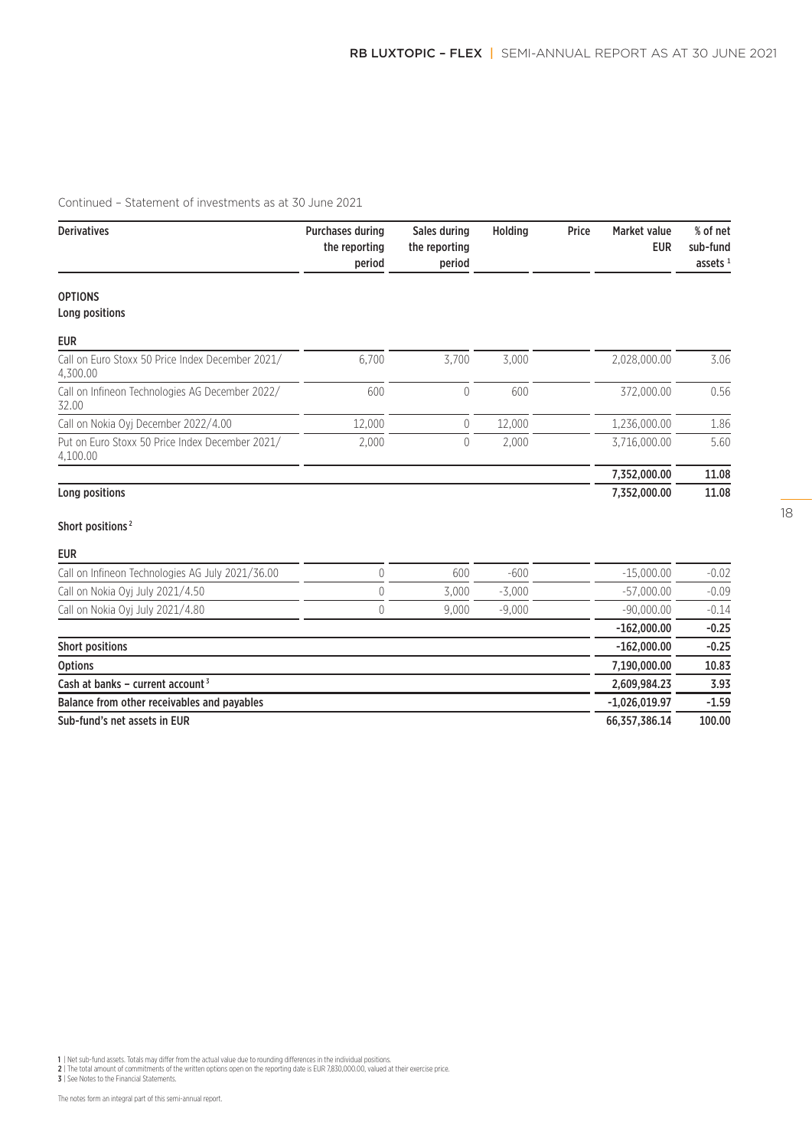| <b>Derivatives</b>                                           | <b>Purchases during</b><br>the reporting<br>period | Sales during<br>the reporting<br>period | Holding  | Price | <b>Market value</b><br><b>EUR</b> | % of net<br>sub-fund<br>assets $1$ |
|--------------------------------------------------------------|----------------------------------------------------|-----------------------------------------|----------|-------|-----------------------------------|------------------------------------|
| <b>OPTIONS</b>                                               |                                                    |                                         |          |       |                                   |                                    |
| Long positions                                               |                                                    |                                         |          |       |                                   |                                    |
| <b>EUR</b>                                                   |                                                    |                                         |          |       |                                   |                                    |
| Call on Euro Stoxx 50 Price Index December 2021/<br>4,300.00 | 6,700                                              | 3,700                                   | 3,000    |       | 2,028,000.00                      | 3.06                               |
| Call on Infineon Technologies AG December 2022/<br>32.00     | 600                                                | 0                                       | 600      |       | 372,000.00                        | 0.56                               |
| Call on Nokia Oyj December 2022/4.00                         | 12,000                                             | 0                                       | 12.000   |       | 1,236,000.00                      | 1.86                               |
| Put on Euro Stoxx 50 Price Index December 2021/<br>4,100.00  | 2,000                                              | 0                                       | 2,000    |       | 3,716,000.00                      | 5.60                               |
|                                                              |                                                    |                                         |          |       | 7,352,000.00                      | 11.08                              |
| Long positions                                               |                                                    |                                         |          |       | 7,352,000.00                      | 11.08                              |
| Short positions <sup>2</sup>                                 |                                                    |                                         |          |       |                                   |                                    |
| <b>EUR</b>                                                   |                                                    |                                         |          |       |                                   |                                    |
| Call on Infineon Technologies AG July 2021/36.00             | 0                                                  | 600                                     | $-600$   |       | $-15,000.00$                      | $-0.02$                            |
| Call on Nokia Oyj July 2021/4.50                             | $\overline{0}$                                     | 3.000                                   | $-3,000$ |       | $-57,000.00$                      | $-0.09$                            |
| Call on Nokia Oyj July 2021/4.80                             | $\Omega$                                           | 9.000                                   | $-9.000$ |       | $-90.000.00$                      | $-0.14$                            |
|                                                              |                                                    |                                         |          |       | $-162,000.00$                     | $-0.25$                            |
| <b>Short positions</b>                                       |                                                    |                                         |          |       | $-162,000.00$                     | $-0.25$                            |
| <b>Options</b>                                               |                                                    |                                         |          |       | 7,190,000.00                      | 10.83                              |
| Cash at banks - current account $3$                          |                                                    |                                         |          |       | 2,609,984.23                      | 3.93                               |
| Balance from other receivables and payables                  |                                                    |                                         |          |       | $-1,026,019.97$                   | $-1.59$                            |
| Sub-fund's net assets in EUR                                 |                                                    |                                         |          |       | 66,357,386.14                     | 100.00                             |

1 | Net sub-fund assets. Totals may differ from the actual value due to rounding differences in the individual positions.<br>2 | The total amount of commitments of the written options open on the reporting date is EUR 7,830,0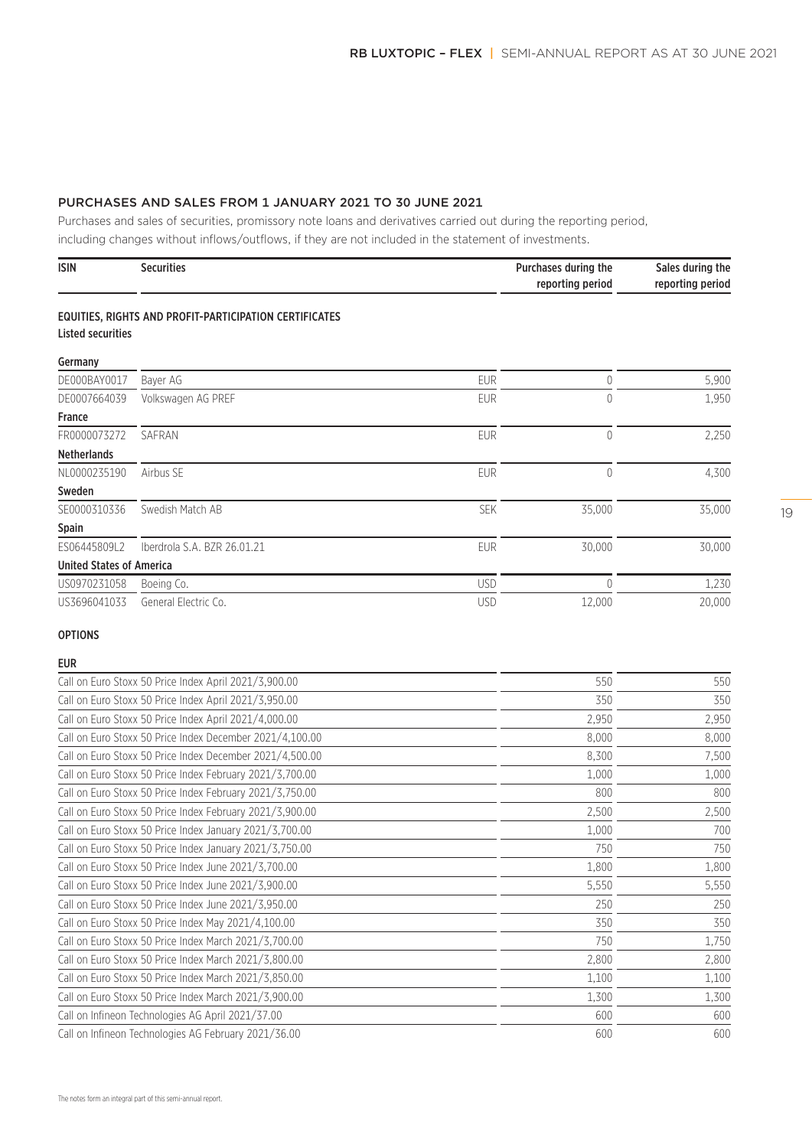# PURCHASES AND SALES FROM 1 JANUARY 2021 TO 30 JUNE 2021

Purchases and sales of securities, promissory note loans and derivatives carried out during the reporting period, including changes without inflows/outflows, if they are not included in the statement of investments.

| <b>ISIN</b> | <b>Securities</b> | Purchases during the | Sales during the |
|-------------|-------------------|----------------------|------------------|
|             |                   | reporting period     | reporting period |

#### EQUITIES, RIGHTS AND PROFIT-PARTICIPATION CERTIFICATES Listed securities

| Germany                         |                             |            |        |        |
|---------------------------------|-----------------------------|------------|--------|--------|
| DE000BAY0017                    | Bayer AG                    | <b>EUR</b> |        | 5,900  |
| DE0007664039                    | Volkswagen AG PREF          | <b>EUR</b> | 0      | 1,950  |
| <b>France</b>                   |                             |            |        |        |
| FR0000073272                    | SAFRAN                      | <b>EUR</b> |        | 2,250  |
| <b>Netherlands</b>              |                             |            |        |        |
| NL0000235190                    | Airbus SE                   | <b>EUR</b> |        | 4,300  |
| Sweden                          |                             |            |        |        |
| SE0000310336                    | Swedish Match AB            | <b>SEK</b> | 35,000 | 35,000 |
| <b>Spain</b>                    |                             |            |        |        |
| ES06445809L2                    | Iberdrola S.A. BZR 26.01.21 | <b>EUR</b> | 30,000 | 30,000 |
| <b>United States of America</b> |                             |            |        |        |
| US0970231058                    | Boeing Co.                  | <b>USD</b> |        | 1,230  |
| US3696041033                    | General Electric Co.        | <b>USD</b> | 12,000 | 20,000 |

#### OPTIONS

# EUR

| Call on Euro Stoxx 50 Price Index April 2021/3,900.00    | 550   | 550   |
|----------------------------------------------------------|-------|-------|
| Call on Euro Stoxx 50 Price Index April 2021/3,950.00    | 350   | 350   |
| Call on Euro Stoxx 50 Price Index April 2021/4,000.00    | 2,950 | 2,950 |
| Call on Euro Stoxx 50 Price Index December 2021/4,100.00 | 8,000 | 8,000 |
| Call on Euro Stoxx 50 Price Index December 2021/4,500.00 | 8,300 | 7,500 |
| Call on Euro Stoxx 50 Price Index February 2021/3,700.00 | 1,000 | 1,000 |
| Call on Euro Stoxx 50 Price Index February 2021/3,750.00 | 800   | 800   |
| Call on Euro Stoxx 50 Price Index February 2021/3,900.00 | 2,500 | 2,500 |
| Call on Euro Stoxx 50 Price Index January 2021/3,700.00  | 1,000 | 700   |
| Call on Euro Stoxx 50 Price Index January 2021/3,750.00  | 750   | 750   |
| Call on Euro Stoxx 50 Price Index June 2021/3,700.00     | 1,800 | 1,800 |
| Call on Euro Stoxx 50 Price Index June 2021/3,900.00     | 5,550 | 5,550 |
| Call on Euro Stoxx 50 Price Index June 2021/3,950.00     | 250   | 250   |
| Call on Euro Stoxx 50 Price Index May 2021/4,100.00      | 350   | 350   |
| Call on Euro Stoxx 50 Price Index March 2021/3,700.00    | 750   | 1,750 |
| Call on Euro Stoxx 50 Price Index March 2021/3,800.00    | 2,800 | 2,800 |
| Call on Euro Stoxx 50 Price Index March 2021/3,850.00    | 1,100 | 1,100 |
| Call on Euro Stoxx 50 Price Index March 2021/3,900.00    | 1,300 | 1,300 |
| Call on Infineon Technologies AG April 2021/37.00        | 600   | 600   |
| Call on Infineon Technologies AG February 2021/36.00     | 600   | 600   |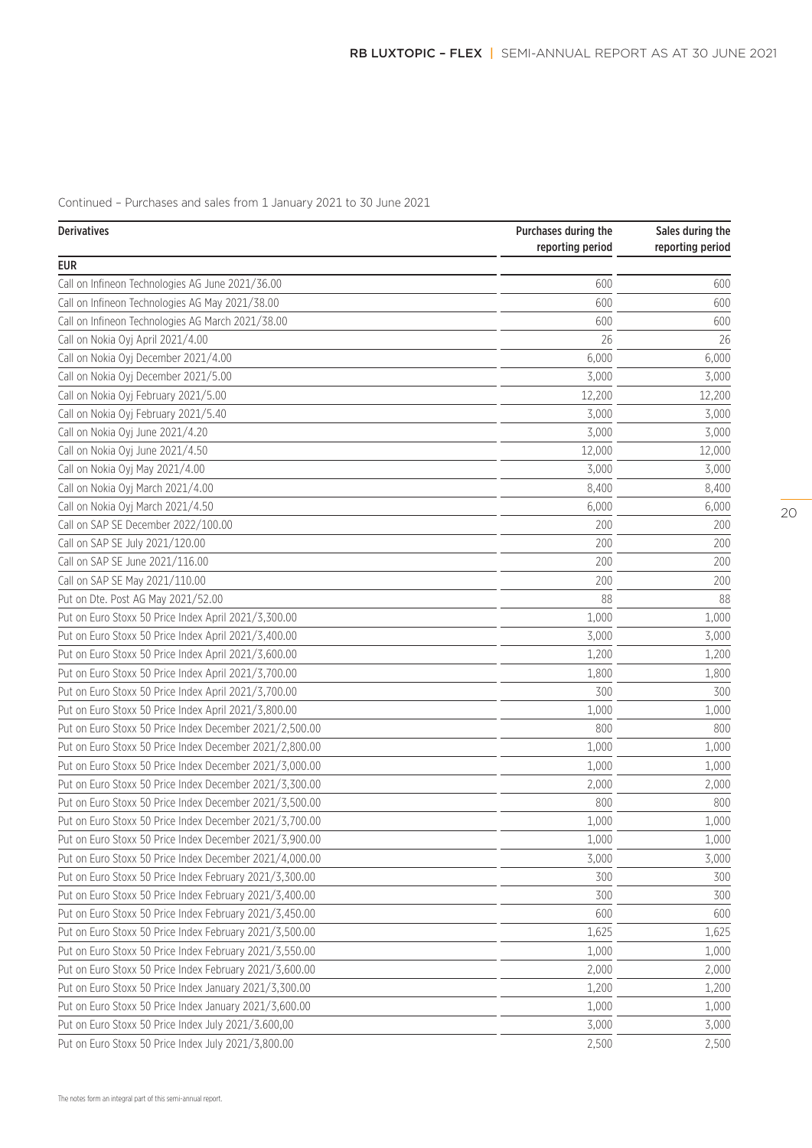Continued – Purchases and sales from 1 January 2021 to 30 June 2021

| <b>Derivatives</b>                                      | Purchases during the<br>reporting period | Sales during the<br>reporting period |
|---------------------------------------------------------|------------------------------------------|--------------------------------------|
| <b>EUR</b>                                              |                                          |                                      |
| Call on Infineon Technologies AG June 2021/36.00        | 600                                      | 600                                  |
| Call on Infineon Technologies AG May 2021/38.00         | 600                                      | 600                                  |
| Call on Infineon Technologies AG March 2021/38.00       | 600                                      | 600                                  |
| Call on Nokia Oyj April 2021/4.00                       | 26                                       | 26                                   |
| Call on Nokia Oyj December 2021/4.00                    | 6,000                                    | 6,000                                |
| Call on Nokia Oyj December 2021/5.00                    | 3,000                                    | 3,000                                |
| Call on Nokia Oyj February 2021/5.00                    | 12,200                                   | 12,200                               |
| Call on Nokia Oyj February 2021/5.40                    | 3,000                                    | 3,000                                |
| Call on Nokia Oyj June 2021/4.20                        | 3,000                                    | 3,000                                |
| Call on Nokia Oyj June 2021/4.50                        | 12,000                                   | 12,000                               |
| Call on Nokia Oyj May 2021/4.00                         | 3,000                                    | 3,000                                |
| Call on Nokia Oyj March 2021/4.00                       | 8,400                                    | 8,400                                |
| Call on Nokia Oyj March 2021/4.50                       | 6,000                                    | 6,000                                |
| Call on SAP SE December 2022/100.00                     | 200                                      | 200                                  |
| Call on SAP SE July 2021/120.00                         | 200                                      | 200                                  |
| Call on SAP SE June 2021/116.00                         | 200                                      | 200                                  |
| Call on SAP SE May 2021/110.00                          | 200                                      | 200                                  |
| Put on Dte. Post AG May 2021/52.00                      | 88                                       | 88                                   |
| Put on Euro Stoxx 50 Price Index April 2021/3,300.00    | 1,000                                    | 1,000                                |
| Put on Euro Stoxx 50 Price Index April 2021/3,400.00    | 3,000                                    | 3,000                                |
| Put on Euro Stoxx 50 Price Index April 2021/3,600.00    | 1,200                                    | 1,200                                |
| Put on Euro Stoxx 50 Price Index April 2021/3,700.00    | 1,800                                    | 1,800                                |
| Put on Euro Stoxx 50 Price Index April 2021/3,700.00    | 300                                      | 300                                  |
| Put on Euro Stoxx 50 Price Index April 2021/3,800.00    | 1,000                                    | 1,000                                |
| Put on Euro Stoxx 50 Price Index December 2021/2,500.00 | 800                                      | 800                                  |
| Put on Euro Stoxx 50 Price Index December 2021/2,800.00 | 1,000                                    | 1,000                                |
| Put on Euro Stoxx 50 Price Index December 2021/3,000.00 | 1,000                                    | 1,000                                |
| Put on Euro Stoxx 50 Price Index December 2021/3,300.00 | 2,000                                    | 2,000                                |
| Put on Euro Stoxx 50 Price Index December 2021/3,500.00 | 800                                      | 800                                  |
| Put on Euro Stoxx 50 Price Index December 2021/3,700.00 | 1,000                                    | 1,000                                |
| Put on Euro Stoxx 50 Price Index December 2021/3,900.00 | 1,000                                    | 1,000                                |
| Put on Euro Stoxx 50 Price Index December 2021/4,000.00 | 3,000                                    | 3,000                                |
| Put on Euro Stoxx 50 Price Index February 2021/3,300.00 | 300                                      | 300                                  |
| Put on Euro Stoxx 50 Price Index February 2021/3,400.00 | 300                                      | 300                                  |
| Put on Euro Stoxx 50 Price Index February 2021/3,450.00 | 600                                      | 600                                  |
| Put on Euro Stoxx 50 Price Index February 2021/3,500.00 | 1,625                                    | 1,625                                |
| Put on Euro Stoxx 50 Price Index February 2021/3,550.00 | 1,000                                    | 1,000                                |
| Put on Euro Stoxx 50 Price Index February 2021/3,600.00 | 2,000                                    | 2,000                                |
| Put on Euro Stoxx 50 Price Index January 2021/3,300.00  | 1,200                                    | 1,200                                |
| Put on Euro Stoxx 50 Price Index January 2021/3,600.00  | 1,000                                    | 1,000                                |
| Put on Euro Stoxx 50 Price Index July 2021/3.600,00     | 3,000                                    | 3,000                                |
| Put on Euro Stoxx 50 Price Index July 2021/3,800.00     | 2,500                                    | 2,500                                |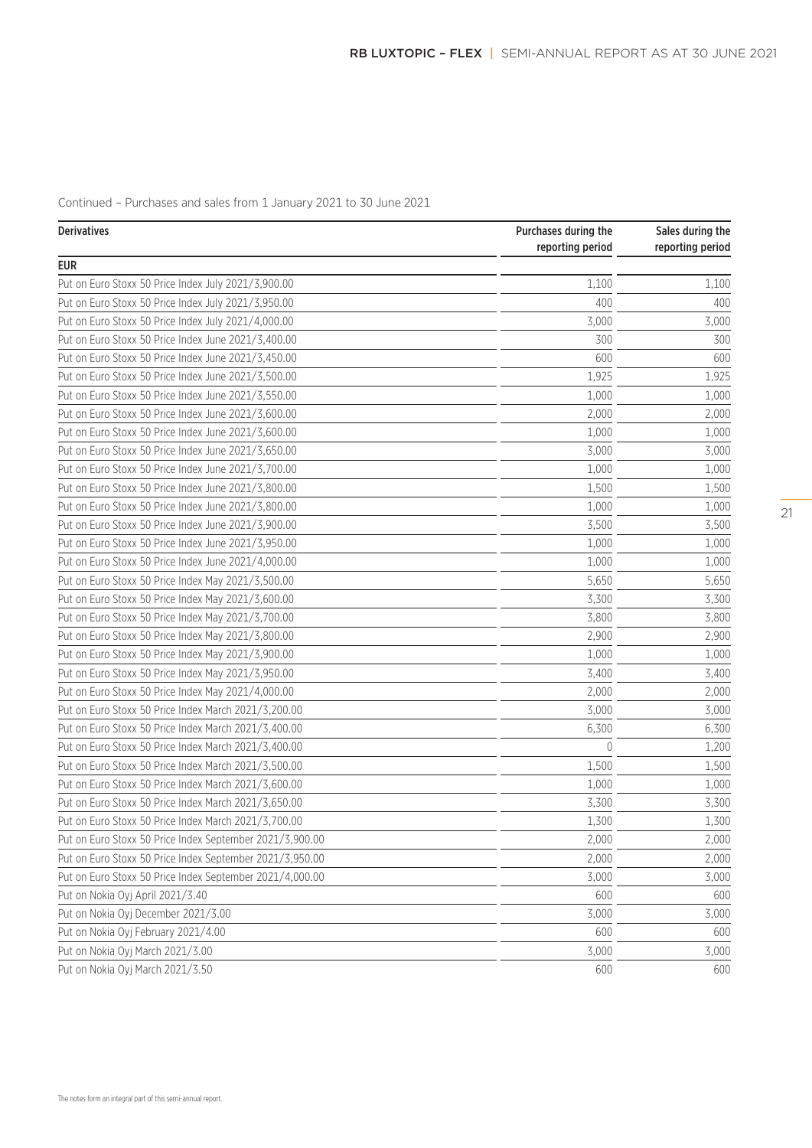Continued – Purchases and sales from 1 January 2021 to 30 June 2021

| <b>Derivatives</b>                                       | Purchases during the<br>reporting period | Sales during the<br>reporting period |  |
|----------------------------------------------------------|------------------------------------------|--------------------------------------|--|
| <b>EUR</b>                                               |                                          |                                      |  |
| Put on Euro Stoxx 50 Price Index July 2021/3,900.00      | 1,100                                    | 1,100                                |  |
| Put on Euro Stoxx 50 Price Index July 2021/3,950.00      | 400                                      | 400                                  |  |
| Put on Euro Stoxx 50 Price Index July 2021/4,000.00      | 3,000                                    | 3,000                                |  |
| Put on Euro Stoxx 50 Price Index June 2021/3,400.00      | 300                                      | 300                                  |  |
| Put on Euro Stoxx 50 Price Index June 2021/3,450.00      | 600                                      | 600                                  |  |
| Put on Euro Stoxx 50 Price Index June 2021/3,500.00      | 1,925                                    | 1,925                                |  |
| Put on Euro Stoxx 50 Price Index June 2021/3,550.00      | 1,000                                    | 1,000                                |  |
| Put on Euro Stoxx 50 Price Index June 2021/3,600.00      | 2,000                                    | 2,000                                |  |
| Put on Euro Stoxx 50 Price Index June 2021/3,600.00      | 1,000                                    | 1,000                                |  |
| Put on Euro Stoxx 50 Price Index June 2021/3,650.00      | 3,000                                    | 3,000                                |  |
| Put on Euro Stoxx 50 Price Index June 2021/3,700.00      | 1,000                                    | 1,000                                |  |
| Put on Euro Stoxx 50 Price Index June 2021/3,800.00      | 1,500                                    | 1,500                                |  |
| Put on Euro Stoxx 50 Price Index June 2021/3,800.00      | 1,000                                    | 1,000                                |  |
| Put on Euro Stoxx 50 Price Index June 2021/3,900.00      | 3,500                                    | 3,500                                |  |
| Put on Euro Stoxx 50 Price Index June 2021/3,950.00      | 1,000                                    | 1,000                                |  |
| Put on Euro Stoxx 50 Price Index June 2021/4,000.00      | 1,000                                    | 1,000                                |  |
| Put on Euro Stoxx 50 Price Index May 2021/3,500.00       | 5,650                                    | 5,650                                |  |
| Put on Euro Stoxx 50 Price Index May 2021/3,600.00       | 3,300                                    | 3,300                                |  |
| Put on Euro Stoxx 50 Price Index May 2021/3,700.00       | 3,800                                    | 3,800                                |  |
| Put on Euro Stoxx 50 Price Index May 2021/3,800.00       | 2,900                                    | 2,900                                |  |
| Put on Euro Stoxx 50 Price Index May 2021/3,900.00       | 1,000                                    | 1,000                                |  |
| Put on Euro Stoxx 50 Price Index May 2021/3,950.00       | 3,400                                    | 3,400                                |  |
| Put on Euro Stoxx 50 Price Index May 2021/4,000.00       | 2,000                                    | 2,000                                |  |
| Put on Euro Stoxx 50 Price Index March 2021/3,200.00     | 3,000                                    | 3,000                                |  |
| Put on Euro Stoxx 50 Price Index March 2021/3,400.00     | 6,300                                    | 6,300                                |  |
| Put on Euro Stoxx 50 Price Index March 2021/3,400.00     | 0                                        | 1,200                                |  |
| Put on Euro Stoxx 50 Price Index March 2021/3,500.00     | 1,500                                    | 1,500                                |  |
| Put on Euro Stoxx 50 Price Index March 2021/3,600.00     | 1,000                                    | 1,000                                |  |
| Put on Euro Stoxx 50 Price Index March 2021/3,650.00     | 3,300                                    | 3,300                                |  |
| Put on Euro Stoxx 50 Price Index March 2021/3,700.00     | 1,300                                    | 1,300                                |  |
| Put on Euro Stoxx 50 Price Index September 2021/3,900.00 | 2,000                                    | 2,000                                |  |
| Put on Euro Stoxx 50 Price Index September 2021/3,950.00 | 2,000                                    | 2,000                                |  |
| Put on Euro Stoxx 50 Price Index September 2021/4,000.00 | 3,000                                    | 3,000                                |  |
| Put on Nokia Oyj April 2021/3.40                         | 600                                      | 600                                  |  |
| Put on Nokia Oyj December 2021/3.00                      | 3,000                                    | 3,000                                |  |
| Put on Nokia Oyj February 2021/4.00                      | 600                                      | 600                                  |  |
| Put on Nokia Oyj March 2021/3.00                         | 3,000                                    | 3,000                                |  |
| Put on Nokia Oyj March 2021/3.50                         | 600                                      | 600                                  |  |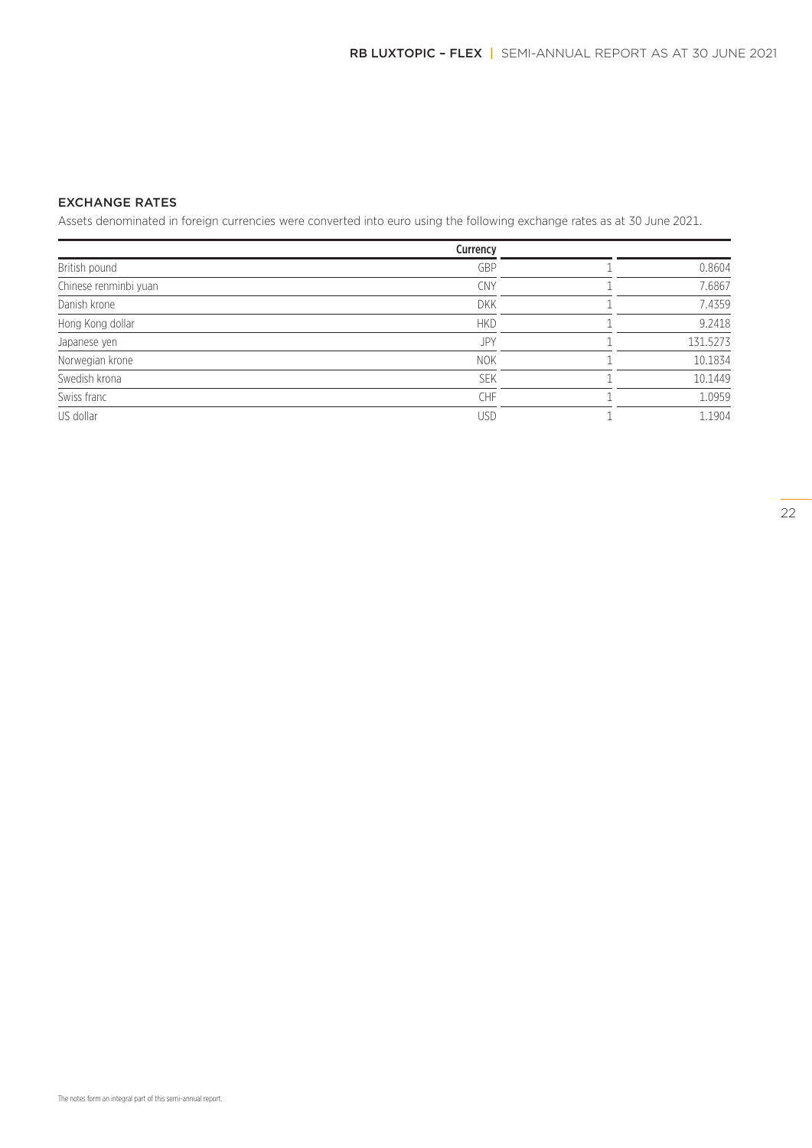# EXCHANGE RATES

Assets denominated in foreign currencies were converted into euro using the following exchange rates as at 30 June 2021.

|                       | Currency   |          |
|-----------------------|------------|----------|
| British pound         | GBP        | 0.8604   |
| Chinese renminbi yuan | CNY        | 7.6867   |
| Danish krone          | <b>DKK</b> | 7.4359   |
| Hong Kong dollar      | <b>HKD</b> | 9.2418   |
| Japanese yen          | JPY        | 131.5273 |
| Norwegian krone       | <b>NOK</b> | 10.1834  |
| Swedish krona         | <b>SEK</b> | 10.1449  |
| Swiss franc           | CHF        | 1.0959   |
| US dollar             | USD        | 1.1904   |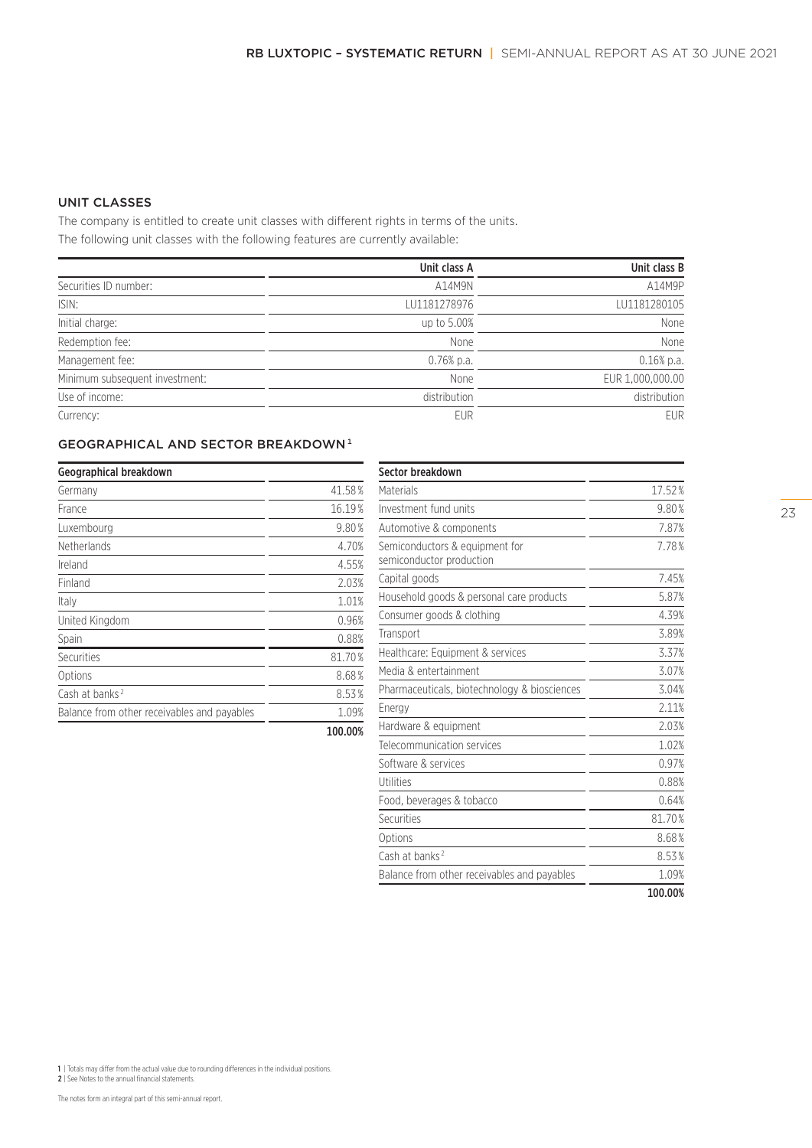# UNIT CLASSES

The company is entitled to create unit classes with different rights in terms of the units. The following unit classes with the following features are currently available:

|                                | Unit class A | Unit class B     |
|--------------------------------|--------------|------------------|
| Securities ID number:          | A14M9N       | A14M9P           |
| ISIN:                          | LU1181278976 | LU1181280105     |
| Initial charge:                | up to 5.00%  | None             |
| Redemption fee:                | None         | None             |
| Management fee:                | $0.76%$ p.a. | $0.16%$ p.a.     |
| Minimum subsequent investment: | None         | EUR 1,000,000.00 |
| Use of income:                 | distribution | distribution     |
| Currency:                      | <b>EUR</b>   | <b>EUR</b>       |

# GEOGRAPHICAL AND SECTOR BREAKDOWN<sup>1</sup>

| Geographical breakdown                      |         |
|---------------------------------------------|---------|
| Germany                                     | 41.58%  |
| France                                      | 16.19%  |
| Luxembourg                                  | 9.80%   |
| <b>Netherlands</b>                          | 4.70%   |
| Ireland                                     | 4.55%   |
| Finland                                     | 2.03%   |
| Italy                                       | 1.01%   |
| United Kingdom                              | 0.96%   |
| Spain                                       | 0.88%   |
| Securities                                  | 81.70%  |
| Options                                     | 8.68%   |
| Cash at banks <sup>2</sup>                  | 8.53%   |
| Balance from other receivables and payables | 1.09%   |
|                                             | 100.00% |

| Sector breakdown                                           |         |
|------------------------------------------------------------|---------|
| Materials                                                  | 17.52%  |
| Investment fund units                                      | 9.80%   |
| Automotive & components                                    | 7.87%   |
| Semiconductors & equipment for<br>semiconductor production | 7.78%   |
| Capital goods                                              | 7.45%   |
| Household goods & personal care products                   | 5.87%   |
| Consumer goods & clothing                                  | 4.39%   |
| Transport                                                  | 3.89%   |
| Healthcare: Equipment & services                           | 3.37%   |
| Media & entertainment                                      | 3.07%   |
| Pharmaceuticals, biotechnology & biosciences               | 3.04%   |
| Energy                                                     | 2.11%   |
| Hardware & equipment                                       | 2.03%   |
| Telecommunication services                                 | 1.02%   |
| Software & services                                        | 0.97%   |
| Utilities                                                  | 0.88%   |
| Food, beverages & tobacco                                  | 0.64%   |
| Securities                                                 | 81.70%  |
| Options                                                    | 8.68%   |
| Cash at banks <sup>2</sup>                                 | 8.53%   |
| Balance from other receivables and payables                | 1.09%   |
|                                                            | 100.00% |

1 | Totals may differ from the actual value due to rounding differences in the individual positions. 2 | See Notes to the annual financial statements.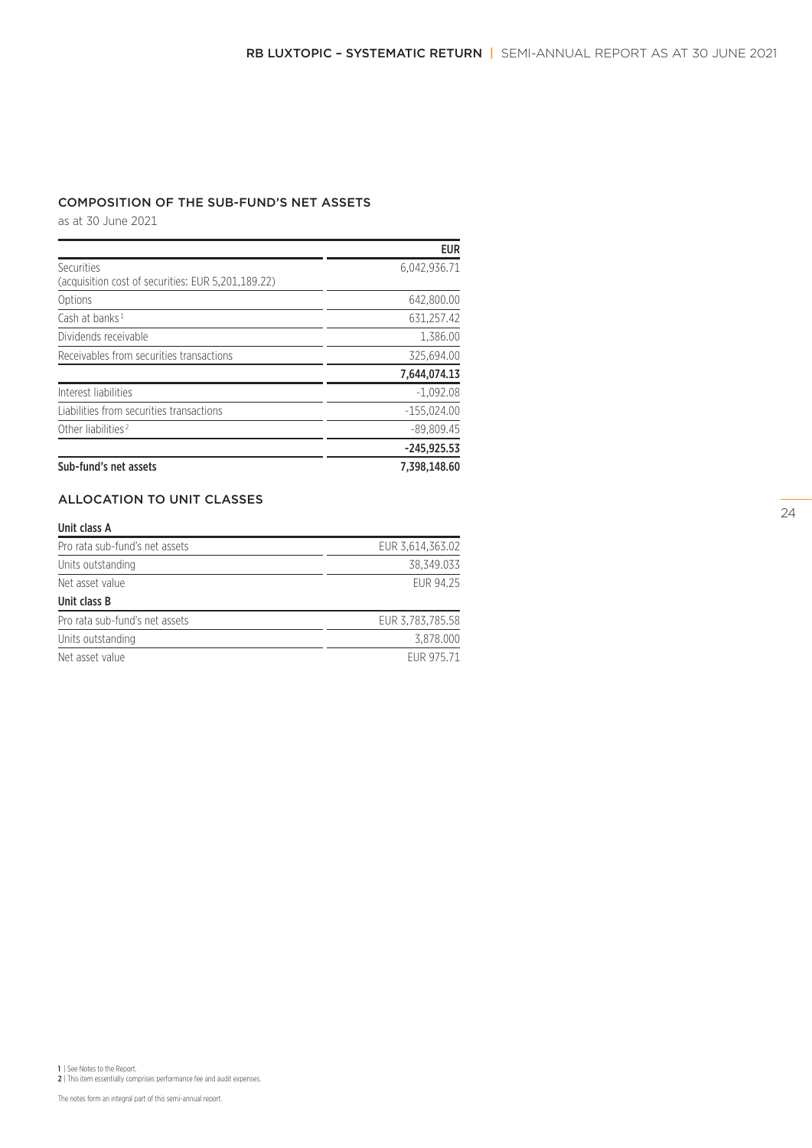# COMPOSITION OF THE SUB-FUND'S NET ASSETS

as at 30 June 2021

|                                                    | <b>EUR</b>    |
|----------------------------------------------------|---------------|
| Securities                                         | 6.042.936.71  |
| (acquisition cost of securities: EUR 5,201,189.22) |               |
| Options                                            | 642.800.00    |
| Cash at banks <sup>1</sup>                         | 631,257.42    |
| Dividends receivable                               | 1.386.00      |
| Receivables from securities transactions           | 325,694.00    |
|                                                    | 7,644,074.13  |
| Interest liabilities                               | $-1.092.08$   |
| Liabilities from securities transactions           | $-155.024.00$ |
| Other liabilities <sup>2</sup>                     | $-89.809.45$  |
|                                                    | $-245,925.53$ |
| Sub-fund's net assets                              | 7,398,148.60  |

# ALLOCATION TO UNIT CLASSES

#### Unit class A

| Pro rata sub-fund's net assets | EUR 3,614,363.02 |
|--------------------------------|------------------|
| Units outstanding              | 38.349.033       |
| Net asset value                | FUR 94.25        |
| Unit class B                   |                  |
| Pro rata sub-fund's net assets | EUR 3,783,785.58 |
| Units outstanding              | 3.878.000        |
| Net asset value                | FUR 975.71       |

1 | See Notes to the Report. 2 | This item essentially comprises performance fee and audit expenses.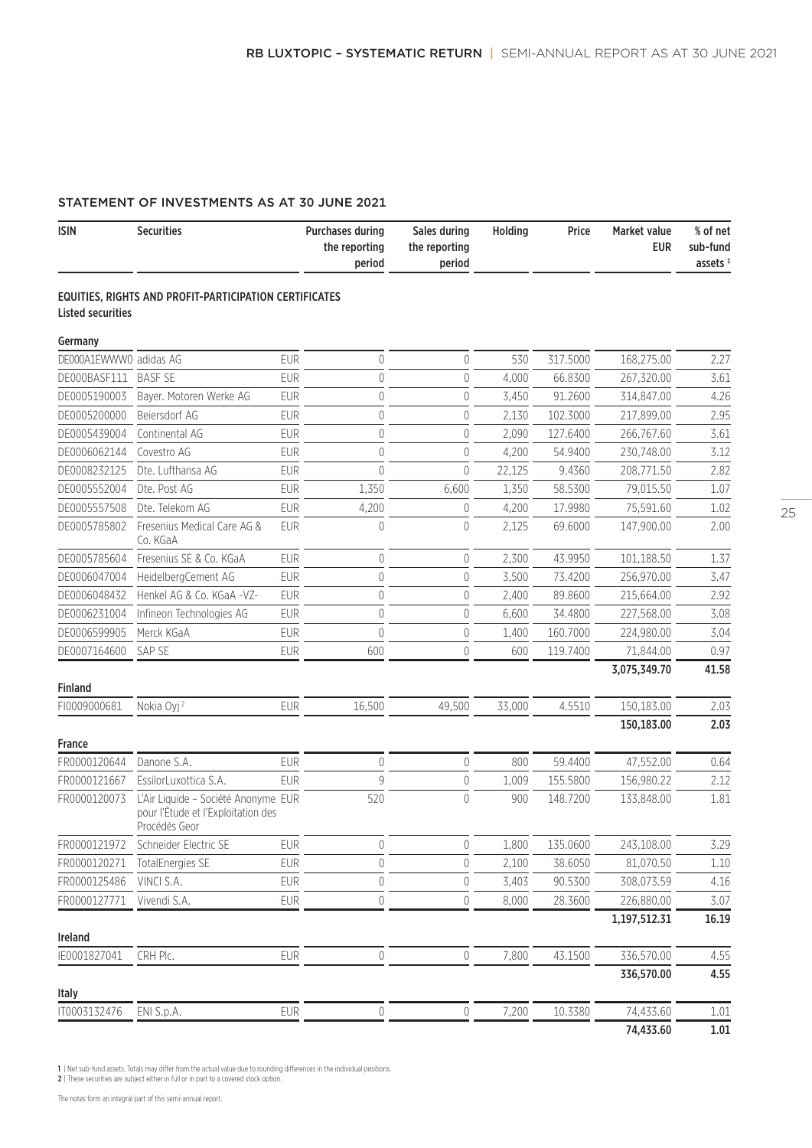# STATEMENT OF INVESTMENTS AS AT 30 JUNE 2021

| <b>ISIN</b>              | <b>Securities</b>                                                                          |            | <b>Purchases during</b><br>the reporting<br>period | Sales during<br>the reporting<br>period | Holding | Price    | Market value<br><b>EUR</b> | % of net<br>sub-fund<br>assets $1$ |
|--------------------------|--------------------------------------------------------------------------------------------|------------|----------------------------------------------------|-----------------------------------------|---------|----------|----------------------------|------------------------------------|
| <b>Listed securities</b> | EQUITIES, RIGHTS AND PROFIT-PARTICIPATION CERTIFICATES                                     |            |                                                    |                                         |         |          |                            |                                    |
| Germany                  |                                                                                            |            |                                                    |                                         |         |          |                            |                                    |
| DE000A1EWWW0 adidas AG   |                                                                                            | <b>EUR</b> | $\mathbf 0$                                        | 0                                       | 530     | 317.5000 | 168,275.00                 | 2.27                               |
| DE000BASF111             | <b>BASF SE</b>                                                                             | <b>EUR</b> | $\mathbf 0$                                        | $\theta$                                | 4,000   | 66.8300  | 267,320.00                 | 3.61                               |
| DE0005190003             | Bayer. Motoren Werke AG                                                                    | <b>EUR</b> | $\mathbf 0$                                        | 0                                       | 3,450   | 91.2600  | 314,847.00                 | 4.26                               |
| DE0005200000             | Beiersdorf AG                                                                              | <b>EUR</b> | $\mathbf 0$                                        | $\overline{0}$                          | 2,130   | 102.3000 | 217,899.00                 | 2.95                               |
| DE0005439004             | Continental AG                                                                             | <b>EUR</b> | $\overline{0}$                                     | $\theta$                                | 2,090   | 127.6400 | 266,767.60                 | 3.61                               |
| DE0006062144             | Covestro AG                                                                                | <b>EUR</b> | $\overline{0}$                                     | $\theta$                                | 4,200   | 54.9400  | 230,748.00                 | 3.12                               |
| DE0008232125             | Dte. Lufthansa AG                                                                          | <b>EUR</b> | $\overline{0}$                                     | $\theta$                                | 22,125  | 9.4360   | 208,771.50                 | 2.82                               |
| DE0005552004             | Dte. Post AG                                                                               | <b>EUR</b> | 1,350                                              | 6,600                                   | 1,350   | 58.5300  | 79,015.50                  | 1.07                               |
| DE0005557508             | Dte. Telekom AG                                                                            | <b>EUR</b> | 4,200                                              | 0                                       | 4,200   | 17.9980  | 75,591.60                  | 1.02                               |
| DE0005785802             | Fresenius Medical Care AG &<br>Co. KGaA                                                    | <b>EUR</b> | $\mathbf{0}$                                       | $\theta$                                | 2,125   | 69.6000  | 147,900.00                 | 2.00                               |
| DE0005785604             | Fresenius SE & Co. KGaA                                                                    | <b>EUR</b> | $\mathbf 0$                                        | 0                                       | 2,300   | 43.9950  | 101,188.50                 | 1.37                               |
| DE0006047004             | HeidelbergCement AG                                                                        | <b>EUR</b> | $\mathbf 0$                                        | $\mathbf{0}$                            | 3,500   | 73,4200  | 256,970.00                 | 3.47                               |
| DE0006048432             | Henkel AG & Co. KGaA -VZ-                                                                  | <b>EUR</b> | $\mathbf 0$                                        | $\mathbf{0}$                            | 2,400   | 89.8600  | 215,664.00                 | 2.92                               |
| DE0006231004             | Infineon Technologies AG                                                                   | EUR        | $\mathbf{0}$                                       | $\theta$                                | 6,600   | 34.4800  | 227,568.00                 | 3.08                               |
| DE0006599905             | Merck KGaA                                                                                 | <b>EUR</b> | $\overline{0}$                                     | $\theta$                                | 1,400   | 160.7000 | 224,980.00                 | 3.04                               |
| DE0007164600             | SAP SE                                                                                     | <b>EUR</b> | 600                                                | $\mathbf{0}$                            | 600     | 119.7400 | 71,844.00                  | 0.97                               |
| <b>Finland</b>           |                                                                                            |            |                                                    |                                         |         |          | 3,075,349.70               | 41.58                              |
| FI0009000681             | Nokia Oyj <sup>2</sup>                                                                     | <b>EUR</b> | 16,500                                             | 49,500                                  | 33,000  | 4.5510   | 150,183.00                 | 2.03                               |
|                          |                                                                                            |            |                                                    |                                         |         |          | 150,183.00                 | 2.03                               |
| France                   |                                                                                            |            |                                                    |                                         |         |          |                            |                                    |
| FR0000120644             | Danone S.A.                                                                                | <b>EUR</b> | $\mathbf{0}$                                       | $\theta$                                | 800     | 59.4400  | 47,552.00                  | 0.64                               |
| FR0000121667             | EssilorLuxottica S.A.                                                                      | <b>EUR</b> | 9                                                  | 0                                       | 1,009   | 155.5800 | 156,980.22                 | 2.12                               |
| FR0000120073             | L'Air Liquide - Société Anonyme EUR<br>pour l'Étude et l'Exploitation des<br>Procédés Geor |            | 520                                                | 0                                       | 900     | 148.7200 | 133,848.00                 | 1.81                               |
| FR0000121972             | Schneider Electric SE                                                                      | <b>EUR</b> | $\mathbf 0$                                        | $\mathbf 0$                             | 1,800   | 135.0600 | 243,108.00                 | 3.29                               |
| FR0000120271             | <b>TotalEnergies SE</b>                                                                    | <b>EUR</b> | $\mathbf 0$                                        | $\mathbf 0$                             | 2,100   | 38.6050  | 81,070.50                  | 1.10                               |
| FR0000125486             | VINCI S.A.                                                                                 | <b>EUR</b> | $\mathbf 0$                                        | $\mathbb O$                             | 3,403   | 90.5300  | 308,073.59                 | 4.16                               |
| FR0000127771             | Vivendi S.A.                                                                               | <b>EUR</b> | $\mathbf 0$                                        | 0                                       | 8,000   | 28.3600  | 226,880.00                 | 3.07                               |
|                          |                                                                                            |            |                                                    |                                         |         |          | 1,197,512.31               | 16.19                              |
| Ireland<br>IE0001827041  | CRH Plc.                                                                                   | EUR        | $\mathbf 0$                                        | 0                                       | 7,800   | 43.1500  | 336,570.00                 | 4.55                               |
|                          |                                                                                            |            |                                                    |                                         |         |          | 336,570.00                 | 4.55                               |
| Italy                    |                                                                                            |            |                                                    |                                         |         |          |                            |                                    |
| IT0003132476             | ENI S.p.A.                                                                                 | <b>EUR</b> | $\mathbf 0$                                        | $\mathbb O$                             | 7,200   | 10.3380  | 74,433.60                  | 1.01                               |
|                          |                                                                                            |            |                                                    |                                         |         |          | 74,433.60                  | $1.01\,$                           |

1 | Net sub-fund assets. Totals may differ from the actual value due to rounding differences in the individual positions. 2 | These securities are subject either in full or in part to a covered stock option.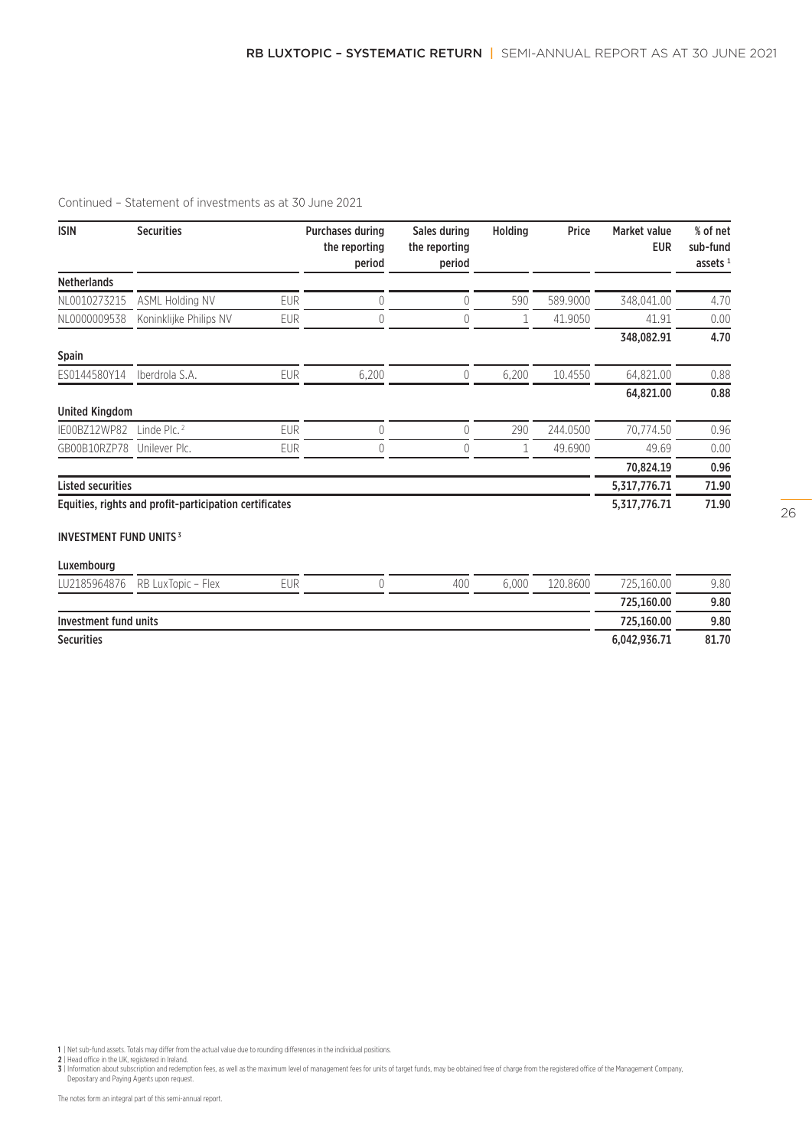| <b>ISIN</b>                              | <b>Securities</b>                                      |            | <b>Purchases during</b><br>the reporting<br>period | Sales during<br>the reporting<br>period | <b>Holding</b> | Price    | Market value<br><b>EUR</b> | % of net<br>sub-fund<br>assets $1$ |
|------------------------------------------|--------------------------------------------------------|------------|----------------------------------------------------|-----------------------------------------|----------------|----------|----------------------------|------------------------------------|
| <b>Netherlands</b>                       |                                                        |            |                                                    |                                         |                |          |                            |                                    |
| NL0010273215                             | <b>ASML Holding NV</b>                                 | <b>EUR</b> | 0                                                  | 0                                       | 590            | 589.9000 | 348,041.00                 | 4.70                               |
| NL0000009538                             | Koninklijke Philips NV                                 | <b>EUR</b> | 0                                                  | 0                                       | 1              | 41.9050  | 41.91                      | 0.00                               |
|                                          |                                                        |            |                                                    |                                         |                |          | 348,082.91                 | 4.70                               |
| Spain                                    |                                                        |            |                                                    |                                         |                |          |                            |                                    |
| ES0144580Y14                             | Iberdrola S.A.                                         | <b>EUR</b> | 6,200                                              | $\overline{0}$                          | 6,200          | 10.4550  | 64,821.00                  | 0.88                               |
|                                          |                                                        |            |                                                    |                                         |                |          | 64,821.00                  | 0.88                               |
| <b>United Kingdom</b>                    |                                                        |            |                                                    |                                         |                |          |                            |                                    |
| IE00BZ12WP82                             | Linde Plc. $2$                                         | <b>EUR</b> | 0                                                  | 0                                       | 290            | 244.0500 | 70,774.50                  | 0.96                               |
| GB00B10RZP78                             | Unilever Plc.                                          | <b>EUR</b> | 0                                                  | 0                                       | 1              | 49.6900  | 49.69                      | 0.00                               |
|                                          |                                                        |            |                                                    |                                         |                |          | 70,824.19                  | 0.96                               |
| <b>Listed securities</b>                 |                                                        |            |                                                    |                                         |                |          | 5,317,776.71               | 71.90                              |
|                                          | Equities, rights and profit-participation certificates |            |                                                    |                                         |                |          | 5,317,776.71               | 71.90                              |
| <b>INVESTMENT FUND UNITS<sup>3</sup></b> |                                                        |            |                                                    |                                         |                |          |                            |                                    |
| Luxembourg                               |                                                        |            |                                                    |                                         |                |          |                            |                                    |
| LU2185964876                             | RB LuxTopic - Flex                                     | <b>EUR</b> | 0                                                  | 400                                     | 6,000          | 120.8600 | 725,160.00                 | 9.80                               |
|                                          |                                                        |            |                                                    |                                         |                |          | 725,160.00                 | 9.80                               |

Investment fund units 725,160.00 9.80

#### Securities 6,042,936.71 81.70

1 | Net sub-fund assets. Totals may differ from the actual value due to rounding differences in the individual positions.<br>3 | Head office in the UK, registered in Ireland.<br>3 | Information about subscription and redemption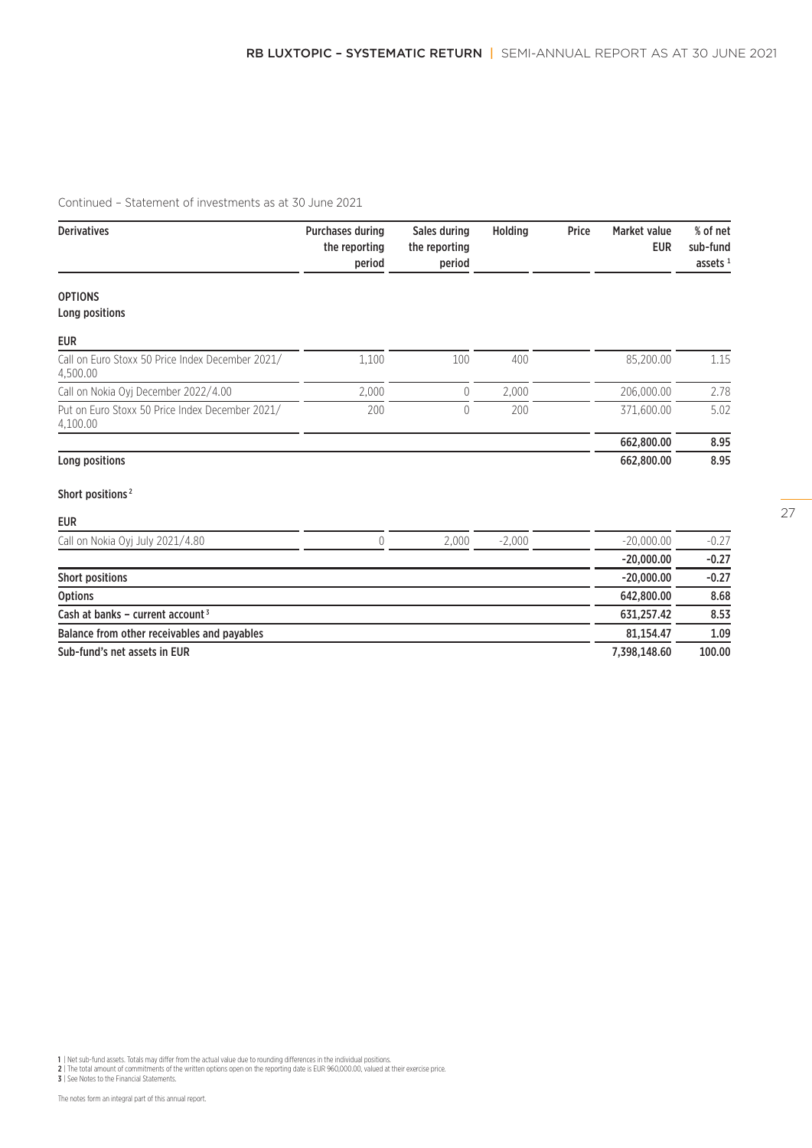| <b>Derivatives</b>                                           | <b>Purchases during</b><br>the reporting<br>period | Sales during<br>the reporting<br>period | Holding  | Price | <b>Market value</b><br><b>EUR</b> | % of net<br>sub-fund<br>assets $1$ |
|--------------------------------------------------------------|----------------------------------------------------|-----------------------------------------|----------|-------|-----------------------------------|------------------------------------|
| <b>OPTIONS</b>                                               |                                                    |                                         |          |       |                                   |                                    |
| Long positions                                               |                                                    |                                         |          |       |                                   |                                    |
| <b>EUR</b>                                                   |                                                    |                                         |          |       |                                   |                                    |
| Call on Euro Stoxx 50 Price Index December 2021/<br>4,500.00 | 1,100                                              | 100                                     | 400      |       | 85,200.00                         | 1.15                               |
| Call on Nokia Oyj December 2022/4.00                         | 2,000                                              | $\theta$                                | 2,000    |       | 206,000.00                        | 2.78                               |
| Put on Euro Stoxx 50 Price Index December 2021/<br>4,100.00  | 200                                                | 0                                       | 200      |       | 371,600.00                        | 5.02                               |
|                                                              |                                                    |                                         |          |       | 662,800.00                        | 8.95                               |
| Long positions                                               |                                                    |                                         |          |       | 662,800.00                        | 8.95                               |
| Short positions <sup>2</sup>                                 |                                                    |                                         |          |       |                                   |                                    |
| <b>EUR</b>                                                   |                                                    |                                         |          |       |                                   |                                    |
| Call on Nokia Oyj July 2021/4.80                             | $\overline{0}$                                     | 2,000                                   | $-2,000$ |       | $-20,000.00$                      | $-0.27$                            |
|                                                              |                                                    |                                         |          |       | $-20,000.00$                      | $-0.27$                            |
| <b>Short positions</b>                                       |                                                    |                                         |          |       | $-20,000.00$                      | $-0.27$                            |
| <b>Options</b>                                               |                                                    |                                         |          |       | 642.800.00                        | 8.68                               |
| Cash at banks - current account <sup>3</sup>                 |                                                    |                                         |          |       | 631,257.42                        | 8.53                               |
| Balance from other receivables and payables                  |                                                    |                                         |          |       | 81,154.47                         | 1.09                               |

Sub-fund's net assets in EUR 100.00

1 | Net sub-fund assets. Totals may differ from the actual value due to rounding differences in the individual positions.<br>2 | The total amount of commitments of the written options open on the reporting date is EUR 960,000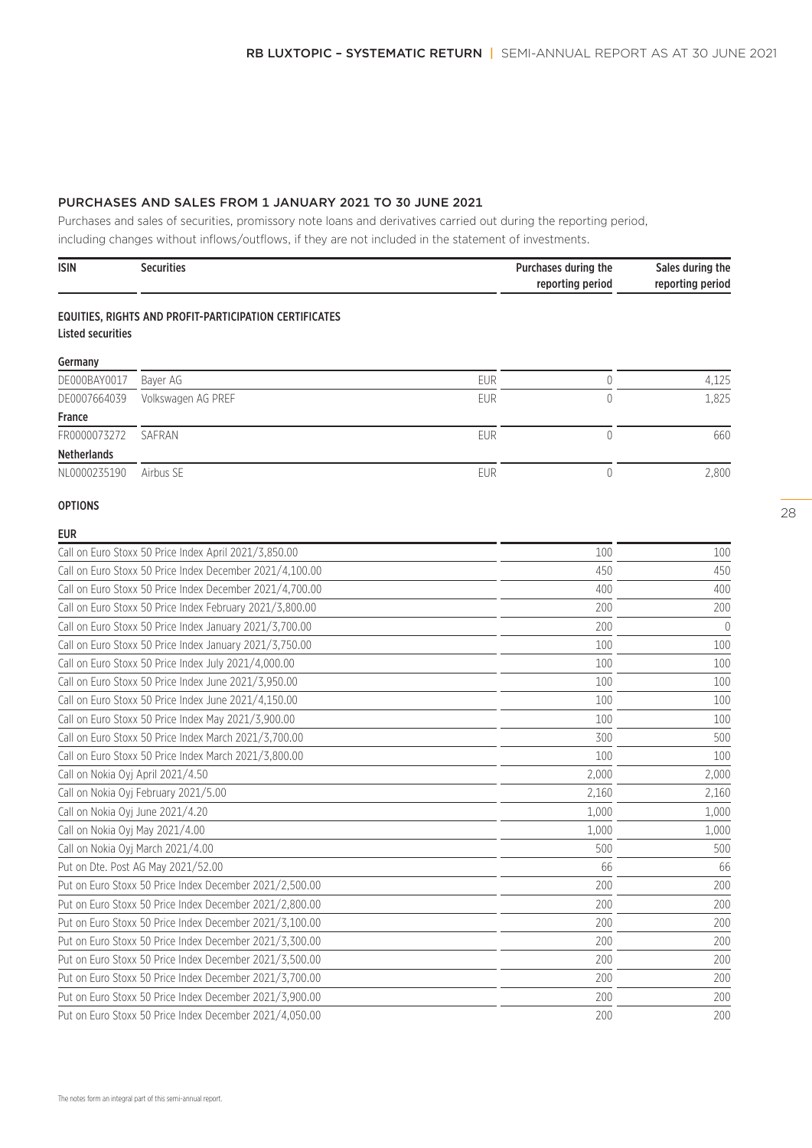# PURCHASES AND SALES FROM 1 JANUARY 2021 TO 30 JUNE 2021

Purchases and sales of securities, promissory note loans and derivatives carried out during the reporting period, including changes without inflows/outflows, if they are not included in the statement of investments.

| <b>ISIN</b>                                             | <b>Securities</b>                                        |            | Purchases during the<br>reporting period | Sales during the<br>reporting period |
|---------------------------------------------------------|----------------------------------------------------------|------------|------------------------------------------|--------------------------------------|
| <b>Listed securities</b>                                | EQUITIES, RIGHTS AND PROFIT-PARTICIPATION CERTIFICATES   |            |                                          |                                      |
| Germany                                                 |                                                          |            |                                          |                                      |
| DE000BAY0017                                            | Bayer AG                                                 | <b>FUR</b> | $\theta$                                 | 4,125                                |
| DE0007664039                                            | Volkswagen AG PREF                                       | EUR        | $\overline{0}$                           | 1,825                                |
| France                                                  |                                                          |            |                                          |                                      |
| FR0000073272                                            | SAFRAN                                                   | <b>EUR</b> | $\overline{0}$                           | 660                                  |
| <b>Netherlands</b>                                      |                                                          |            |                                          |                                      |
| NL0000235190                                            | Airbus SE                                                | <b>EUR</b> | $\theta$                                 | 2,800                                |
| <b>OPTIONS</b>                                          |                                                          |            |                                          |                                      |
| <b>EUR</b>                                              |                                                          |            |                                          |                                      |
|                                                         | Call on Euro Stoxx 50 Price Index April 2021/3,850.00    |            | 100                                      | 100                                  |
|                                                         | Call on Euro Stoxx 50 Price Index December 2021/4,100.00 |            | 450                                      | 450                                  |
|                                                         | Call on Euro Stoxx 50 Price Index December 2021/4,700.00 |            | 400                                      | 400                                  |
|                                                         | Call on Euro Stoxx 50 Price Index February 2021/3,800.00 |            | 200                                      | 200                                  |
|                                                         | Call on Euro Stoxx 50 Price Index January 2021/3,700.00  |            | 200                                      | $\overline{0}$                       |
|                                                         | Call on Euro Stoxx 50 Price Index January 2021/3,750.00  |            | 100                                      | 100                                  |
|                                                         | Call on Euro Stoxx 50 Price Index July 2021/4,000.00     |            | 100                                      | 100                                  |
|                                                         | Call on Euro Stoxx 50 Price Index June 2021/3,950.00     |            | 100                                      | 100                                  |
|                                                         | Call on Euro Stoxx 50 Price Index June 2021/4,150.00     |            | 100                                      | 100                                  |
|                                                         | Call on Euro Stoxx 50 Price Index May 2021/3,900.00      |            | 100                                      | 100                                  |
|                                                         | Call on Euro Stoxx 50 Price Index March 2021/3,700.00    |            | 300                                      | 500                                  |
|                                                         | Call on Euro Stoxx 50 Price Index March 2021/3,800.00    |            | 100                                      | 100                                  |
|                                                         | Call on Nokia Oyj April 2021/4.50                        |            | 2,000                                    | 2,000                                |
|                                                         | Call on Nokia Oyj February 2021/5.00                     |            | 2,160                                    | 2,160                                |
|                                                         | Call on Nokia Oyj June 2021/4.20                         |            | 1,000                                    | 1,000                                |
|                                                         | Call on Nokia Oyj May 2021/4.00                          |            | 1,000                                    | 1,000                                |
|                                                         | Call on Nokia Oyj March 2021/4.00                        |            | 500                                      | 500                                  |
|                                                         | Put on Dte. Post AG May 2021/52.00                       |            | 66                                       | 66                                   |
|                                                         | Put on Euro Stoxx 50 Price Index December 2021/2,500.00  |            | 200                                      | 200                                  |
|                                                         | Put on Euro Stoxx 50 Price Index December 2021/2,800.00  |            | 200                                      | 200                                  |
|                                                         | Put on Euro Stoxx 50 Price Index December 2021/3,100.00  |            | 200                                      | 200                                  |
|                                                         | Put on Euro Stoxx 50 Price Index December 2021/3,300.00  |            | 200                                      | 200                                  |
|                                                         | Put on Euro Stoxx 50 Price Index December 2021/3,500.00  |            | 200                                      | 200                                  |
|                                                         | Put on Euro Stoxx 50 Price Index December 2021/3,700.00  |            | 200                                      | 200                                  |
|                                                         | Put on Euro Stoxx 50 Price Index December 2021/3,900.00  |            | 200                                      | 200                                  |
| Put on Euro Stoxx 50 Price Index December 2021/4,050.00 |                                                          |            | 200                                      | 200                                  |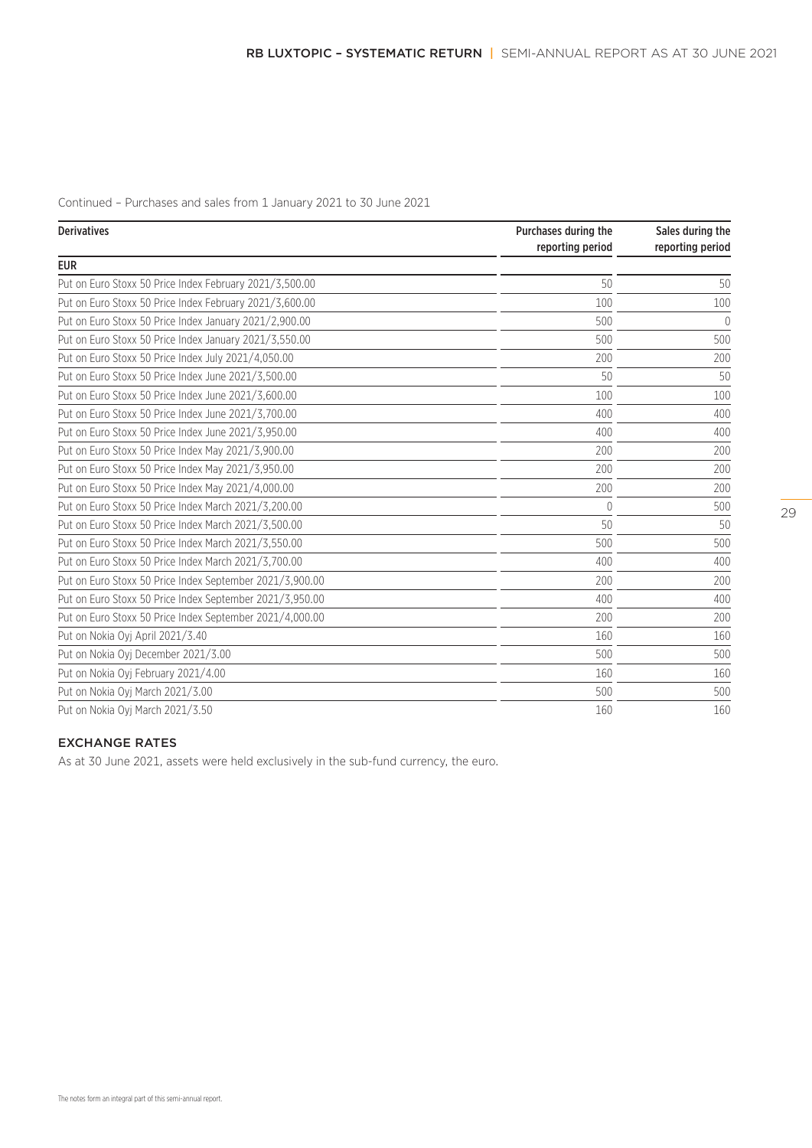Continued – Purchases and sales from 1 January 2021 to 30 June 2021

| <b>Derivatives</b>                                       | Purchases during the<br>reporting period | Sales during the<br>reporting period |  |
|----------------------------------------------------------|------------------------------------------|--------------------------------------|--|
| <b>EUR</b>                                               |                                          |                                      |  |
| Put on Euro Stoxx 50 Price Index February 2021/3.500.00  | 50                                       | 50                                   |  |
| Put on Euro Stoxx 50 Price Index February 2021/3,600.00  | 100                                      | 100                                  |  |
| Put on Euro Stoxx 50 Price Index January 2021/2,900.00   | 500                                      | $\bigcap$                            |  |
| Put on Euro Stoxx 50 Price Index January 2021/3,550.00   | 500                                      | 500                                  |  |
| Put on Euro Stoxx 50 Price Index July 2021/4,050.00      | 200                                      | 200                                  |  |
| Put on Euro Stoxx 50 Price Index June 2021/3,500.00      | 50                                       | 50                                   |  |
| Put on Euro Stoxx 50 Price Index June 2021/3,600.00      | 100                                      | 100                                  |  |
| Put on Euro Stoxx 50 Price Index June 2021/3,700.00      | 400                                      | 400                                  |  |
| Put on Euro Stoxx 50 Price Index June 2021/3.950.00      | 400                                      | 400                                  |  |
| Put on Euro Stoxx 50 Price Index May 2021/3,900.00       | 200                                      | 200                                  |  |
| Put on Euro Stoxx 50 Price Index May 2021/3,950.00       | 200                                      | 200                                  |  |
| Put on Euro Stoxx 50 Price Index May 2021/4,000.00       | 200                                      | 200                                  |  |
| Put on Euro Stoxx 50 Price Index March 2021/3,200.00     | $\Omega$                                 | 500                                  |  |
| Put on Euro Stoxx 50 Price Index March 2021/3,500.00     | 50                                       | 50                                   |  |
| Put on Euro Stoxx 50 Price Index March 2021/3.550.00     | 500                                      | 500                                  |  |
| Put on Euro Stoxx 50 Price Index March 2021/3.700.00     | 400                                      | 400                                  |  |
| Put on Euro Stoxx 50 Price Index September 2021/3,900.00 | 200                                      | 200                                  |  |
| Put on Euro Stoxx 50 Price Index September 2021/3,950.00 | 400                                      | 400                                  |  |
| Put on Euro Stoxx 50 Price Index September 2021/4,000.00 | 200                                      | 200                                  |  |
| Put on Nokia Oyj April 2021/3.40                         | 160                                      | 160                                  |  |
| Put on Nokia Oyj December 2021/3.00                      | 500                                      | 500                                  |  |
| Put on Nokia Oyj February 2021/4.00                      | 160                                      | 160                                  |  |
| Put on Nokia Oyj March 2021/3.00                         | 500                                      | 500                                  |  |
| Put on Nokia Oyj March 2021/3.50                         | 160                                      | 160                                  |  |

# EXCHANGE RATES

As at 30 June 2021, assets were held exclusively in the sub-fund currency, the euro.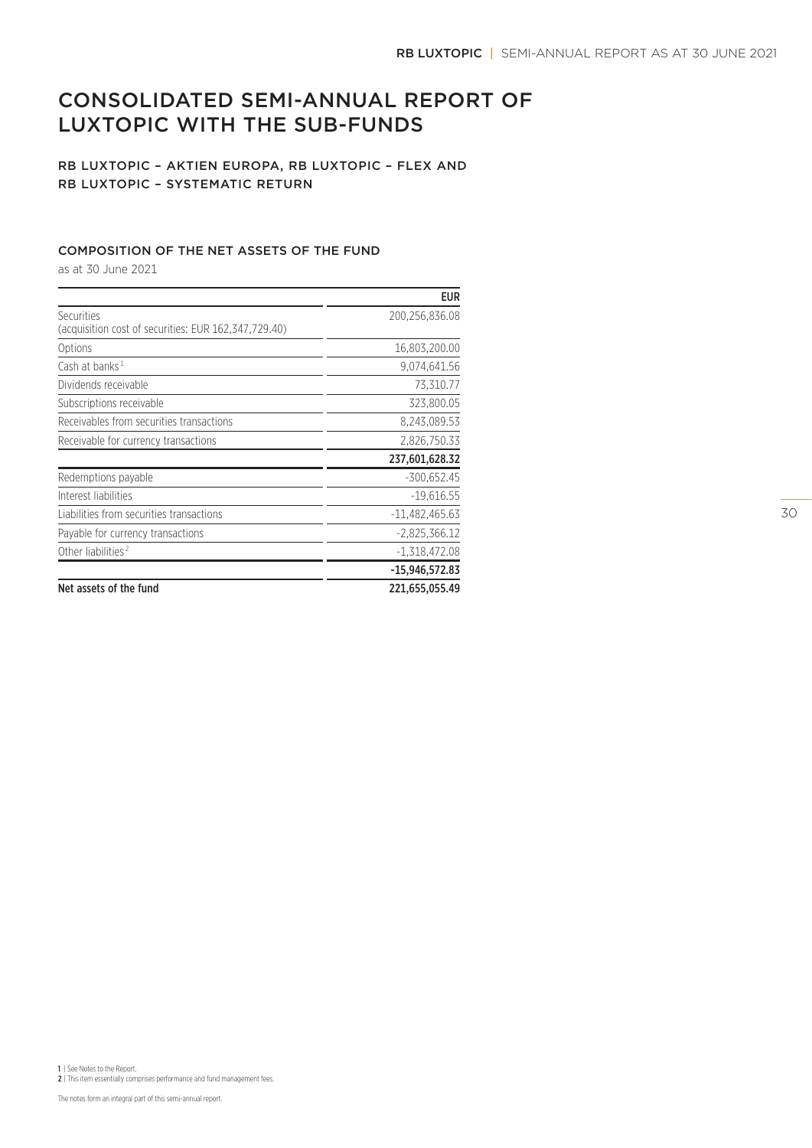# CONSOLIDATED SEMI-ANNUAL REPORT OF LUXTOPIC WITH THE SUB-FUNDS

# RB LUXTOPIC – AKTIEN EUROPA, RB LUXTOPIC – FLEX AND RB LUXTOPIC – SYSTEMATIC RETURN

# COMPOSITION OF THE NET ASSETS OF THE FUND

as at 30 June 2021

|                                                                    | <b>EUR</b>       |
|--------------------------------------------------------------------|------------------|
| Securities<br>(acquisition cost of securities: EUR 162,347,729.40) | 200,256,836.08   |
| Options                                                            | 16,803,200.00    |
| Cash at banks <sup>1</sup>                                         | 9,074,641.56     |
| Dividends receivable                                               | 73,310.77        |
| Subscriptions receivable                                           | 323,800.05       |
| Receivables from securities transactions                           | 8,243,089.53     |
| Receivable for currency transactions                               | 2,826,750.33     |
|                                                                    | 237,601,628.32   |
| Redemptions payable                                                | $-300,652.45$    |
| Interest liabilities                                               | $-19,616.55$     |
| Liabilities from securities transactions                           | $-11,482,465.63$ |
| Payable for currency transactions                                  | $-2,825,366.12$  |
| Other liabilities <sup>2</sup>                                     | $-1,318,472.08$  |
|                                                                    | -15,946,572.83   |
| Net assets of the fund                                             | 221,655,055.49   |

30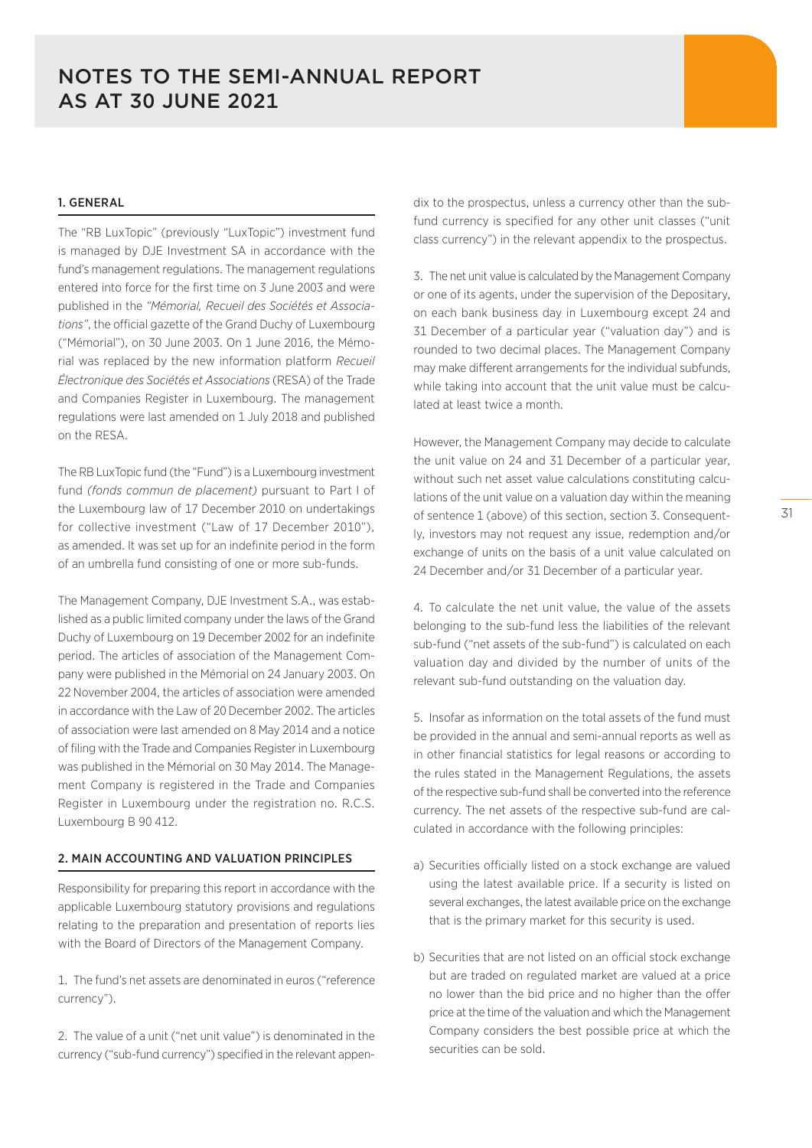# 1. GENERAL

The "RB LuxTopic" (previously "LuxTopic") investment fund is managed by DJE Investment SA in accordance with the fund's management regulations. The management regulations entered into force for the first time on 3 June 2003 and were published in the *"Mémorial, Recueil des Sociétés et Associations"*, the official gazette of the Grand Duchy of Luxembourg ("Mémorial"), on 30 June 2003. On 1 June 2016, the Mémorial was replaced by the new information platform *Recueil Électronique des Sociétés et Associations* (RESA) of the Trade and Companies Register in Luxembourg. The management regulations were last amended on 1 July 2018 and published on the RESA.

The RB LuxTopic fund (the "Fund") is a Luxembourg investment fund *(fonds commun de placement)* pursuant to Part I of the Luxembourg law of 17 December 2010 on undertakings for collective investment ("Law of 17 December 2010"), as amended. It was set up for an indefinite period in the form of an umbrella fund consisting of one or more sub-funds.

The Management Company, DJE Investment S.A., was established as a public limited company under the laws of the Grand Duchy of Luxembourg on 19 December 2002 for an indefinite period. The articles of association of the Management Company were published in the Mémorial on 24 January 2003. On 22 November 2004, the articles of association were amended in accordance with the Law of 20 December 2002. The articles of association were last amended on 8 May 2014 and a notice of filing with the Trade and Companies Register in Luxembourg was published in the Mémorial on 30 May 2014. The Management Company is registered in the Trade and Companies Register in Luxembourg under the registration no. R.C.S. Luxembourg B 90 412.

#### 2. MAIN ACCOUNTING AND VALUATION PRINCIPLES

Responsibility for preparing this report in accordance with the applicable Luxembourg statutory provisions and regulations relating to the preparation and presentation of reports lies with the Board of Directors of the Management Company.

1. The fund's net assets are denominated in euros ("reference currency").

2. The value of a unit ("net unit value") is denominated in the currency ("sub-fund currency") specified in the relevant appendix to the prospectus, unless a currency other than the subfund currency is specified for any other unit classes ("unit class currency") in the relevant appendix to the prospectus.

3. The net unit value is calculated by the Management Company or one of its agents, under the supervision of the Depositary, on each bank business day in Luxembourg except 24 and 31 December of a particular year ("valuation day") and is rounded to two decimal places. The Management Company may make different arrangements for the individual subfunds, while taking into account that the unit value must be calculated at least twice a month.

However, the Management Company may decide to calculate the unit value on 24 and 31 December of a particular year, without such net asset value calculations constituting calculations of the unit value on a valuation day within the meaning of sentence 1 (above) of this section, section 3. Consequently, investors may not request any issue, redemption and/or exchange of units on the basis of a unit value calculated on 24 December and/or 31 December of a particular year.

4. To calculate the net unit value, the value of the assets belonging to the sub-fund less the liabilities of the relevant sub-fund ("net assets of the sub-fund") is calculated on each valuation day and divided by the number of units of the relevant sub-fund outstanding on the valuation day.

5. Insofar as information on the total assets of the fund must be provided in the annual and semi-annual reports as well as in other financial statistics for legal reasons or according to the rules stated in the Management Regulations, the assets of the respective sub-fund shall be converted into the reference currency. The net assets of the respective sub-fund are calculated in accordance with the following principles:

- a) Securities officially listed on a stock exchange are valued using the latest available price. If a security is listed on several exchanges, the latest available price on the exchange that is the primary market for this security is used.
- b) Securities that are not listed on an official stock exchange but are traded on regulated market are valued at a price no lower than the bid price and no higher than the offer price at the time of the valuation and which the Management Company considers the best possible price at which the securities can be sold.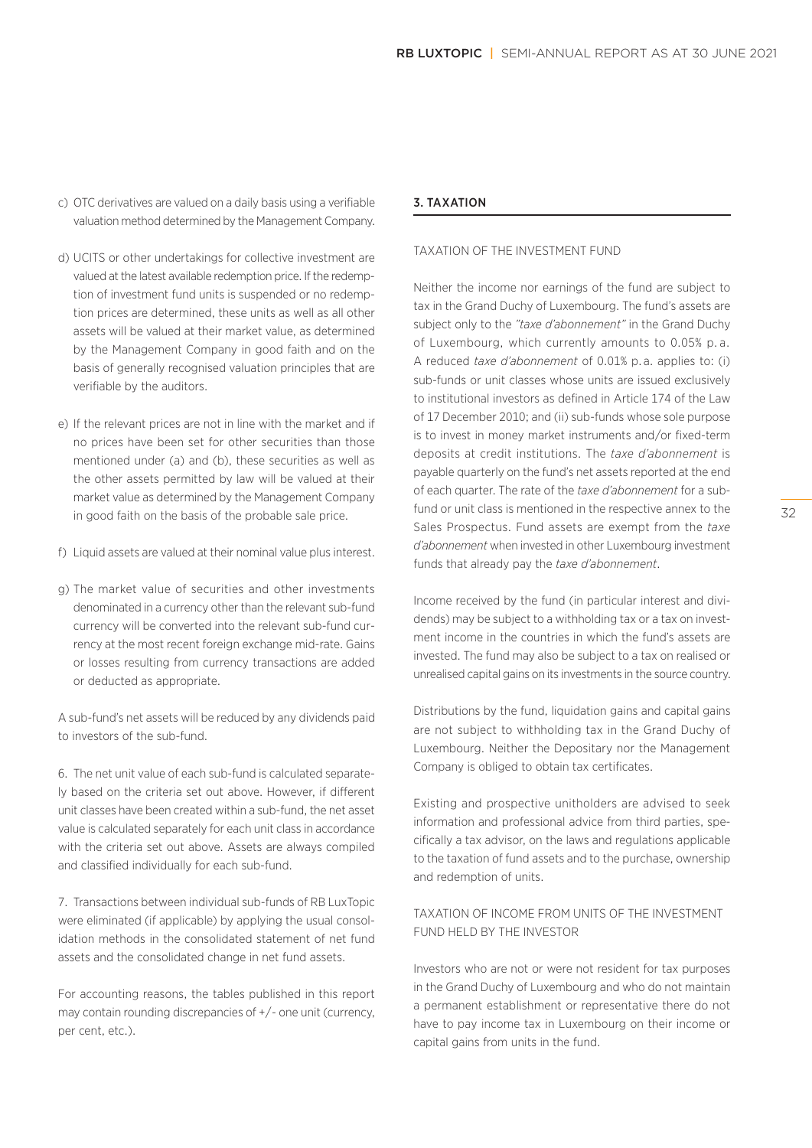- c) OTC derivatives are valued on a daily basis using a verifiable valuation method determined by the Management Company.
- d) UCITS or other undertakings for collective investment are valued at the latest available redemption price. If the redemption of investment fund units is suspended or no redemption prices are determined, these units as well as all other assets will be valued at their market value, as determined by the Management Company in good faith and on the basis of generally recognised valuation principles that are verifiable by the auditors.
- e) If the relevant prices are not in line with the market and if no prices have been set for other securities than those mentioned under (a) and (b), these securities as well as the other assets permitted by law will be valued at their market value as determined by the Management Company in good faith on the basis of the probable sale price.
- f) Liquid assets are valued at their nominal value plus interest.
- g) The market value of securities and other investments denominated in a currency other than the relevant sub-fund currency will be converted into the relevant sub-fund currency at the most recent foreign exchange mid-rate. Gains or losses resulting from currency transactions are added or deducted as appropriate.

A sub-fund's net assets will be reduced by any dividends paid to investors of the sub-fund.

6. The net unit value of each sub-fund is calculated separately based on the criteria set out above. However, if different unit classes have been created within a sub-fund, the net asset value is calculated separately for each unit class in accordance with the criteria set out above. Assets are always compiled and classified individually for each sub-fund.

7. Transactions between individual sub-funds of RB LuxTopic were eliminated (if applicable) by applying the usual consolidation methods in the consolidated statement of net fund assets and the consolidated change in net fund assets.

For accounting reasons, the tables published in this report may contain rounding discrepancies of +/- one unit (currency, per cent, etc.).

#### 3. TAXATION

#### TAXATION OF THE INVESTMENT FUND

Neither the income nor earnings of the fund are subject to tax in the Grand Duchy of Luxembourg. The fund's assets are subject only to the *"taxe d'abonnement"* in the Grand Duchy of Luxembourg, which currently amounts to 0.05% p. a. A reduced *taxe d'abonnement* of 0.01% p. a. applies to: (i) sub-funds or unit classes whose units are issued exclusively to institutional investors as defined in Article 174 of the Law of 17 December 2010; and (ii) sub-funds whose sole purpose is to invest in money market instruments and/or fixed-term deposits at credit institutions. The *taxe d'abonnement* is payable quarterly on the fund's net assets reported at the end of each quarter. The rate of the *taxe d'abonnement* for a subfund or unit class is mentioned in the respective annex to the Sales Prospectus. Fund assets are exempt from the *taxe d'abonnement* when invested in other Luxembourg investment funds that already pay the *taxe d'abonnement*.

Income received by the fund (in particular interest and dividends) may be subject to a withholding tax or a tax on investment income in the countries in which the fund's assets are invested. The fund may also be subject to a tax on realised or unrealised capital gains on its investments in the source country.

Distributions by the fund, liquidation gains and capital gains are not subject to withholding tax in the Grand Duchy of Luxembourg. Neither the Depositary nor the Management Company is obliged to obtain tax certificates.

Existing and prospective unitholders are advised to seek information and professional advice from third parties, specifically a tax advisor, on the laws and regulations applicable to the taxation of fund assets and to the purchase, ownership and redemption of units.

### TAXATION OF INCOME FROM UNITS OF THE INVESTMENT FUND HELD BY THE INVESTOR

Investors who are not or were not resident for tax purposes in the Grand Duchy of Luxembourg and who do not maintain a permanent establishment or representative there do not have to pay income tax in Luxembourg on their income or capital gains from units in the fund.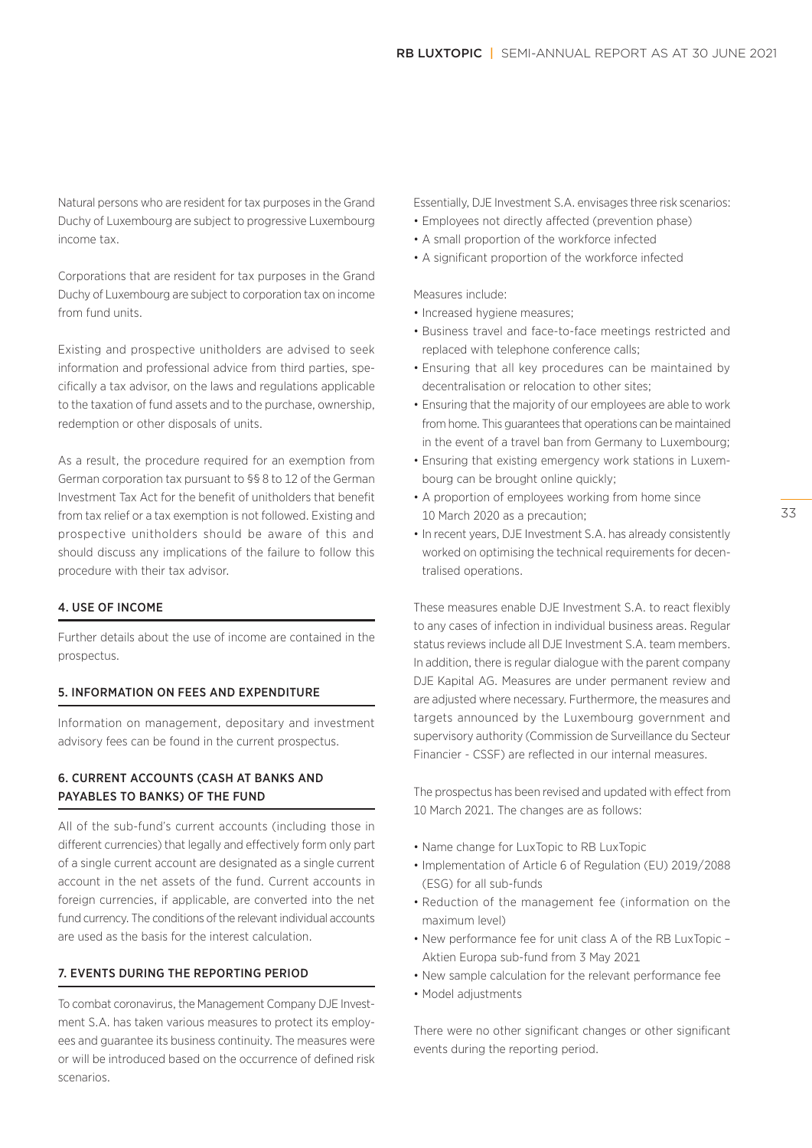Natural persons who are resident for tax purposes in the Grand Duchy of Luxembourg are subject to progressive Luxembourg income tax.

Corporations that are resident for tax purposes in the Grand Duchy of Luxembourg are subject to corporation tax on income from fund units.

Existing and prospective unitholders are advised to seek information and professional advice from third parties, specifically a tax advisor, on the laws and regulations applicable to the taxation of fund assets and to the purchase, ownership, redemption or other disposals of units.

As a result, the procedure required for an exemption from German corporation tax pursuant to §§ 8 to 12 of the German Investment Tax Act for the benefit of unitholders that benefit from tax relief or a tax exemption is not followed. Existing and prospective unitholders should be aware of this and should discuss any implications of the failure to follow this procedure with their tax advisor.

#### 4. USE OF INCOME

Further details about the use of income are contained in the prospectus.

#### 5. INFORMATION ON FEES AND EXPENDITURE

Information on management, depositary and investment advisory fees can be found in the current prospectus.

# 6. CURRENT ACCOUNTS (CASH AT BANKS AND PAYABLES TO BANKS) OF THE FUND

All of the sub-fund's current accounts (including those in different currencies) that legally and effectively form only part of a single current account are designated as a single current account in the net assets of the fund. Current accounts in foreign currencies, if applicable, are converted into the net fund currency. The conditions of the relevant individual accounts are used as the basis for the interest calculation.

#### 7. EVENTS DURING THE REPORTING PERIOD

To combat coronavirus, the Management Company DJE Investment S.A. has taken various measures to protect its employees and guarantee its business continuity. The measures were or will be introduced based on the occurrence of defined risk scenarios.

Essentially, DJE Investment S.A. envisages three risk scenarios:

- Employees not directly affected (prevention phase)
- A small proportion of the workforce infected
- A significant proportion of the workforce infected

Measures include:

- Increased hygiene measures;
- Business travel and face-to-face meetings restricted and replaced with telephone conference calls;
- Ensuring that all key procedures can be maintained by decentralisation or relocation to other sites;
- Ensuring that the majority of our employees are able to work from home. This guarantees that operations can be maintained in the event of a travel ban from Germany to Luxembourg;
- Ensuring that existing emergency work stations in Luxembourg can be brought online quickly;
- A proportion of employees working from home since 10 March 2020 as a precaution;
- In recent years, DJE Investment S.A. has already consistently worked on optimising the technical requirements for decentralised operations.

These measures enable DJE Investment S.A. to react flexibly to any cases of infection in individual business areas. Regular status reviews include all DJE Investment S.A. team members. In addition, there is regular dialogue with the parent company DJE Kapital AG. Measures are under permanent review and are adjusted where necessary. Furthermore, the measures and targets announced by the Luxembourg government and supervisory authority (Commission de Surveillance du Secteur Financier - CSSF) are reflected in our internal measures.

The prospectus has been revised and updated with effect from 10 March 2021. The changes are as follows:

- Name change for LuxTopic to RB LuxTopic
- Implementation of Article 6 of Regulation (EU) 2019/2088 (ESG) for all sub-funds
- Reduction of the management fee (information on the maximum level)
- New performance fee for unit class A of the RB LuxTopic Aktien Europa sub-fund from 3 May 2021
- New sample calculation for the relevant performance fee
- Model adjustments

There were no other significant changes or other significant events during the reporting period.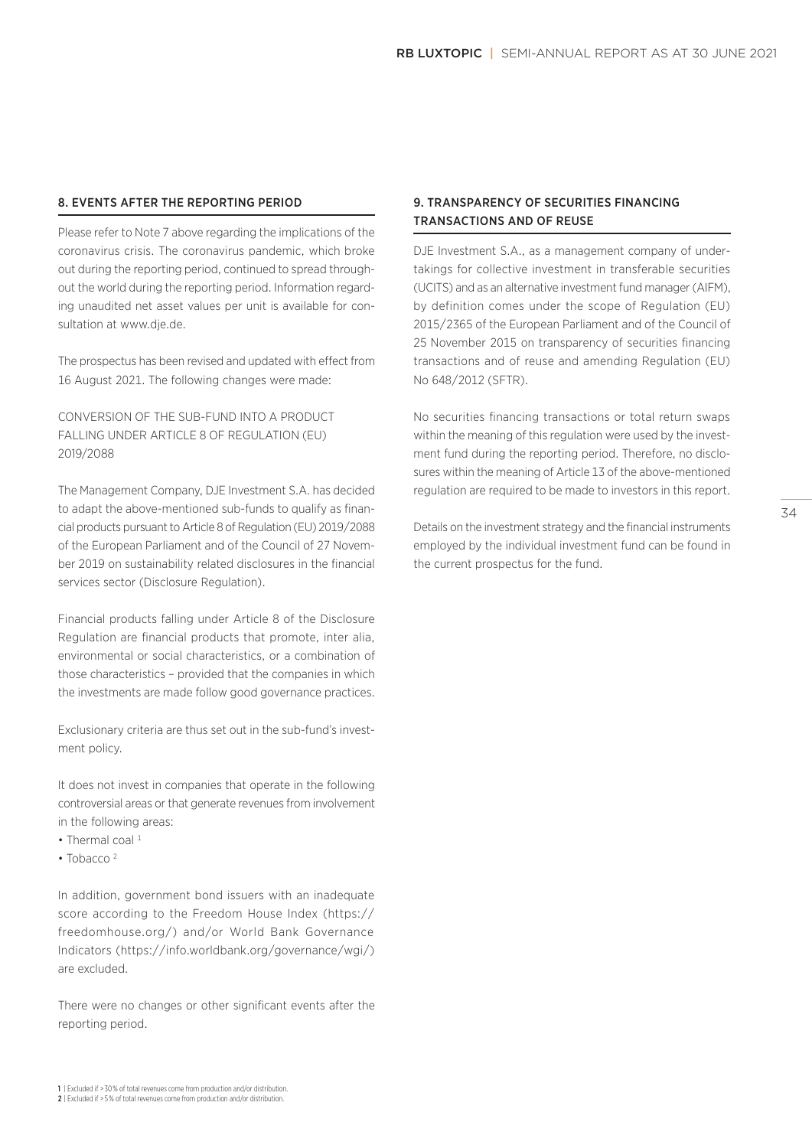#### 8. EVENTS AFTER THE REPORTING PERIOD

Please refer to Note 7 above regarding the implications of the coronavirus crisis. The coronavirus pandemic, which broke out during the reporting period, continued to spread throughout the world during the reporting period. Information regarding unaudited net asset values per unit is available for consultation at www.dje.de.

The prospectus has been revised and updated with effect from 16 August 2021. The following changes were made:

CONVERSION OF THE SUB-FUND INTO A PRODUCT FALLING UNDER ARTICLE 8 OF REGULATION (EU) 2019/2088

The Management Company, DJE Investment S.A. has decided to adapt the above-mentioned sub-funds to qualify as financial products pursuant to Article 8 of Regulation (EU) 2019/2088 of the European Parliament and of the Council of 27 November 2019 on sustainability related disclosures in the financial services sector (Disclosure Regulation).

Financial products falling under Article 8 of the Disclosure Regulation are financial products that promote, inter alia, environmental or social characteristics, or a combination of those characteristics – provided that the companies in which the investments are made follow good governance practices.

Exclusionary criteria are thus set out in the sub-fund's investment policy.

It does not invest in companies that operate in the following controversial areas or that generate revenues from involvement in the following areas:

- Thermal coal  $1$
- Tobacco<sup>2</sup>

In addition, government bond issuers with an inadequate score according to the Freedom House Index (https:// freedomhouse.org/) and/or World Bank Governance Indicators (https://info.worldbank.org/governance/wgi/) are excluded.

There were no changes or other significant events after the reporting period.

# 9. TRANSPARENCY OF SECURITIES FINANCING TRANSACTIONS AND OF REUSE

DJE Investment S.A., as a management company of undertakings for collective investment in transferable securities (UCITS) and as an alternative investment fund manager (AIFM), by definition comes under the scope of Regulation (EU) 2015/2365 of the European Parliament and of the Council of 25 November 2015 on transparency of securities financing transactions and of reuse and amending Regulation (EU) No 648/2012 (SFTR).

No securities financing transactions or total return swaps within the meaning of this regulation were used by the investment fund during the reporting period. Therefore, no disclosures within the meaning of Article 13 of the above-mentioned regulation are required to be made to investors in this report.

Details on the investment strategy and the financial instruments employed by the individual investment fund can be found in the current prospectus for the fund.